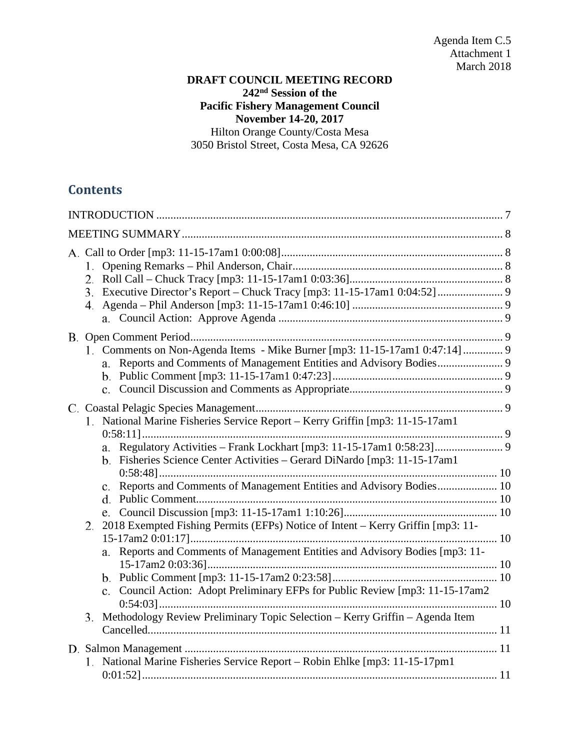## **DRAFT COUNCIL MEETING RECORD 242nd Session of the Pacific Fishery Management Council November 14-20, 2017** Hilton Orange County/Costa Mesa 3050 Bristol Street, Costa Mesa, CA 92626

# **Contents**

| 1.                                                                                                                                                             |  |
|----------------------------------------------------------------------------------------------------------------------------------------------------------------|--|
| 1. Comments on Non-Agenda Items - Mike Burner [mp3: 11-15-17am1 0:47:14] 9                                                                                     |  |
| 1. National Marine Fisheries Service Report - Kerry Griffin [mp3: 11-15-17am1]<br>b. Fisheries Science Center Activities - Gerard DiNardo [mp3: 11-15-17am1    |  |
| 2018 Exempted Fishing Permits (EFPs) Notice of Intent – Kerry Griffin [mp3: 11-<br>2.                                                                          |  |
| a. Reports and Comments of Management Entities and Advisory Bodies [mp3: 11-<br>c. Council Action: Adopt Preliminary EFPs for Public Review [mp3: 11-15-17am2] |  |
| Methodology Review Preliminary Topic Selection - Kerry Griffin - Agenda Item<br>3.                                                                             |  |
| 1. National Marine Fisheries Service Report - Robin Ehlke [mp3: 11-15-17pm1]                                                                                   |  |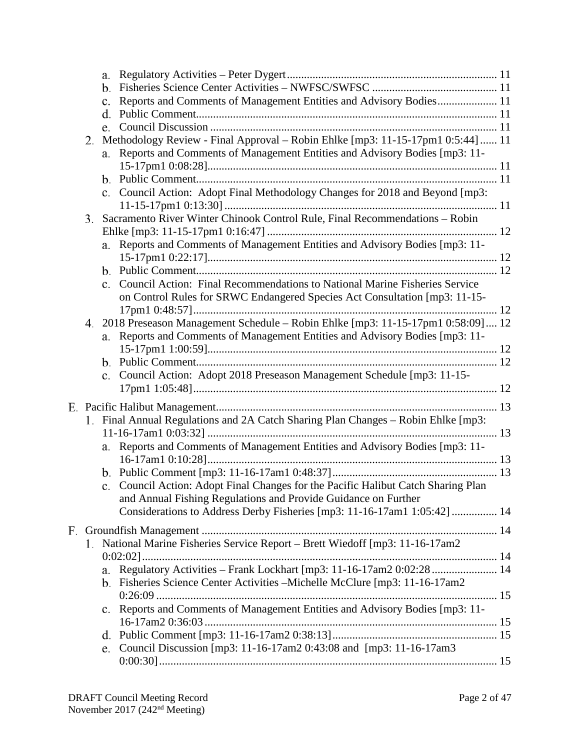|    |    | c. Reports and Comments of Management Entities and Advisory Bodies 11              |  |
|----|----|------------------------------------------------------------------------------------|--|
|    |    |                                                                                    |  |
|    | e. |                                                                                    |  |
| 2. |    | Methodology Review - Final Approval - Robin Ehlke [mp3: 11-15-17pm1 0:5:44]  11    |  |
|    |    | a. Reports and Comments of Management Entities and Advisory Bodies [mp3: 11-       |  |
|    |    |                                                                                    |  |
|    |    |                                                                                    |  |
|    |    | c. Council Action: Adopt Final Methodology Changes for 2018 and Beyond [mp3:       |  |
| 3. |    | Sacramento River Winter Chinook Control Rule, Final Recommendations - Robin        |  |
|    |    |                                                                                    |  |
|    |    | a. Reports and Comments of Management Entities and Advisory Bodies [mp3: 11-       |  |
|    |    |                                                                                    |  |
|    |    |                                                                                    |  |
|    |    | c. Council Action: Final Recommendations to National Marine Fisheries Service      |  |
|    |    | on Control Rules for SRWC Endangered Species Act Consultation [mp3: 11-15-         |  |
|    |    |                                                                                    |  |
|    |    | 4. 2018 Preseason Management Schedule – Robin Ehlke [mp3: 11-15-17pm1 0:58:09]  12 |  |
|    |    | a. Reports and Comments of Management Entities and Advisory Bodies [mp3: 11-       |  |
|    |    |                                                                                    |  |
|    |    |                                                                                    |  |
|    |    | c. Council Action: Adopt 2018 Preseason Management Schedule [mp3: 11-15-           |  |
|    |    |                                                                                    |  |
|    |    |                                                                                    |  |
|    |    | 1. Final Annual Regulations and 2A Catch Sharing Plan Changes - Robin Ehlke [mp3:  |  |
|    |    |                                                                                    |  |
|    |    | a. Reports and Comments of Management Entities and Advisory Bodies [mp3: 11-       |  |
|    |    |                                                                                    |  |
|    |    |                                                                                    |  |
|    |    | c. Council Action: Adopt Final Changes for the Pacific Halibut Catch Sharing Plan  |  |
|    |    | and Annual Fishing Regulations and Provide Guidance on Further                     |  |
|    |    | Considerations to Address Derby Fisheries [mp3: 11-16-17am1 1:05:42]  14           |  |
|    |    |                                                                                    |  |
|    |    | 1. National Marine Fisheries Service Report - Brett Wiedoff [mp3: 11-16-17am2]     |  |
|    |    |                                                                                    |  |
|    |    |                                                                                    |  |
|    |    |                                                                                    |  |
|    |    | b. Fisheries Science Center Activities – Michelle McClure [mp3: 11-16-17am2]       |  |
|    |    | c. Reports and Comments of Management Entities and Advisory Bodies [mp3: 11-       |  |
|    |    |                                                                                    |  |
|    |    |                                                                                    |  |
|    |    |                                                                                    |  |
|    | e. | Council Discussion [mp3: 11-16-17am2 0:43:08 and [mp3: 11-16-17am3]                |  |
|    |    |                                                                                    |  |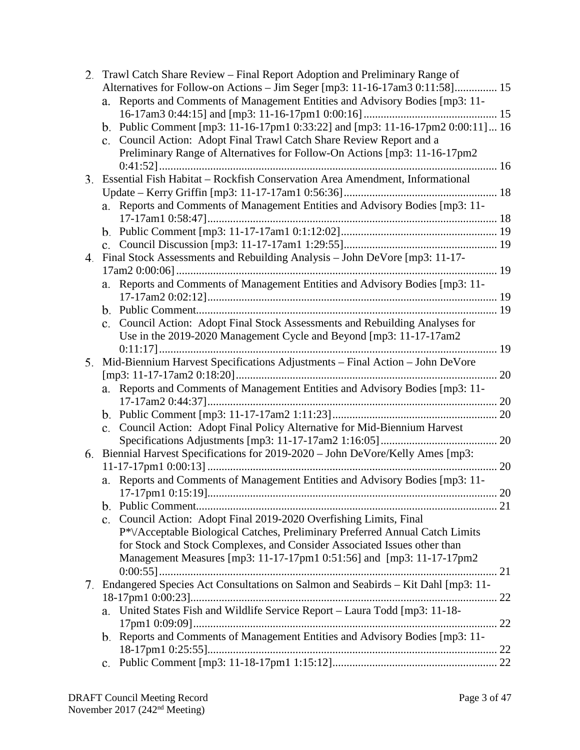| 2. | Trawl Catch Share Review – Final Report Adoption and Preliminary Range of                   |    |
|----|---------------------------------------------------------------------------------------------|----|
|    | Alternatives for Follow-on Actions - Jim Seger [mp3: 11-16-17am3 0:11:58] 15                |    |
|    | Reports and Comments of Management Entities and Advisory Bodies [mp3: 11-<br>a.             |    |
|    |                                                                                             |    |
|    | b. Public Comment [mp3: 11-16-17pm1 0:33:22] and [mp3: 11-16-17pm2 0:00:11]  16             |    |
|    | Council Action: Adopt Final Trawl Catch Share Review Report and a<br>c.                     |    |
|    | Preliminary Range of Alternatives for Follow-On Actions [mp3: 11-16-17pm2                   |    |
|    |                                                                                             |    |
|    | 3. Essential Fish Habitat – Rockfish Conservation Area Amendment, Informational             |    |
|    |                                                                                             |    |
|    | a. Reports and Comments of Management Entities and Advisory Bodies [mp3: 11-                |    |
|    |                                                                                             |    |
|    |                                                                                             |    |
|    |                                                                                             |    |
| 4. | Final Stock Assessments and Rebuilding Analysis - John DeVore [mp3: 11-17-                  |    |
|    |                                                                                             |    |
|    | Reports and Comments of Management Entities and Advisory Bodies [mp3: 11-<br>a.             |    |
|    |                                                                                             |    |
|    |                                                                                             |    |
|    | Council Action: Adopt Final Stock Assessments and Rebuilding Analyses for<br>$\mathbf{c}$ . |    |
|    | Use in the 2019-2020 Management Cycle and Beyond [mp3: 11-17-17am2]                         |    |
|    |                                                                                             |    |
| 5. | Mid-Biennium Harvest Specifications Adjustments - Final Action - John DeVore                |    |
|    |                                                                                             |    |
|    | a. Reports and Comments of Management Entities and Advisory Bodies [mp3: 11-                |    |
|    |                                                                                             |    |
|    |                                                                                             |    |
|    | Council Action: Adopt Final Policy Alternative for Mid-Biennium Harvest<br>c.               |    |
|    |                                                                                             |    |
| 6. | Biennial Harvest Specifications for 2019-2020 - John DeVore/Kelly Ames [mp3:                |    |
|    |                                                                                             | 20 |
|    | a. Reports and Comments of Management Entities and Advisory Bodies [mp3: 11-                |    |
|    |                                                                                             |    |
|    |                                                                                             |    |
|    | Council Action: Adopt Final 2019-2020 Overfishing Limits, Final<br>$\mathbf{c}$ .           |    |
|    | P*/Acceptable Biological Catches, Preliminary Preferred Annual Catch Limits                 |    |
|    | for Stock and Stock Complexes, and Consider Associated Issues other than                    |    |
|    | Management Measures [mp3: 11-17-17pm1 0:51:56] and [mp3: 11-17-17pm2                        |    |
|    |                                                                                             |    |
| 7. | Endangered Species Act Consultations on Salmon and Seabirds - Kit Dahl [mp3: 11-            |    |
|    |                                                                                             |    |
|    | a. United States Fish and Wildlife Service Report - Laura Todd [mp3: 11-18-                 |    |
|    |                                                                                             | 22 |
|    | b. Reports and Comments of Management Entities and Advisory Bodies [mp3: 11-                |    |
|    |                                                                                             |    |
|    | c.                                                                                          |    |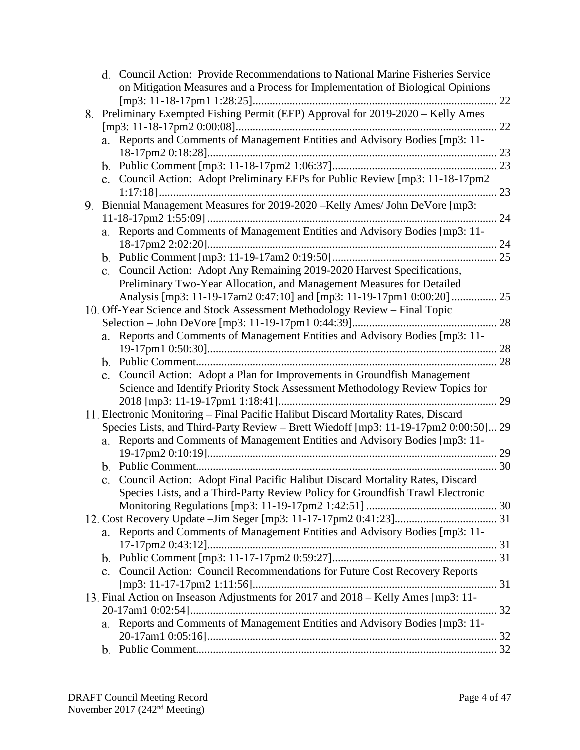|             | d. Council Action: Provide Recommendations to National Marine Fisheries Service     |    |
|-------------|-------------------------------------------------------------------------------------|----|
|             | on Mitigation Measures and a Process for Implementation of Biological Opinions      |    |
|             |                                                                                     |    |
|             | 8. Preliminary Exempted Fishing Permit (EFP) Approval for 2019-2020 - Kelly Ames    |    |
|             |                                                                                     | 22 |
|             | a. Reports and Comments of Management Entities and Advisory Bodies [mp3: 11-        |    |
|             |                                                                                     | 23 |
|             |                                                                                     |    |
|             | c. Council Action: Adopt Preliminary EFPs for Public Review [mp3: 11-18-17pm2       |    |
|             |                                                                                     | 23 |
|             | 9. Biennial Management Measures for 2019-2020 -Kelly Ames/ John DeVore [mp3:        |    |
|             |                                                                                     |    |
| a.          | Reports and Comments of Management Entities and Advisory Bodies [mp3: 11-           |    |
|             |                                                                                     |    |
|             |                                                                                     |    |
|             | c. Council Action: Adopt Any Remaining 2019-2020 Harvest Specifications,            |    |
|             | Preliminary Two-Year Allocation, and Management Measures for Detailed               |    |
|             | Analysis [mp3: 11-19-17am2 0:47:10] and [mp3: 11-19-17pm1 0:00:20]  25              |    |
|             | 10. Off-Year Science and Stock Assessment Methodology Review – Final Topic          |    |
|             |                                                                                     | 28 |
| a.          | Reports and Comments of Management Entities and Advisory Bodies [mp3: 11-           |    |
|             |                                                                                     |    |
|             |                                                                                     |    |
|             | c. Council Action: Adopt a Plan for Improvements in Groundfish Management           |    |
|             | Science and Identify Priority Stock Assessment Methodology Review Topics for        | 29 |
|             | 11. Electronic Monitoring – Final Pacific Halibut Discard Mortality Rates, Discard  |    |
|             | Species Lists, and Third-Party Review - Brett Wiedoff [mp3: 11-19-17pm2 0:00:50] 29 |    |
| a.          | Reports and Comments of Management Entities and Advisory Bodies [mp3: 11-           |    |
|             |                                                                                     |    |
|             |                                                                                     |    |
| $c_{\cdot}$ | Council Action: Adopt Final Pacific Halibut Discard Mortality Rates, Discard        |    |
|             | Species Lists, and a Third-Party Review Policy for Groundfish Trawl Electronic      |    |
|             |                                                                                     |    |
|             |                                                                                     |    |
| а.          | Reports and Comments of Management Entities and Advisory Bodies [mp3: 11-           |    |
|             |                                                                                     |    |
|             |                                                                                     |    |
| $c_{\cdot}$ | Council Action: Council Recommendations for Future Cost Recovery Reports            |    |
|             |                                                                                     |    |
|             | 13. Final Action on Inseason Adjustments for 2017 and 2018 - Kelly Ames [mp3: 11-   |    |
|             |                                                                                     |    |
| a.          | Reports and Comments of Management Entities and Advisory Bodies [mp3: 11-           |    |
|             |                                                                                     |    |
|             |                                                                                     |    |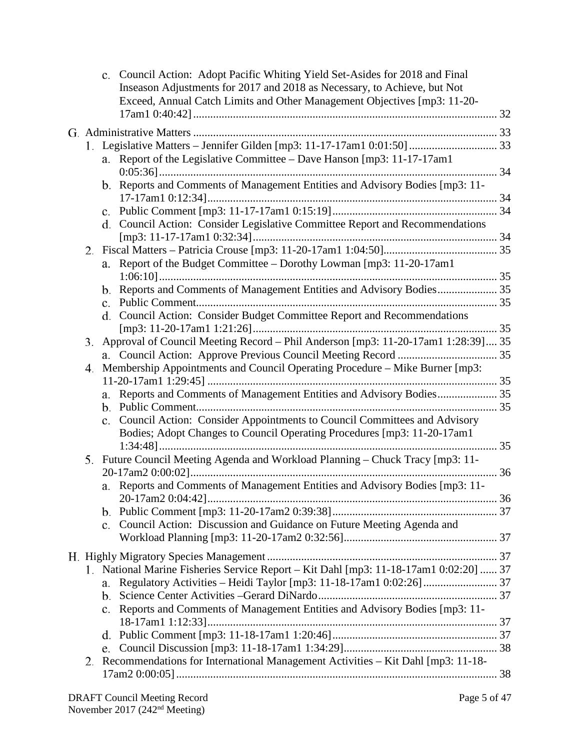|    | c. Council Action: Adopt Pacific Whiting Yield Set-Asides for 2018 and Final<br>Inseason Adjustments for 2017 and 2018 as Necessary, to Achieve, but Not<br>Exceed, Annual Catch Limits and Other Management Objectives [mp3: 11-20- |  |
|----|--------------------------------------------------------------------------------------------------------------------------------------------------------------------------------------------------------------------------------------|--|
|    |                                                                                                                                                                                                                                      |  |
|    |                                                                                                                                                                                                                                      |  |
|    | a. Report of the Legislative Committee - Dave Hanson [mp3: 11-17-17am1                                                                                                                                                               |  |
|    |                                                                                                                                                                                                                                      |  |
|    | b. Reports and Comments of Management Entities and Advisory Bodies [mp3: 11-                                                                                                                                                         |  |
|    |                                                                                                                                                                                                                                      |  |
|    | c.                                                                                                                                                                                                                                   |  |
|    | d. Council Action: Consider Legislative Committee Report and Recommendations                                                                                                                                                         |  |
|    |                                                                                                                                                                                                                                      |  |
|    |                                                                                                                                                                                                                                      |  |
|    | a. Report of the Budget Committee - Dorothy Lowman [mp3: 11-20-17am1                                                                                                                                                                 |  |
|    |                                                                                                                                                                                                                                      |  |
|    | b. Reports and Comments of Management Entities and Advisory Bodies 35                                                                                                                                                                |  |
|    |                                                                                                                                                                                                                                      |  |
|    | d. Council Action: Consider Budget Committee Report and Recommendations                                                                                                                                                              |  |
|    | 3. Approval of Council Meeting Record - Phil Anderson [mp3: 11-20-17am1 1:28:39] 35                                                                                                                                                  |  |
|    |                                                                                                                                                                                                                                      |  |
| 4. | Membership Appointments and Council Operating Procedure - Mike Burner [mp3:                                                                                                                                                          |  |
|    |                                                                                                                                                                                                                                      |  |
|    | a. Reports and Comments of Management Entities and Advisory Bodies 35                                                                                                                                                                |  |
|    |                                                                                                                                                                                                                                      |  |
|    | c. Council Action: Consider Appointments to Council Committees and Advisory                                                                                                                                                          |  |
|    | Bodies; Adopt Changes to Council Operating Procedures [mp3: 11-20-17am1                                                                                                                                                              |  |
|    | $1:34:48]$                                                                                                                                                                                                                           |  |
|    | 5. Future Council Meeting Agenda and Workload Planning - Chuck Tracy [mp3: 11-                                                                                                                                                       |  |
|    |                                                                                                                                                                                                                                      |  |
|    | a. Reports and Comments of Management Entities and Advisory Bodies [mp3: 11-                                                                                                                                                         |  |
|    |                                                                                                                                                                                                                                      |  |
|    | b.                                                                                                                                                                                                                                   |  |
|    | Council Action: Discussion and Guidance on Future Meeting Agenda and<br>$\mathbf{c}$ .                                                                                                                                               |  |
|    |                                                                                                                                                                                                                                      |  |
|    |                                                                                                                                                                                                                                      |  |
|    | 1. National Marine Fisheries Service Report - Kit Dahl [mp3: 11-18-17am1 0:02:20]  37                                                                                                                                                |  |
|    | a.                                                                                                                                                                                                                                   |  |
|    | b.                                                                                                                                                                                                                                   |  |
|    | c. Reports and Comments of Management Entities and Advisory Bodies [mp3: 11-                                                                                                                                                         |  |
|    |                                                                                                                                                                                                                                      |  |
|    | d.<br>e.                                                                                                                                                                                                                             |  |
| 2. | Recommendations for International Management Activities - Kit Dahl [mp3: 11-18-                                                                                                                                                      |  |
|    |                                                                                                                                                                                                                                      |  |
|    |                                                                                                                                                                                                                                      |  |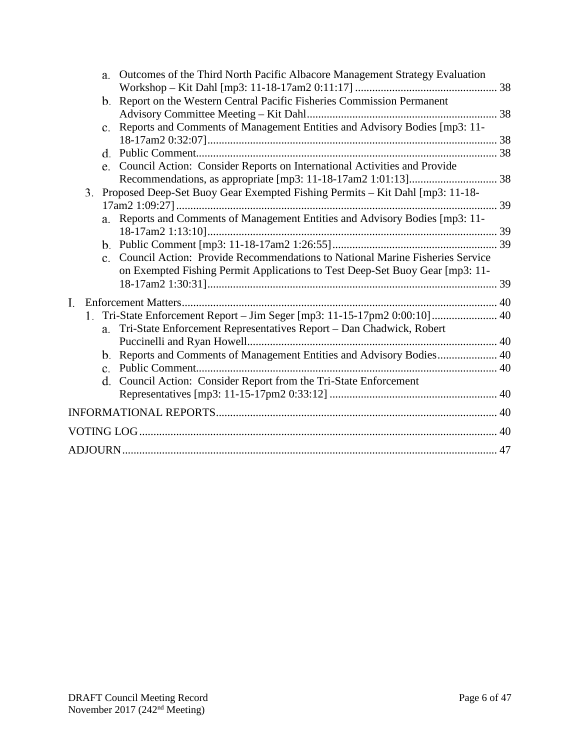|    |    | a.             | Outcomes of the Third North Pacific Albacore Management Strategy Evaluation                                                                                  |  |
|----|----|----------------|--------------------------------------------------------------------------------------------------------------------------------------------------------------|--|
|    |    |                | b. Report on the Western Central Pacific Fisheries Commission Permanent                                                                                      |  |
|    |    |                |                                                                                                                                                              |  |
|    |    | $\mathbf{c}$ . | Reports and Comments of Management Entities and Advisory Bodies [mp3: 11-                                                                                    |  |
|    |    |                |                                                                                                                                                              |  |
|    |    |                |                                                                                                                                                              |  |
|    |    |                | e. Council Action: Consider Reports on International Activities and Provide                                                                                  |  |
|    |    |                |                                                                                                                                                              |  |
|    | 3. |                | Proposed Deep-Set Buoy Gear Exempted Fishing Permits – Kit Dahl [mp3: 11-18-                                                                                 |  |
|    |    |                |                                                                                                                                                              |  |
|    |    |                | a. Reports and Comments of Management Entities and Advisory Bodies [mp3: 11-                                                                                 |  |
|    |    |                |                                                                                                                                                              |  |
|    |    | $\mathbf{c}$ . | Council Action: Provide Recommendations to National Marine Fisheries Service<br>on Exempted Fishing Permit Applications to Test Deep-Set Buoy Gear [mp3: 11- |  |
| I. |    |                |                                                                                                                                                              |  |
|    | 1. |                | Tri-State Enforcement Report - Jim Seger [mp3: 11-15-17pm2 0:00:10] 40<br>a. Tri-State Enforcement Representatives Report - Dan Chadwick, Robert             |  |
|    |    |                |                                                                                                                                                              |  |
|    |    | b.             | Reports and Comments of Management Entities and Advisory Bodies 40                                                                                           |  |
|    |    | c.             |                                                                                                                                                              |  |
|    |    |                | d. Council Action: Consider Report from the Tri-State Enforcement                                                                                            |  |
|    |    |                |                                                                                                                                                              |  |
|    |    |                |                                                                                                                                                              |  |
|    |    |                |                                                                                                                                                              |  |
|    |    |                |                                                                                                                                                              |  |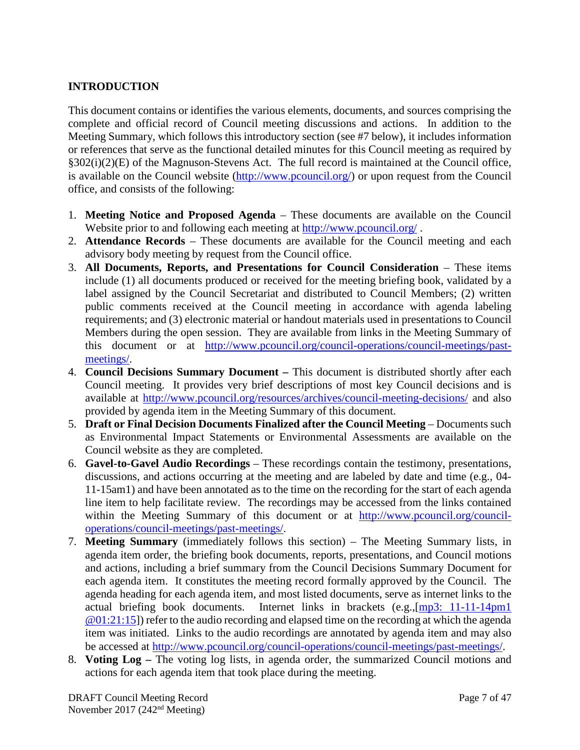## <span id="page-6-0"></span>**INTRODUCTION**

This document contains or identifies the various elements, documents, and sources comprising the complete and official record of Council meeting discussions and actions. In addition to the Meeting Summary, which follows this introductory section (see #7 below), it includes information or references that serve as the functional detailed minutes for this Council meeting as required by §302(i)(2)(E) of the Magnuson-Stevens Act. The full record is maintained at the Council office, is available on the Council website [\(http://www.pcouncil.org/\)](http://www.pcouncil.org/) or upon request from the Council office, and consists of the following:

- 1. **Meeting Notice and Proposed Agenda** These documents are available on the Council Website prior to and following each meeting at<http://www.pcouncil.org/>.
- 2. **Attendance Records** These documents are available for the Council meeting and each advisory body meeting by request from the Council office.
- 3. **All Documents, Reports, and Presentations for Council Consideration** These items include (1) all documents produced or received for the meeting briefing book, validated by a label assigned by the Council Secretariat and distributed to Council Members; (2) written public comments received at the Council meeting in accordance with agenda labeling requirements; and (3) electronic material or handout materials used in presentations to Council Members during the open session. They are available from links in the Meeting Summary of this document or at [http://www.pcouncil.org/council-operations/council-meetings/past](http://www.pcouncil.org/council-operations/council-meetings/past-meetings/)[meetings/.](http://www.pcouncil.org/council-operations/council-meetings/past-meetings/)
- 4. **Council Decisions Summary Document –** This document is distributed shortly after each Council meeting. It provides very brief descriptions of most key Council decisions and is available at<http://www.pcouncil.org/resources/archives/council-meeting-decisions/> and also provided by agenda item in the Meeting Summary of this document.
- 5. **Draft or Final Decision Documents Finalized after the Council Meeting** Documents such as Environmental Impact Statements or Environmental Assessments are available on the Council website as they are completed.
- 6. **Gavel-to-Gavel Audio Recordings** These recordings contain the testimony, presentations, discussions, and actions occurring at the meeting and are labeled by date and time (e.g., 04- 11-15am1) and have been annotated as to the time on the recording for the start of each agenda line item to help facilitate review. The recordings may be accessed from the links contained within the Meeting Summary of this document or at [http://www.pcouncil.org/council](http://www.pcouncil.org/council-operations/council-meetings/past-meetings/)[operations/council-meetings/past-meetings/.](http://www.pcouncil.org/council-operations/council-meetings/past-meetings/)
- 7. **Meeting Summary** (immediately follows this section) The Meeting Summary lists, in agenda item order, the briefing book documents, reports, presentations, and Council motions and actions, including a brief summary from the Council Decisions Summary Document for each agenda item. It constitutes the meeting record formally approved by the Council. The agenda heading for each agenda item, and most listed documents, serve as internet links to the actual briefing book documents. Internet links in brackets (e.g.,[\[mp3: 11-11-14pm1](ftp://ftp.pcouncil.org/pub/R1411_November_2014_Recordings/11-14-14pm1Copy.mp3) @01:21:15]) refer to the audio recording and elapsed time on the recording at which the agenda item was initiated. Links to the audio recordings are annotated by agenda item and may also be accessed at [http://www.pcouncil.org/council-operations/council-meetings/past-meetings/.](http://www.pcouncil.org/council-operations/council-meetings/past-meetings/)
- 8. **Voting Log –** The voting log lists, in agenda order, the summarized Council motions and actions for each agenda item that took place during the meeting.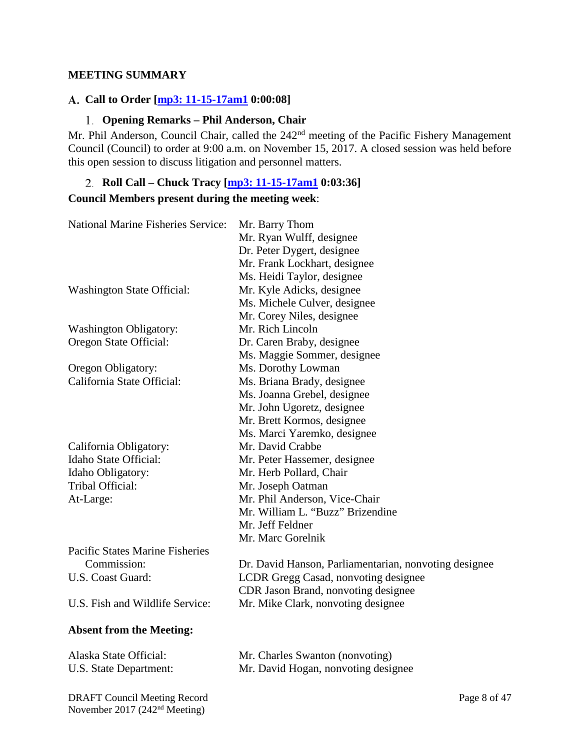### <span id="page-7-0"></span>**MEETING SUMMARY**

## <span id="page-7-1"></span>**Call to Order [\[mp3: 11-15-17am1](ftp://ftp.pcouncil.org/pub/R1711_November_2017_Recordings/11-15-17am1Copy.mp3) 0:00:08]**

### **Opening Remarks – Phil Anderson, Chair**

<span id="page-7-2"></span>Mr. Phil Anderson, Council Chair, called the 242<sup>nd</sup> meeting of the Pacific Fishery Management Council (Council) to order at 9:00 a.m. on November 15, 2017. A closed session was held before this open session to discuss litigation and personnel matters.

# <span id="page-7-3"></span>**Roll Call – Chuck Tracy [\[mp3: 11-15-17am1](ftp://ftp.pcouncil.org/pub/R1711_November_2017_Recordings/11-15-17am1Copy.mp3) 0:03:36] Council Members present during the meeting week**:

| <b>National Marine Fisheries Service:</b> | Mr. Barry Thom<br>Mr. Ryan Wulff, designee<br>Dr. Peter Dygert, designee |
|-------------------------------------------|--------------------------------------------------------------------------|
|                                           | Mr. Frank Lockhart, designee                                             |
|                                           | Ms. Heidi Taylor, designee                                               |
| <b>Washington State Official:</b>         | Mr. Kyle Adicks, designee                                                |
|                                           | Ms. Michele Culver, designee                                             |
|                                           | Mr. Corey Niles, designee                                                |
| <b>Washington Obligatory:</b>             | Mr. Rich Lincoln                                                         |
| Oregon State Official:                    | Dr. Caren Braby, designee                                                |
|                                           | Ms. Maggie Sommer, designee                                              |
| Oregon Obligatory:                        | Ms. Dorothy Lowman                                                       |
| California State Official:                | Ms. Briana Brady, designee                                               |
|                                           | Ms. Joanna Grebel, designee                                              |
|                                           | Mr. John Ugoretz, designee                                               |
|                                           | Mr. Brett Kormos, designee                                               |
|                                           | Ms. Marci Yaremko, designee                                              |
| California Obligatory:                    | Mr. David Crabbe                                                         |
| Idaho State Official:                     | Mr. Peter Hassemer, designee                                             |
| Idaho Obligatory:                         | Mr. Herb Pollard, Chair                                                  |
| Tribal Official:                          | Mr. Joseph Oatman                                                        |
| At-Large:                                 | Mr. Phil Anderson, Vice-Chair                                            |
|                                           | Mr. William L. "Buzz" Brizendine                                         |
|                                           | Mr. Jeff Feldner                                                         |
|                                           | Mr. Marc Gorelnik                                                        |
| <b>Pacific States Marine Fisheries</b>    |                                                                          |
| Commission:                               | Dr. David Hanson, Parliamentarian, nonvoting designee                    |
| U.S. Coast Guard:                         | LCDR Gregg Casad, nonvoting designee                                     |
|                                           | CDR Jason Brand, nonvoting designee                                      |
| U.S. Fish and Wildlife Service:           | Mr. Mike Clark, nonvoting designee                                       |
| <b>Absent from the Meeting:</b>           |                                                                          |
| Alaska State Official:                    | Mr. Charles Swanton (nonvoting)                                          |
| U.S. State Department:                    | Mr. David Hogan, nonvoting designee                                      |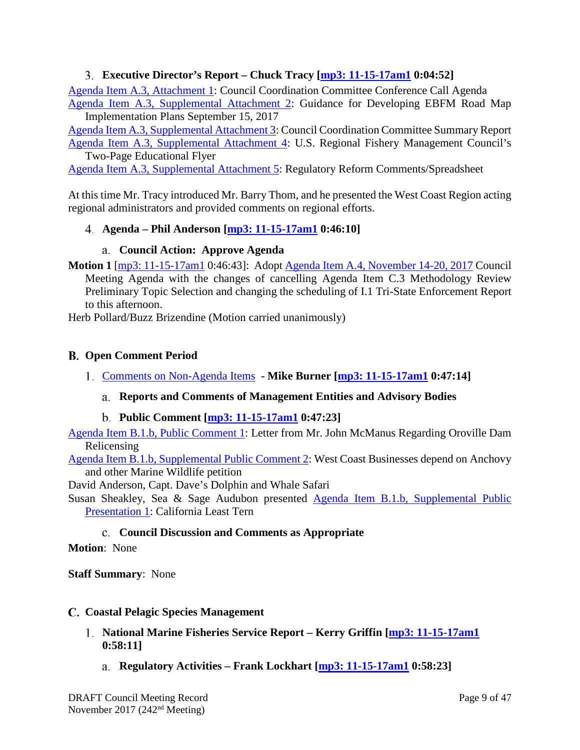## **Executive Director's Report – Chuck Tracy [\[mp3: 11-15-17am1](ftp://ftp.pcouncil.org/pub/R1711_November_2017_Recordings/11-15-17am1Copy.mp3) 0:04:52]**

<span id="page-8-0"></span>[Agenda Item A.3, Attachment 1:](http://www.pcouncil.org/wp-content/uploads/2017/10/A3_Att1_CCCcall_Agenda_NOV2017BB.pdf) Council Coordination Committee Conference Call Agenda [Agenda Item A.3, Supplemental Attachment 2:](https://www.pcouncil.org/wp-content/uploads/2017/11/A3_Sup_Att2_EBFMpolicy_NOV2017BB.pdf) Guidance for Developing EBFM Road Map

Implementation Plans September 15, 2017

[Agenda Item A.3, Supplemental Attachment 3:](https://www.pcouncil.org/wp-content/uploads/2017/11/A3_Sup_Att3_EDsRpt_NOV2017BB.pdf) Council Coordination Committee Summary Report [Agenda Item A.3, Supplemental Attachment 4:](https://www.pcouncil.org/wp-content/uploads/2017/11/A3_Sup_Att4_RFMCflyer_NOV2017BB.pdf) U.S. Regional Fishery Management Council's Two-Page Educational Flyer

[Agenda Item A.3, Supplemental Attachment 5:](https://www.pcouncil.org/wp-content/uploads/2017/11/A3_Sup_Att5_WCR-PFMC_Regs_NOV2017BB.pdf) Regulatory Reform Comments/Spreadsheet

At this time Mr. Tracy introduced Mr. Barry Thom, and he presented the West Coast Region acting regional administrators and provided comments on regional efforts.

### <span id="page-8-1"></span>**Agenda – Phil Anderson [\[mp3: 11-15-17am1](ftp://ftp.pcouncil.org/pub/R1711_November_2017_Recordings/11-15-17am1Copy.mp3) 0:46:10]**

### **Council Action: Approve Agenda**

<span id="page-8-2"></span>**Motion 1** [\[mp3: 11-15-17am1](ftp://ftp.pcouncil.org/pub/R1711_November_2017_Recordings/11-15-17am1Copy.mp3) 0:46:43]: Adopt [Agenda Item A.4, November](http://www.pcouncil.org/wp-content/uploads/2017/10/A4__Agenda_Nov2017BB_v2.pdf) 14-20, 2017 Council Meeting Agenda with the changes of cancelling Agenda Item C.3 Methodology Review Preliminary Topic Selection and changing the scheduling of I.1 Tri-State Enforcement Report to this afternoon.

Herb Pollard/Buzz Brizendine (Motion carried unanimously)

### <span id="page-8-3"></span>**Open Comment Period**

<span id="page-8-5"></span><span id="page-8-4"></span>[Comments on Non-Agenda Items](http://www.pcouncil.org/wp-content/uploads/2017/10/B1__SitSum_Nov2017BB.pdf) **- Mike Burner [\[mp3: 11-15-17am1](ftp://ftp.pcouncil.org/pub/R1711_November_2017_Recordings/11-15-17am1Copy.mp3) 0:47:14]**

### **Reports and Comments of Management Entities and Advisory Bodies**

### **Public Comment [\[mp3: 11-15-17am1](ftp://ftp.pcouncil.org/pub/R1711_November_2017_Recordings/11-15-17am1Copy.mp3) 0:47:23]**

<span id="page-8-6"></span>[Agenda Item B.1.b, Public Comment 1:](http://www.pcouncil.org/wp-content/uploads/2017/10/B1b_PublicComment_1_Sept-12_Oroville_McManus_Nov2017BB.pdf) Letter from Mr. John McManus Regarding Oroville Dam Relicensing

[Agenda Item B.1.b, Supplemental Public Comment 2:](https://www.pcouncil.org/wp-content/uploads/2017/11/B1b_Sup_PubCom2_Nov2017BB.pdf) West Coast Businesses depend on Anchovy and other Marine Wildlife petition

David Anderson, Capt. Dave's Dolphin and Whale Safari

Susan Sheakley, Sea & Sage Audubon presented [Agenda Item B.1.b, Supplemental Public](https://www.pcouncil.org/wp-content/uploads/2017/11/B1b_Sup_PubPresentation1_Sheakley_Terns_SASAS_NOV2017BB.pdf)  [Presentation 1:](https://www.pcouncil.org/wp-content/uploads/2017/11/B1b_Sup_PubPresentation1_Sheakley_Terns_SASAS_NOV2017BB.pdf) California Least Tern

### **Council Discussion and Comments as Appropriate**

### <span id="page-8-7"></span>**Motion**: None

**Staff Summary**: None

### <span id="page-8-8"></span>**Coastal Pelagic Species Management**

- <span id="page-8-10"></span><span id="page-8-9"></span>**[National Marine Fisheries Service Report](http://www.pcouncil.org/wp-content/uploads/2017/10/C1__SitSum_NMFS_Rpt_CPS_Nov2017BB.pdf) – Kerry Griffin [\[mp3: 11-15-17am1](ftp://ftp.pcouncil.org/pub/R1711_November_2017_Recordings/11-15-17am1Copy.mp3) 0:58:11]**
	- **Regulatory Activities – Frank Lockhart [\[mp3: 11-15-17am1](ftp://ftp.pcouncil.org/pub/R1711_November_2017_Recordings/11-15-17am1Copy.mp3) 0:58:23]**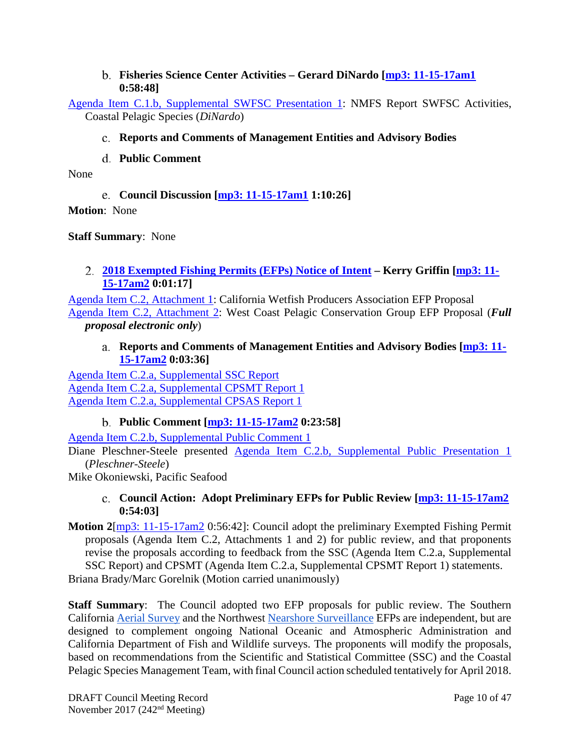### **Fisheries Science Center Activities – Gerard DiNardo [\[mp3: 11-15-17am1](ftp://ftp.pcouncil.org/pub/R1711_November_2017_Recordings/11-15-17am1Copy.mp3) 0:58:48]**

<span id="page-9-1"></span><span id="page-9-0"></span>[Agenda Item C.1.b, Supplemental SWFSC Presentation 1:](https://www.pcouncil.org/wp-content/uploads/2017/11/C1b_Sup_SWFSC_Presentation1_Dinardo_NOV2017BB.pdf) NMFS Report SWFSC Activities, Coastal Pelagic Species (*DiNardo*)

## **Reports and Comments of Management Entities and Advisory Bodies**

**Public Comment**

<span id="page-9-3"></span><span id="page-9-2"></span>None

**Council Discussion [\[mp3: 11-15-17am1](ftp://ftp.pcouncil.org/pub/R1711_November_2017_Recordings/11-15-17am1Copy.mp3) 1:10:26]**

**Motion**: None

**Staff Summary**: None

## <span id="page-9-4"></span>**[2018 Exempted Fishing Permits \(EFPs\) Notice of Intent](http://www.pcouncil.org/wp-content/uploads/2017/10/C2__SitSum_2018_EFP_NOI_Nov2017BB.pdf) – Kerry Griffin [\[mp3: 11-](ftp://ftp.pcouncil.org/pub/R1711_November_2017_Recordings/11-15-17am2Copy.mp3) [15-17am2](ftp://ftp.pcouncil.org/pub/R1711_November_2017_Recordings/11-15-17am2Copy.mp3) 0:01:17]**

[Agenda Item C.2, Attachment 1:](http://www.pcouncil.org/wp-content/uploads/2017/10/C2_Att_1_CWPA_Proposal_Nov2017BB.pdf) California Wetfish Producers Association EFP Proposal [Agenda Item C.2, Attachment 2:](http://www.pcouncil.org/wp-content/uploads/2017/10/C2_Att_2_WCP_EFP_Proposal_FullDoc_E-Only_Nov2017BB.pdf) West Coast Pelagic Conservation Group EFP Proposal (*Full proposal electronic only*)

## **Reports and Comments of Management Entities and Advisory Bodies [\[mp3: 11-](ftp://ftp.pcouncil.org/pub/R1711_November_2017_Recordings/11-15-17am2Copy.mp3) [15-17am2](ftp://ftp.pcouncil.org/pub/R1711_November_2017_Recordings/11-15-17am2Copy.mp3) 0:03:36]**

<span id="page-9-5"></span>[Agenda Item C.2.a, Supplemental SSC Report](https://www.pcouncil.org/wp-content/uploads/2017/11/C2a_Sup_SSC_Rpt1_NOV2017BB.pdf) [Agenda Item C.2.a, Supplemental CPSMT Report 1](https://www.pcouncil.org/wp-content/uploads/2017/11/C2a_Sup_CPSMT_Rpt1_NOV2017BB.pdf) [Agenda Item C.2.a, Supplemental CPSAS Report 1](https://www.pcouncil.org/wp-content/uploads/2017/11/C2a_Sup_CPSAS_Rpt1_NOV2017BB.pdf)

# **Public Comment [\[mp3: 11-15-17am2](ftp://ftp.pcouncil.org/pub/R1711_November_2017_Recordings/11-15-17am2Copy.mp3) 0:23:58]**

<span id="page-9-6"></span>[Agenda Item C.2.b, Supplemental Public Comment 1](https://www.pcouncil.org/wp-content/uploads/2017/11/C2b_Sup_PubCom1_Nov2017BB.pdf)

Diane Pleschner-Steele presented [Agenda Item C.2.b, Supplemental Public Presentation 1](https://www.pcouncil.org/wp-content/uploads/2017/11/C2b_Sup_PubPresentation1_Pleshner_WPA_EFP_Sardine_NOVBB2017_.pdf) (*Pleschner-Steele*)

<span id="page-9-7"></span>Mike Okoniewski, Pacific Seafood

## **Council Action: Adopt Preliminary EFPs for Public Review [\[mp3: 11-15-17am2](ftp://ftp.pcouncil.org/pub/R1711_November_2017_Recordings/11-15-17am2Copy.mp3) 0:54:03]**

**Motion 2**[\[mp3: 11-15-17am2](ftp://ftp.pcouncil.org/pub/R1711_November_2017_Recordings/11-15-17am2Copy.mp3) 0:56:42]: Council adopt the preliminary Exempted Fishing Permit proposals (Agenda Item C.2, Attachments 1 and 2) for public review, and that proponents revise the proposals according to feedback from the SSC (Agenda Item C.2.a, Supplemental SSC Report) and CPSMT (Agenda Item C.2.a, Supplemental CPSMT Report 1) statements.

Briana Brady/Marc Gorelnik (Motion carried unanimously)

**Staff Summary**: The Council adopted two EFP proposals for public review. The Southern California [Aerial Survey](http://www.pcouncil.org/wp-content/uploads/2017/10/C2_Att_1_CWPA_Proposal_Nov2017BB.pdf) and the Northwest [Nearshore Surveillance](http://www.pcouncil.org/wp-content/uploads/2017/10/C2_Att_2_WCP_EFP_Proposal_FullDoc_E-Only_Nov2017BB.pdf) EFPs are independent, but are designed to complement ongoing National Oceanic and Atmospheric Administration and California Department of Fish and Wildlife surveys. The proponents will modify the proposals, based on recommendations from the Scientific and Statistical Committee (SSC) and the Coastal Pelagic Species Management Team, with final Council action scheduled tentatively for April 2018.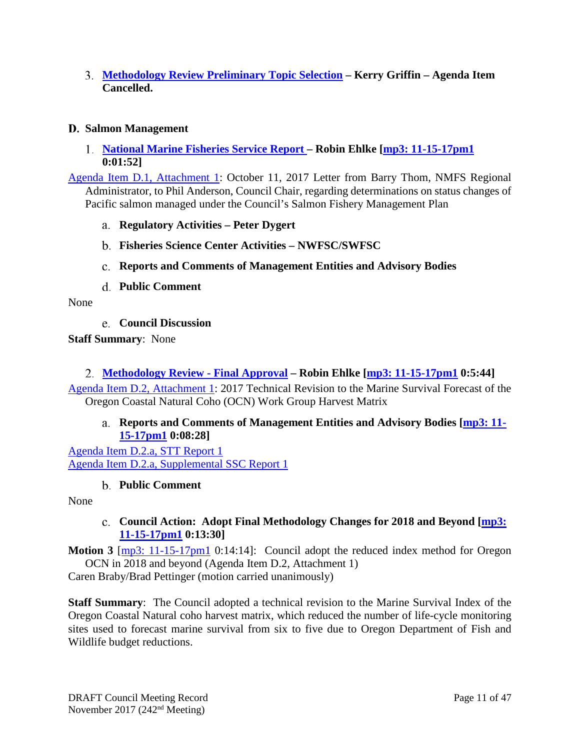<span id="page-10-0"></span>**[Methodology Review Preliminary Topic Selection](http://www.pcouncil.org/wp-content/uploads/2017/10/C3__SitSum_Methodology_Review_Nov2017BB.pdf) – Kerry Griffin – Agenda Item Cancelled.**

### <span id="page-10-1"></span>**Salmon Management**

<span id="page-10-2"></span>**[National Marine Fisheries Service Report –](http://www.pcouncil.org/wp-content/uploads/2017/10/D1__SitSum_NMFS_Rpt_NOV2017BB.pdf) Robin Ehlke [\[mp3: 11-15-17pm1](ftp://ftp.pcouncil.org/pub/R1711_November_2017_Recordings/11-15-17pm1Copy.mp3) 0:01:52]**

[Agenda Item D.1, Attachment 1:](http://www.pcouncil.org/wp-content/uploads/2017/10/D1_Att1_StockStatusLetter_NOV2017BB.pdf) October 11, 2017 Letter from Barry Thom, NMFS Regional Administrator, to Phil Anderson, Council Chair, regarding determinations on status changes of Pacific salmon managed under the Council's Salmon Fishery Management Plan

- <span id="page-10-3"></span>**Regulatory Activities – Peter Dygert**
- <span id="page-10-4"></span>**Fisheries Science Center Activities – NWFSC/SWFSC**
- <span id="page-10-5"></span>**Reports and Comments of Management Entities and Advisory Bodies**
- **Public Comment**

<span id="page-10-7"></span><span id="page-10-6"></span>None

**Council Discussion**

**Staff Summary**: None

### <span id="page-10-8"></span>**[Methodology Review -](http://www.pcouncil.org/wp-content/uploads/2017/10/D2__SitSum_SalMethRev_NOV2017BB.pdf) Final Approval – Robin Ehlke [\[mp3: 11-15-17pm1](ftp://ftp.pcouncil.org/pub/R1711_November_2017_Recordings/11-15-17pm1Copy.mp3) 0:5:44]**

<span id="page-10-9"></span>[Agenda Item D.2, Attachment 1:](http://www.pcouncil.org/wp-content/uploads/2017/10/D2_Att1_OCN_NOV2017BB.pdf) 2017 Technical Revision to the Marine Survival Forecast of the Oregon Coastal Natural Coho (OCN) Work Group Harvest Matrix

### **Reports and Comments of Management Entities and Advisory Bodies [\[mp3: 11-](ftp://ftp.pcouncil.org/pub/R1711_November_2017_Recordings/11-15-17pm1Copy.mp3) [15-17pm1](ftp://ftp.pcouncil.org/pub/R1711_November_2017_Recordings/11-15-17pm1Copy.mp3) 0:08:28]**

[Agenda Item D.2.a, STT Report 1](http://www.pcouncil.org/wp-content/uploads/2017/10/D2a_STT_Rpt1_NOV2017BB.pdf) [Agenda Item D.2.a, Supplemental SSC Report 1](https://www.pcouncil.org/wp-content/uploads/2017/11/D2a_Sup_SSC_Rpt1_SalmonMeth_NOV2017BB.pdf)

### **Public Comment**

<span id="page-10-11"></span><span id="page-10-10"></span>None

## **Council Action: Adopt Final Methodology Changes for 2018 and Beyond [\[mp3:](ftp://ftp.pcouncil.org/pub/R1711_November_2017_Recordings/11-15-17pm1Copy.mp3)  [11-15-17pm1](ftp://ftp.pcouncil.org/pub/R1711_November_2017_Recordings/11-15-17pm1Copy.mp3) 0:13:30]**

**Motion 3** [\[mp3: 11-15-17pm1](ftp://ftp.pcouncil.org/pub/R1711_November_2017_Recordings/11-15-17pm1Copy.mp3) 0:14:14]: Council adopt the reduced index method for Oregon OCN in 2018 and beyond (Agenda Item D.2, Attachment 1)

Caren Braby/Brad Pettinger (motion carried unanimously)

**Staff Summary**: The Council adopted a technical revision to the Marine Survival Index of the Oregon Coastal Natural coho harvest matrix, which reduced the number of life-cycle monitoring sites used to forecast marine survival from six to five due to Oregon Department of Fish and Wildlife budget reductions.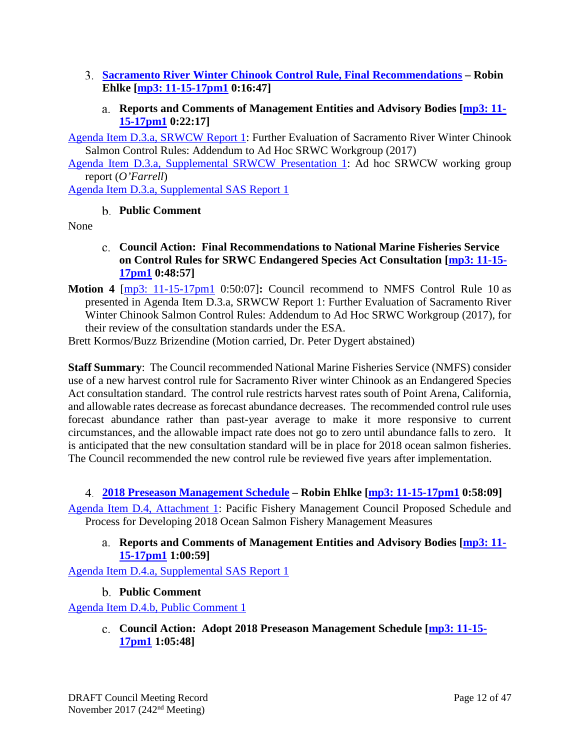- <span id="page-11-0"></span>**[Sacramento River Winter Chinook Control Rule, Final](http://www.pcouncil.org/wp-content/uploads/2017/10/D3__SitSum_SRWCW_NOV2017BB.pdf) Recommendations – Robin Ehlke [\[mp3: 11-15-17pm1](ftp://ftp.pcouncil.org/pub/R1711_November_2017_Recordings/11-15-17pm1Copy.mp3) 0:16:47]**
	- **Reports and Comments of Management Entities and Advisory Bodies [\[mp3: 11-](ftp://ftp.pcouncil.org/pub/R1711_November_2017_Recordings/11-15-17pm1Copy.mp3) [15-17pm1](ftp://ftp.pcouncil.org/pub/R1711_November_2017_Recordings/11-15-17pm1Copy.mp3) 0:22:17]**

<span id="page-11-1"></span>[Agenda Item D.3.a, SRWCW Report 1:](http://www.pcouncil.org/wp-content/uploads/2017/10/D3a_SRWCW_Rpt1_NOV2017BB.pdf) Further Evaluation of Sacramento River Winter Chinook Salmon Control Rules: Addendum to Ad Hoc SRWC Workgroup (2017)

[Agenda Item D.3.a, Supplemental SRWCW Presentation 1:](https://www.pcouncil.org/wp-content/uploads/2017/11/D3a_Sup_SRWC_Presentation1_OFarrell_NOV2017BB.pdf) Ad hoc SRWCW working group report (*O'Farrell*)

<span id="page-11-2"></span>[Agenda Item D.3.a, Supplemental SAS Report 1](https://www.pcouncil.org/wp-content/uploads/2017/11/D3a_Sup_SAS-Rpt1_SRWC_NOV2017BB.pdf)

## **Public Comment**

<span id="page-11-3"></span>None

- **Council Action: Final Recommendations to National Marine Fisheries Service on Control Rules for SRWC Endangered Species Act Consultation [\[mp3: 11-15-](ftp://ftp.pcouncil.org/pub/R1711_November_2017_Recordings/11-15-17pm1Copy.mp3) [17pm1](ftp://ftp.pcouncil.org/pub/R1711_November_2017_Recordings/11-15-17pm1Copy.mp3) 0:48:57]**
- **Motion 4** [\[mp3: 11-15-17pm1](ftp://ftp.pcouncil.org/pub/R1711_November_2017_Recordings/11-15-17pm1Copy.mp3) 0:50:07]**:** Council recommend to NMFS Control Rule 10 as presented in Agenda Item D.3.a, SRWCW Report 1: Further Evaluation of Sacramento River Winter Chinook Salmon Control Rules: Addendum to Ad Hoc SRWC Workgroup (2017), for their review of the consultation standards under the ESA.

Brett Kormos/Buzz Brizendine (Motion carried, Dr. Peter Dygert abstained)

**Staff Summary**: The Council recommended National Marine Fisheries Service (NMFS) consider use of a new harvest control rule for Sacramento River winter Chinook as an Endangered Species Act consultation standard. The control rule restricts harvest rates south of Point Arena, California, and allowable rates decrease as forecast abundance decreases. The recommended control rule uses forecast abundance rather than past-year average to make it more responsive to current circumstances, and the allowable impact rate does not go to zero until abundance falls to zero. It is anticipated that the new consultation standard will be in place for 2018 ocean salmon fisheries. The Council recommended the new control rule be reviewed five years after implementation.

## <span id="page-11-4"></span>**[2018 Preseason Management Schedule](http://www.pcouncil.org/wp-content/uploads/2017/10/D4__SitSum_SalSched_NOV2017BB.pdf) – Robin Ehlke [\[mp3: 11-15-17pm1](ftp://ftp.pcouncil.org/pub/R1711_November_2017_Recordings/11-15-17pm1Copy.mp3) 0:58:09]**

<span id="page-11-5"></span>[Agenda Item D.4, Attachment 1:](http://www.pcouncil.org/wp-content/uploads/2017/10/D4_Att1_SalSched2018_NOV2017BB.pdf) Pacific Fishery Management Council Proposed Schedule and Process for Developing 2018 Ocean Salmon Fishery Management Measures

## **Reports and Comments of Management Entities and Advisory Bodies [\[mp3: 11-](ftp://ftp.pcouncil.org/pub/R1711_November_2017_Recordings/11-15-17pm1Copy.mp3) [15-17pm1](ftp://ftp.pcouncil.org/pub/R1711_November_2017_Recordings/11-15-17pm1Copy.mp3) 1:00:59]**

<span id="page-11-6"></span>[Agenda Item D.4.a, Supplemental SAS Report 1](https://www.pcouncil.org/wp-content/uploads/2017/11/D4a_Sup_SAS_Rpt1_NOV2017BB.pdf)

## **Public Comment**

<span id="page-11-7"></span>[Agenda Item D.4.b, Public Comment 1](http://www.pcouncil.org/wp-content/uploads/2017/10/D4b_PubCom_1_NOV2017BB.pdf)

**Council Action: Adopt 2018 Preseason Management Schedule [\[mp3: 11-15-](ftp://ftp.pcouncil.org/pub/R1711_November_2017_Recordings/11-15-17pm1Copy.mp3) [17pm1](ftp://ftp.pcouncil.org/pub/R1711_November_2017_Recordings/11-15-17pm1Copy.mp3) 1:05:48]**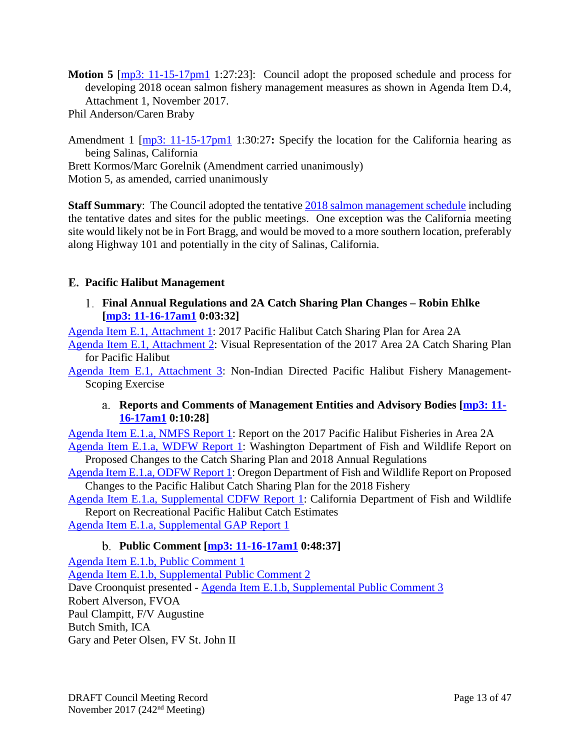**Motion 5** [\[mp3: 11-15-17pm1](ftp://ftp.pcouncil.org/pub/R1711_November_2017_Recordings/11-15-17pm1Copy.mp3) 1:27:23]: Council adopt the proposed schedule and process for developing 2018 ocean salmon fishery management measures as shown in Agenda Item D.4, Attachment 1, November 2017.

Phil Anderson/Caren Braby

Amendment 1 [\[mp3: 11-15-17pm1](ftp://ftp.pcouncil.org/pub/R1711_November_2017_Recordings/11-15-17pm1Copy.mp3) 1:30:27**:** Specify the location for the California hearing as being Salinas, California Brett Kormos/Marc Gorelnik (Amendment carried unanimously) Motion 5, as amended, carried unanimously

**Staff Summary**: The Council adopted the tentative [2018 salmon management schedule](http://www.pcouncil.org/wp-content/uploads/2017/10/D4_Att1_SalSched2018_NOV2017BB.pdf) including the tentative dates and sites for the public meetings. One exception was the California meeting site would likely not be in Fort Bragg, and would be moved to a more southern location, preferably along Highway 101 and potentially in the city of Salinas, California.

## <span id="page-12-0"></span>**Pacific Halibut Management**

<span id="page-12-1"></span>**[Final Annual Regulations and 2A Catch Sharing Plan Changes](http://www.pcouncil.org/wp-content/uploads/2017/10/E1__SitSum_CSP_NOV2017BB.pdf) – Robin Ehlke [\[mp3: 11-16-17am1](ftp://ftp.pcouncil.org/pub/R1711_November_2017_Recordings/11-16-17am1Copy.mp3) 0:03:32]**

[Agenda Item E.1, Attachment 1:](http://www.pcouncil.org/wp-content/uploads/2017/10/E1_Att1_2017CSP__NOV2017BB.pdf) 2017 Pacific Halibut Catch Sharing Plan for Area 2A

[Agenda Item E.1, Attachment 2:](http://www.pcouncil.org/wp-content/uploads/2017/10/E1_Att2_CSP_-Visual_NOV2017BB.pdf) Visual Representation of the 2017 Area 2A Catch Sharing Plan for Pacific Halibut

<span id="page-12-2"></span>[Agenda Item E.1, Attachment 3:](http://www.pcouncil.org/wp-content/uploads/2017/10/E1_Att3_Scoping-Matrix_NOV2017BB.pdf) Non-Indian Directed Pacific Halibut Fishery Management-Scoping Exercise

## **Reports and Comments of Management Entities and Advisory Bodies [\[mp3: 11-](ftp://ftp.pcouncil.org/pub/R1711_November_2017_Recordings/11-16-17am1Copy.mp3) [16-17am1](ftp://ftp.pcouncil.org/pub/R1711_November_2017_Recordings/11-16-17am1Copy.mp3) 0:10:28]**

[Agenda Item E.1.a, NMFS Report 1:](http://www.pcouncil.org/wp-content/uploads/2017/10/E1a_NMFS_Rpt1_NOV2017BB.pdf) Report on the 2017 Pacific Halibut Fisheries in Area 2A [Agenda Item E.1.a, WDFW Report 1:](http://www.pcouncil.org/wp-content/uploads/2017/10/E1a_WDFW_Rpt1_NOV2017BB.pdf) Washington Department of Fish and Wildlife Report on Proposed Changes to the Catch Sharing Plan and 2018 Annual Regulations

[Agenda Item E.1.a, ODFW Report 1:](http://www.pcouncil.org/wp-content/uploads/2017/10/E1a_ODFW_Rpt1_NOV2017BB.pdf) Oregon Department of Fish and Wildlife Report on Proposed Changes to the Pacific Halibut Catch Sharing Plan for the 2018 Fishery

[Agenda Item E.1.a, Supplemental CDFW Report 1:](https://www.pcouncil.org/wp-content/uploads/2017/11/E1a_Sup_CDFW_Rpt1_NOV2017BB.pdf) California Department of Fish and Wildlife Report on Recreational Pacific Halibut Catch Estimates

<span id="page-12-3"></span>[Agenda Item E.1.a, Supplemental GAP Report 1](https://www.pcouncil.org/wp-content/uploads/2017/11/E1a_Sup_GAP_Rpt1_NOV2017BB.pdf)

# **Public Comment [\[mp3: 11-16-17am1](ftp://ftp.pcouncil.org/pub/R1711_November_2017_Recordings/11-16-17am1Copy.mp3) 0:48:37]**

[Agenda Item E.1.b, Public Comment 1](http://www.pcouncil.org/wp-content/uploads/2017/10/E1b_PubCom1_NOV2017BB.pdf) [Agenda Item E.1.b, Supplemental Public Comment 2](https://www.pcouncil.org/wp-content/uploads/2017/11/E1b_Sup_PubCom2_NOV2017BB.pdf) Dave Croonquist presented - [Agenda Item E.1.b, Supplemental Public Comment 3](https://www.pcouncil.org/wp-content/uploads/2017/11/E1b_Sup_PubCom3_NOV2017BB.pdf) Robert Alverson, FVOA Paul Clampitt, F/V Augustine Butch Smith, ICA Gary and Peter Olsen, FV St. John II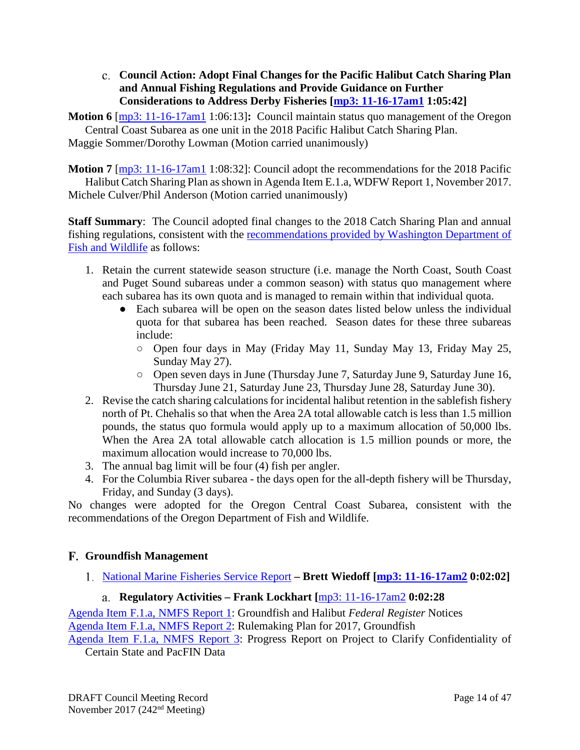<span id="page-13-0"></span>**Council Action: Adopt Final Changes for the Pacific Halibut Catch Sharing Plan and Annual Fishing Regulations and Provide Guidance on Further Considerations to Address Derby Fisheries [\[mp3: 11-16-17am1](ftp://ftp.pcouncil.org/pub/R1711_November_2017_Recordings/11-16-17am1Copy.mp3) 1:05:42]**

**Motion 6** [\[mp3: 11-16-17am1](ftp://ftp.pcouncil.org/pub/R1711_November_2017_Recordings/11-16-17am1Copy.mp3) 1:06:13]**:** Council maintain status quo management of the Oregon Central Coast Subarea as one unit in the 2018 Pacific Halibut Catch Sharing Plan. Maggie Sommer/Dorothy Lowman (Motion carried unanimously)

**Motion 7** [\[mp3: 11-16-17am1](ftp://ftp.pcouncil.org/pub/R1711_November_2017_Recordings/11-16-17am1Copy.mp3) 1:08:32]: Council adopt the recommendations for the 2018 Pacific Halibut Catch Sharing Plan as shown in Agenda Item E.1.a, WDFW Report 1, November 2017. Michele Culver/Phil Anderson (Motion carried unanimously)

**Staff Summary**: The Council adopted final changes to the 2018 Catch Sharing Plan and annual fishing regulations, consistent with the [recommendations provided by Washington Department of](http://www.pcouncil.org/wp-content/uploads/2017/10/E1a_WDFW_Rpt1_NOV2017BB.pdf)  [Fish and Wildlife](http://www.pcouncil.org/wp-content/uploads/2017/10/E1a_WDFW_Rpt1_NOV2017BB.pdf) as follows:

- 1. Retain the current statewide season structure (i.e. manage the North Coast, South Coast and Puget Sound subareas under a common season) with status quo management where each subarea has its own quota and is managed to remain within that individual quota.
	- Each subarea will be open on the season dates listed below unless the individual quota for that subarea has been reached. Season dates for these three subareas include:
		- Open four days in May (Friday May 11, Sunday May 13, Friday May 25, Sunday May 27).
		- Open seven days in June (Thursday June 7, Saturday June 9, Saturday June 16, Thursday June 21, Saturday June 23, Thursday June 28, Saturday June 30).
- 2. Revise the catch sharing calculations for incidental halibut retention in the sablefish fishery north of Pt. Chehalis so that when the Area 2A total allowable catch is less than 1.5 million pounds, the status quo formula would apply up to a maximum allocation of 50,000 lbs. When the Area 2A total allowable catch allocation is 1.5 million pounds or more, the maximum allocation would increase to 70,000 lbs.
- 3. The annual bag limit will be four (4) fish per angler.
- 4. For the Columbia River subarea the days open for the all-depth fishery will be Thursday, Friday, and Sunday (3 days).

No changes were adopted for the Oregon Central Coast Subarea, consistent with the recommendations of the Oregon Department of Fish and Wildlife.

# <span id="page-13-1"></span>**Groundfish Management**

<span id="page-13-2"></span>[National Marine Fisheries Service Report](http://www.pcouncil.org/wp-content/uploads/2017/10/F1__SitSum_NMFS_Rpt_NOV2017BB.pdf) **– Brett Wiedoff [\[mp3: 11-16-17am2](ftp://ftp.pcouncil.org/pub/R1711_November_2017_Recordings/11-16-17am2Copy.mp3) 0:02:02]**

# **Regulatory Activities – Frank Lockhart [**[mp3: 11-16-17am2](ftp://ftp.pcouncil.org/pub/R1711_November_2017_Recordings/11-16-17am2Copy.mp3) **0:02:28**

<span id="page-13-3"></span>[Agenda Item F.1.a, NMFS Report 1:](http://www.pcouncil.org/wp-content/uploads/2017/10/F1a_NMFS_Rpt1_FR_notices_NOV2017BB.pdf) Groundfish and Halibut *Federal Register* Notices [Agenda Item F.1.a, NMFS Report 2:](http://www.pcouncil.org/wp-content/uploads/2017/10/F1a_NMFS_Rpt2_RulemakingTimeline_NOV2017BB.pdf) Rulemaking Plan for 2017, Groundfish

[Agenda Item F.1.a, NMFS Report 3:](http://www.pcouncil.org/wp-content/uploads/2017/10/F1a_NMFS_Rpt3_Confidentiality_NOV2017BBv2.pdf) Progress Report on Project to Clarify Confidentiality of Certain State and PacFIN Data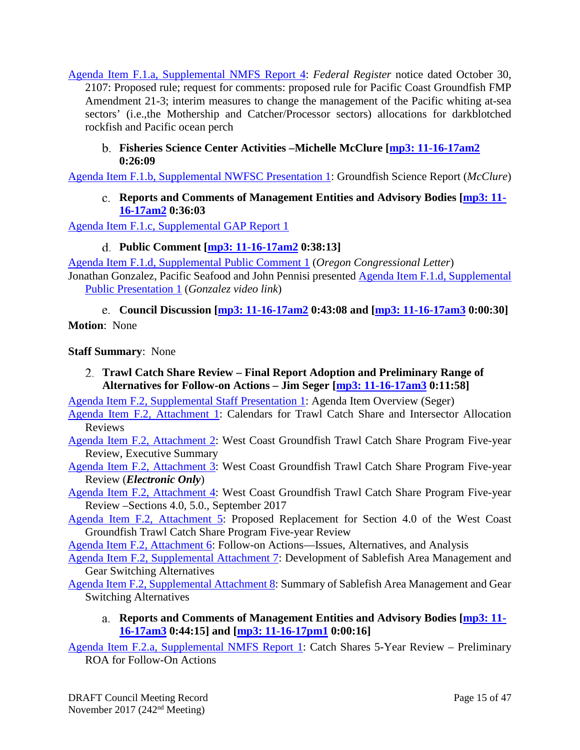[Agenda Item F.1.a, Supplemental NMFS Report 4:](https://www.pcouncil.org/wp-content/uploads/2017/11/F1a_Sup_NMFS_Rpt4_FR_Amd_21-3_NOV2017BB.pdf) *Federal Register* notice dated October 30, 2107: Proposed rule; request for comments: proposed rule for Pacific Coast Groundfish FMP Amendment 21-3; interim measures to change the management of the Pacific whiting at-sea sectors' (i.e.,the Mothership and Catcher/Processor sectors) allocations for darkblotched rockfish and Pacific ocean perch

## <span id="page-14-0"></span>**Fisheries Science Center Activities –Michelle McClure [\[mp3: 11-16-17am2](ftp://ftp.pcouncil.org/pub/R1711_November_2017_Recordings/11-16-17am2Copy.mp3) 0:26:09**

<span id="page-14-1"></span>[Agenda Item F.1.b, Supplemental NWFSC Presentation 1:](https://www.pcouncil.org/wp-content/uploads/2017/11/F1b_Sup_NWFSC_Presentation1_McClure_NOV2017BB.pdf) Groundfish Science Report (*McClure*)

## **Reports and Comments of Management Entities and Advisory Bodies [\[mp3: 11-](ftp://ftp.pcouncil.org/pub/R1711_November_2017_Recordings/11-16-17am2Copy.mp3) [16-17am2](ftp://ftp.pcouncil.org/pub/R1711_November_2017_Recordings/11-16-17am2Copy.mp3) 0:36:03**

<span id="page-14-2"></span>[Agenda Item F.1.c, Supplemental GAP Report 1](https://www.pcouncil.org/wp-content/uploads/2017/11/F1c_Sup_GAP_RPT1_NOV2017BB.pdf)

### **Public Comment [\[mp3: 11-16-17am2](ftp://ftp.pcouncil.org/pub/R1711_November_2017_Recordings/11-16-17am2Copy.mp3) 0:38:13]**

[Agenda Item F.1.d, Supplemental Public Comment 1](https://www.pcouncil.org/wp-content/uploads/2017/11/F1d_Sup_PubCom1_CongressionalLtr_NOV2017BB.pdf) (*Oregon Congressional Letter*) Jonathan Gonzalez, Pacific Seafood and John Pennisi presented [Agenda Item F.1.d, Supplemental](https://www.pcouncil.org/wp-content/uploads/2017/10/F1d_Sup_PubPresentation1_Gonzalez_Video_Link_NOV2017BB.pdf)  [Public Presentation 1](https://www.pcouncil.org/wp-content/uploads/2017/10/F1d_Sup_PubPresentation1_Gonzalez_Video_Link_NOV2017BB.pdf) (*Gonzalez video link*)

<span id="page-14-3"></span>**Council Discussion [\[mp3: 11-16-17am2](ftp://ftp.pcouncil.org/pub/R1711_November_2017_Recordings/11-16-17am2Copy.mp3) 0:43:08 and [\[mp3: 11-16-17am3](ftp://ftp.pcouncil.org/pub/R1711_November_2017_Recordings/11-16-17am3Copy.mp3) 0:00:30]**

**Motion**: None

### **Staff Summary**: None

<span id="page-14-4"></span>**Trawl Catch Share Review – [Final Report Adoption and Preliminary Range of](http://www.pcouncil.org/wp-content/uploads/2017/10/F2__SitSum_CS_Rev_NOV2017BB.pdf)  [Alternatives for Follow-on Actions](http://www.pcouncil.org/wp-content/uploads/2017/10/F2__SitSum_CS_Rev_NOV2017BB.pdf) – Jim Seger [\[mp3: 11-16-17am3](ftp://ftp.pcouncil.org/pub/R1711_November_2017_Recordings/11-16-17am3Copy.mp3) 0:11:58]**

[Agenda Item F.2, Supplemental Staff Presentation 1:](https://www.pcouncil.org/wp-content/uploads/2017/11/F2_Sup_StaffPresentation1_Seger_NOV2017BB.pdf) Agenda Item Overview (Seger)

[Agenda Item F.2, Attachment 1:](http://www.pcouncil.org/wp-content/uploads/2017/10/F2_Att1_ReviewCalendar_NOV2017BB.pdf) Calendars for Trawl Catch Share and Intersector Allocation Reviews

[Agenda Item F.2, Attachment 2:](http://www.pcouncil.org/wp-content/uploads/2017/10/F2_Att2_ES_5yrReview_Aug2017_NOV2017BB.pdf) West Coast Groundfish Trawl Catch Share Program Five-year Review, Executive Summary

- [Agenda Item F.2, Attachment 3:](http://www.pcouncil.org/wp-content/uploads/2017/10/F2_Att3__E-Only_5Year_Review_August_Draft_for_public_review_NOV2017BB.pdf) West Coast Groundfish Trawl Catch Share Program Five-year Review (*Electronic Only*)
- [Agenda Item F.2, Attachment 4:](http://www.pcouncil.org/wp-content/uploads/2017/10/F2_Att4_Sections4and5_NOV2017BB.pdf) West Coast Groundfish Trawl Catch Share Program Five-year Review –Sections 4.0, 5.0., September 2017
- [Agenda Item F.2, Attachment 5:](http://www.pcouncil.org/wp-content/uploads/2017/10/F2_Att5_Sect4_NOV2017BB.pdf) Proposed Replacement for Section 4.0 of the West Coast Groundfish Trawl Catch Share Program Five-year Review

[Agenda Item F.2, Attachment 6:](http://www.pcouncil.org/wp-content/uploads/2017/10/F2_Att6_FollowOnActions_NOV2017BB.pdf) Follow-on Actions—Issues, Alternatives, and Analysis

[Agenda Item F.2, Supplemental Attachment 7:](https://www.pcouncil.org/wp-content/uploads/2017/11/F2_Sup_Att7_SAMGS_Process_NOV2017BB.pdf) Development of Sablefish Area Management and Gear Switching Alternatives

<span id="page-14-5"></span>[Agenda Item F.2, Supplemental Attachment 8:](https://www.pcouncil.org/wp-content/uploads/2017/11/F2_Sup_Att8_GearSwitching_Options_NOV2017BB.pdf) Summary of Sablefish Area Management and Gear Switching Alternatives

**Reports and Comments of Management Entities and Advisory Bodies [\[mp3: 11-](ftp://ftp.pcouncil.org/pub/R1711_November_2017_Recordings/11-16-17am3Copy.mp3) [16-17am3](ftp://ftp.pcouncil.org/pub/R1711_November_2017_Recordings/11-16-17am3Copy.mp3) 0:44:15] and [\[mp3: 11-16-17pm1](ftp://ftp.pcouncil.org/pub/R1711_November_2017_Recordings/11-16-17pm1Copy.mp3) 0:00:16]**

[Agenda Item F.2.a, Supplemental NMFS Report 1:](https://www.pcouncil.org/wp-content/uploads/2017/11/F2a_Sup_NMFS_Rpt1_PrelimROA_NOV2017BB.pdf) Catch Shares 5-Year Review – Preliminary ROA for Follow-On Actions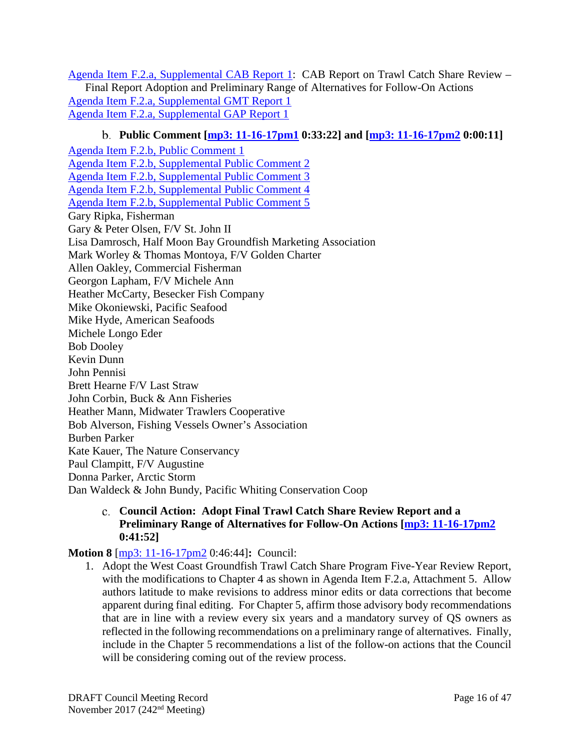[Agenda Item F.2.a, Supplemental CAB Report 1:](https://www.pcouncil.org/wp-content/uploads/2017/11/F2a_Sup_CAB_Rpt1_NOV2017BB.pdf) CAB Report on Trawl Catch Share Review – Final Report Adoption and Preliminary Range of Alternatives for Follow-On Actions [Agenda Item F.2.a, Supplemental GMT Report 1](https://www.pcouncil.org/wp-content/uploads/2017/11/F2a_Sup_GMT_Rpt1_NOV2017BB.pdf) [Agenda Item F.2.a, Supplemental GAP Report 1](https://www.pcouncil.org/wp-content/uploads/2017/11/F2a_Sup_GAP_Rpt1_NOV2017BB.pdf)

## **Public Comment [\[mp3: 11-16-17pm1](ftp://ftp.pcouncil.org/pub/R1711_November_2017_Recordings/11-16-17pm1Copy.mp3) 0:33:22] and [\[mp3: 11-16-17pm2](ftp://ftp.pcouncil.org/pub/R1711_November_2017_Recordings/11-16-17pm2Copy.mp3) 0:00:11]**

<span id="page-15-0"></span>[Agenda Item F.2.b, Public Comment 1](http://www.pcouncil.org/wp-content/uploads/2017/10/F2b_PubCom1_NOV2017BB.pdf) [Agenda Item F.2.b, Supplemental Public Comment 2](https://www.pcouncil.org/wp-content/uploads/2017/11/F2b_Sup_PubCom2_NOV2017BB.pdf) [Agenda Item F.2.b, Supplemental Public Comment 3](https://www.pcouncil.org/wp-content/uploads/2017/11/F2b_Sup_PubCom3_NOV2017BB.pdf) [Agenda Item F.2.b, Supplemental Public Comment 4](https://www.pcouncil.org/wp-content/uploads/2017/11/F2b_Sup_PubCom4_NOV2017BB.pdf) [Agenda Item F.2.b, Supplemental Public Comment 5](https://www.pcouncil.org/wp-content/uploads/2017/11/F2b_Sup_PubCom5_NOV2017BB.pdf) Gary Ripka, Fisherman Gary & Peter Olsen, F/V St. John II Lisa Damrosch, Half Moon Bay Groundfish Marketing Association Mark Worley & Thomas Montoya, F/V Golden Charter Allen Oakley, Commercial Fisherman Georgon Lapham, F/V Michele Ann Heather McCarty, Besecker Fish Company Mike Okoniewski, Pacific Seafood Mike Hyde, American Seafoods Michele Longo Eder Bob Dooley Kevin Dunn John Pennisi Brett Hearne F/V Last Straw John Corbin, Buck & Ann Fisheries Heather Mann, Midwater Trawlers Cooperative Bob Alverson, Fishing Vessels Owner's Association Burben Parker Kate Kauer, The Nature Conservancy Paul Clampitt, F/V Augustine Donna Parker, Arctic Storm Dan Waldeck & John Bundy, Pacific Whiting Conservation Coop

> <span id="page-15-1"></span>**Council Action: Adopt Final Trawl Catch Share Review Report and a Preliminary Range of Alternatives for Follow-On Actions [\[mp3: 11-16-17pm2](ftp://ftp.pcouncil.org/pub/R1711_November_2017_Recordings/11-16-17pm2Copy.mp3) 0:41:52]**

## **Motion 8** [\[mp3: 11-16-17pm2](ftp://ftp.pcouncil.org/pub/R1711_November_2017_Recordings/11-16-17pm2Copy.mp3) 0:46:44]**:** Council:

1. Adopt the West Coast Groundfish Trawl Catch Share Program Five-Year Review Report, with the modifications to Chapter 4 as shown in Agenda Item F.2.a, Attachment 5. Allow authors latitude to make revisions to address minor edits or data corrections that become apparent during final editing. For Chapter 5, affirm those advisory body recommendations that are in line with a review every six years and a mandatory survey of QS owners as reflected in the following recommendations on a preliminary range of alternatives. Finally, include in the Chapter 5 recommendations a list of the follow-on actions that the Council will be considering coming out of the review process.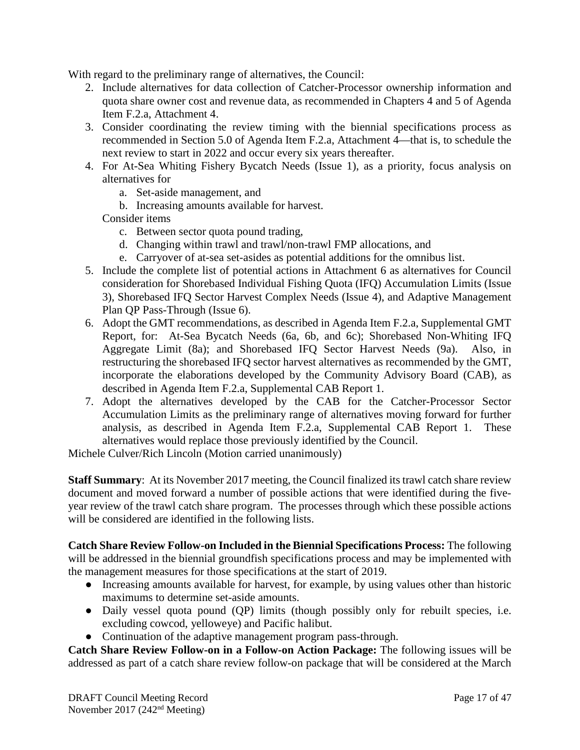With regard to the preliminary range of alternatives, the Council:

- 2. Include alternatives for data collection of Catcher-Processor ownership information and quota share owner cost and revenue data, as recommended in Chapters 4 and 5 of Agenda Item F.2.a, Attachment 4.
- 3. Consider coordinating the review timing with the biennial specifications process as recommended in Section 5.0 of Agenda Item F.2.a, Attachment 4—that is, to schedule the next review to start in 2022 and occur every six years thereafter.
- 4. For At-Sea Whiting Fishery Bycatch Needs (Issue 1), as a priority, focus analysis on alternatives for
	- a. Set-aside management, and
	- b. Increasing amounts available for harvest.

Consider items

- c. Between sector quota pound trading,
- d. Changing within trawl and trawl/non-trawl FMP allocations, and
- e. Carryover of at-sea set-asides as potential additions for the omnibus list.
- 5. Include the complete list of potential actions in Attachment 6 as alternatives for Council consideration for Shorebased Individual Fishing Quota (IFQ) Accumulation Limits (Issue 3), Shorebased IFQ Sector Harvest Complex Needs (Issue 4), and Adaptive Management Plan QP Pass-Through (Issue 6).
- 6. Adopt the GMT recommendations, as described in Agenda Item F.2.a, Supplemental GMT Report, for: At-Sea Bycatch Needs (6a, 6b, and 6c); Shorebased Non-Whiting IFQ Aggregate Limit (8a); and Shorebased IFQ Sector Harvest Needs (9a). Also, in restructuring the shorebased IFQ sector harvest alternatives as recommended by the GMT, incorporate the elaborations developed by the Community Advisory Board (CAB), as described in Agenda Item F.2.a, Supplemental CAB Report 1.
- 7. Adopt the alternatives developed by the CAB for the Catcher-Processor Sector Accumulation Limits as the preliminary range of alternatives moving forward for further analysis, as described in Agenda Item F.2.a, Supplemental CAB Report 1. These alternatives would replace those previously identified by the Council.

Michele Culver/Rich Lincoln (Motion carried unanimously)

**Staff Summary**: At its November 2017 meeting, the Council finalized its trawl catch share review document and moved forward a number of possible actions that were identified during the fiveyear review of the trawl catch share program. The processes through which these possible actions will be considered are identified in the following lists.

**Catch Share Review Follow-on Included in the Biennial Specifications Process:** The following will be addressed in the biennial groundfish specifications process and may be implemented with the management measures for those specifications at the start of 2019.

- Increasing amounts available for harvest, for example, by using values other than historic maximums to determine set-aside amounts.
- Daily vessel quota pound (QP) limits (though possibly only for rebuilt species, i.e. excluding cowcod, yelloweye) and Pacific halibut.
- Continuation of the adaptive management program pass-through.

**Catch Share Review Follow-on in a Follow-on Action Package:** The following issues will be addressed as part of a catch share review follow-on package that will be considered at the March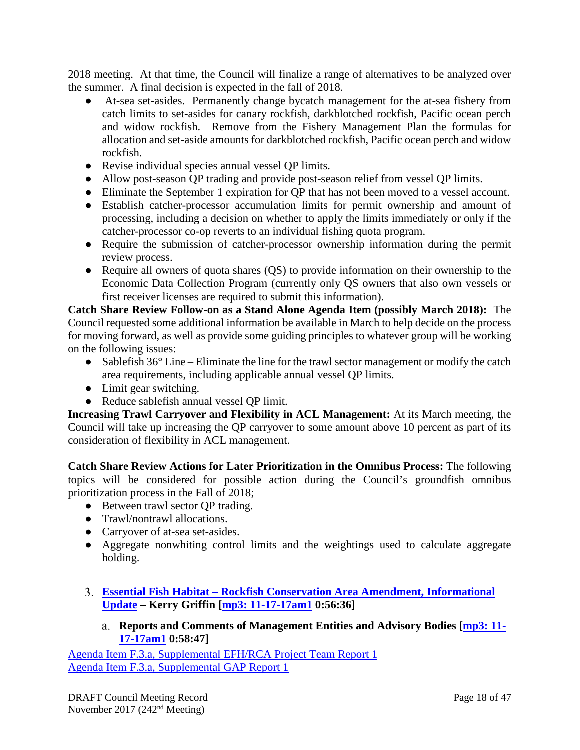2018 meeting. At that time, the Council will finalize a range of alternatives to be analyzed over the summer. A final decision is expected in the fall of 2018.

- At-sea set-asides. Permanently change bycatch management for the at-sea fishery from catch limits to set-asides for canary rockfish, darkblotched rockfish, Pacific ocean perch and widow rockfish. Remove from the Fishery Management Plan the formulas for allocation and set-aside amounts for darkblotched rockfish, Pacific ocean perch and widow rockfish.
- Revise individual species annual vessel QP limits.
- Allow post-season QP trading and provide post-season relief from vessel QP limits.
- Eliminate the September 1 expiration for QP that has not been moved to a vessel account.
- Establish catcher-processor accumulation limits for permit ownership and amount of processing, including a decision on whether to apply the limits immediately or only if the catcher-processor co-op reverts to an individual fishing quota program.
- Require the submission of catcher-processor ownership information during the permit review process.
- Require all owners of quota shares (QS) to provide information on their ownership to the Economic Data Collection Program (currently only QS owners that also own vessels or first receiver licenses are required to submit this information).

**Catch Share Review Follow-on as a Stand Alone Agenda Item (possibly March 2018):** The Council requested some additional information be available in March to help decide on the process for moving forward, as well as provide some guiding principles to whatever group will be working on the following issues:

- Sablefish 36° Line Eliminate the line for the trawl sector management or modify the catch area requirements, including applicable annual vessel QP limits.
- Limit gear switching.
- Reduce sablefish annual vessel QP limit.

**Increasing Trawl Carryover and Flexibility in ACL Management:** At its March meeting, the Council will take up increasing the QP carryover to some amount above 10 percent as part of its consideration of flexibility in ACL management.

**Catch Share Review Actions for Later Prioritization in the Omnibus Process:** The following topics will be considered for possible action during the Council's groundfish omnibus prioritization process in the Fall of 2018;

- Between trawl sector OP trading.
- Trawl/nontrawl allocations.
- Carryover of at-sea set-asides.
- Aggregate nonwhiting control limits and the weightings used to calculate aggregate holding.
- <span id="page-17-1"></span><span id="page-17-0"></span>**Essential Fish Habitat – [Rockfish Conservation Area Amendment, Informational](http://www.pcouncil.org/wp-content/uploads/2017/10/F3__SitSum_EFHRCA_Amdnt_NOV2017BB.pdf)  [Update](http://www.pcouncil.org/wp-content/uploads/2017/10/F3__SitSum_EFHRCA_Amdnt_NOV2017BB.pdf) – Kerry Griffin [\[mp3: 11-17-17am1](ftp://ftp.pcouncil.org/pub/R1711_November_2017_Recordings/11-17-17am1Copy.mp3) 0:56:36]**
	- **Reports and Comments of Management Entities and Advisory Bodies [\[mp3: 11-](ftp://ftp.pcouncil.org/pub/R1711_November_2017_Recordings/11-17-17am1Copy.mp3) [17-17am1](ftp://ftp.pcouncil.org/pub/R1711_November_2017_Recordings/11-17-17am1Copy.mp3) 0:58:47]**

[Agenda Item F.3.a, Supplemental EFH/RCA Project Team Report 1](https://www.pcouncil.org/wp-content/uploads/2017/11/F3a_Sup_EFH_RCA_Team_Rpt1_NOV2017BB.pdf) [Agenda Item F.3.a, Supplemental GAP Report 1](https://www.pcouncil.org/wp-content/uploads/2017/11/F3a_Sup_GAP_Rpt1_NOV2017BB.pdf)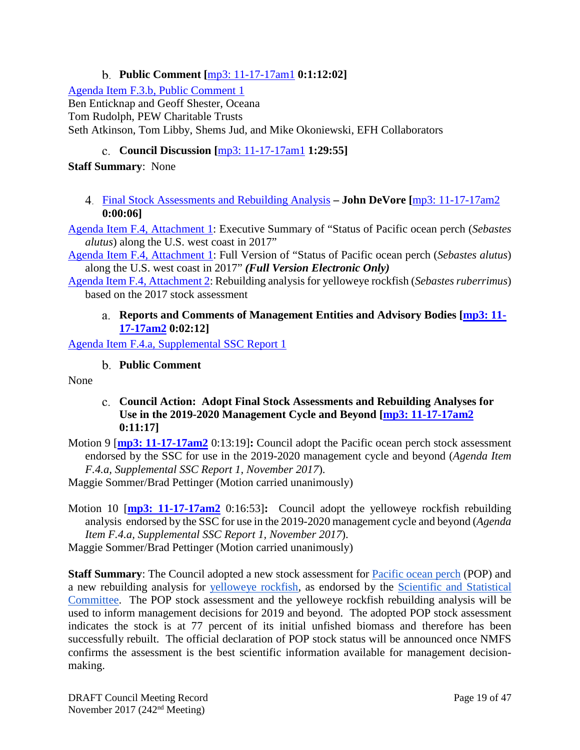# **Public Comment [**[mp3: 11-17-17am1](ftp://ftp.pcouncil.org/pub/R1711_November_2017_Recordings/11-17-17am1Copy.mp3) **0:1:12:02]**

<span id="page-18-0"></span>[Agenda Item F.3.b, Public Comment 1](http://www.pcouncil.org/wp-content/uploads/2017/10/F3b_PubCom1_NOV2017BB.pdf) Ben Enticknap and Geoff Shester, Oceana Tom Rudolph, PEW Charitable Trusts Seth Atkinson, Tom Libby, Shems Jud, and Mike Okoniewski, EFH Collaborators

# **Council Discussion [**[mp3: 11-17-17am1](ftp://ftp.pcouncil.org/pub/R1711_November_2017_Recordings/11-17-17am1Copy.mp3) **1:29:55]**

### <span id="page-18-1"></span>**Staff Summary**: None

<span id="page-18-2"></span>[Final Stock Assessments and Rebuilding Analysis](http://www.pcouncil.org/wp-content/uploads/2017/10/F4__SitSum_AssessmentsRebAnalyses_NOV2017BB.pdf) **– John DeVore [**[mp3: 11-17-17am2](ftp://ftp.pcouncil.org/pub/R1711_November_2017_Recordings/11-17-17am2Copy.mp3) **0:00:06]**

[Agenda Item F.4, Attachment 1:](http://www.pcouncil.org/wp-content/uploads/2017/10/F4_Att1_ExecSummary_PacificOceanPerch2017_Assessment_NOV2017BB.pdf) Executive Summary of "Status of Pacific ocean perch (*Sebastes alutus*) along the U.S. west coast in 2017"

[Agenda Item F.4, Attachment 1:](http://www.pcouncil.org/wp-content/uploads/2017/10/F4_Att1_Full_E-only_PacificOceanPerch2017_Assessment_NOV2017BB.pdf) Full Version of "Status of Pacific ocean perch (*Sebastes alutus*) along the U.S. west coast in 2017" *(Full Version Electronic Only)*

<span id="page-18-3"></span>[Agenda Item F.4, Attachment 2:](http://www.pcouncil.org/wp-content/uploads/2017/10/F4_Att2_2017_yelloweye_rebuilding_final_NOV2017BB.pdf) Rebuilding analysis for yelloweye rockfish (*Sebastes ruberrimus*) based on the 2017 stock assessment

## **Reports and Comments of Management Entities and Advisory Bodies [\[mp3: 11-](ftp://ftp.pcouncil.org/pub/R1711_November_2017_Recordings/11-17-17am2Copy.mp3) [17-17am2](ftp://ftp.pcouncil.org/pub/R1711_November_2017_Recordings/11-17-17am2Copy.mp3) 0:02:12]**

<span id="page-18-4"></span>[Agenda Item F.4.a, Supplemental SSC Report 1](https://www.pcouncil.org/wp-content/uploads/2017/11/F4a_Sup_SSC_Rpt1_Assessments_Final_Nov2017BB.pdf)

### **Public Comment**

<span id="page-18-5"></span>None

- **Council Action: Adopt Final Stock Assessments and Rebuilding Analyses for Use in the 2019-2020 Management Cycle and Beyond [\[mp3: 11-17-17am2](ftp://ftp.pcouncil.org/pub/R1711_November_2017_Recordings/11-17-17am2Copy.mp3) 0:11:17]**
- Motion 9 [**[mp3: 11-17-17am2](ftp://ftp.pcouncil.org/pub/R1711_November_2017_Recordings/11-17-17am2Copy.mp3)** 0:13:19]**:** Council adopt the Pacific ocean perch stock assessment endorsed by the SSC for use in the 2019-2020 management cycle and beyond (*Agenda Item F.4.a, Supplemental SSC Report 1, November 2017*).

Maggie Sommer/Brad Pettinger (Motion carried unanimously)

Motion 10 [**[mp3: 11-17-17am2](ftp://ftp.pcouncil.org/pub/R1711_November_2017_Recordings/11-17-17am2Copy.mp3)** 0:16:53]**:** Council adopt the yelloweye rockfish rebuilding analysis endorsed by the SSC for use in the 2019-2020 management cycle and beyond (*Agenda Item F.4.a, Supplemental SSC Report 1, November 2017*). Maggie Sommer/Brad Pettinger (Motion carried unanimously)

**Staff Summary**: The Council adopted a new stock assessment for [Pacific ocean perch](http://www.pcouncil.org/wp-content/uploads/2017/10/F4_Att1_Full_E-only_PacificOceanPerch2017_Assessment_NOV2017BB.pdf) (POP) and a new rebuilding analysis for [yelloweye rockfish,](http://www.pcouncil.org/wp-content/uploads/2017/10/F4_Att2_2017_yelloweye_rebuilding_final_NOV2017BB.pdf) as endorsed by the [Scientific and Statistical](https://www.pcouncil.org/wp-content/uploads/2017/11/F4a_Sup_SSC_Rpt1_Assessments_Final_Nov2017BB.pdf)  [Committee.](https://www.pcouncil.org/wp-content/uploads/2017/11/F4a_Sup_SSC_Rpt1_Assessments_Final_Nov2017BB.pdf) The POP stock assessment and the yelloweye rockfish rebuilding analysis will be used to inform management decisions for 2019 and beyond. The adopted POP stock assessment indicates the stock is at 77 percent of its initial unfished biomass and therefore has been successfully rebuilt. The official declaration of POP stock status will be announced once NMFS confirms the assessment is the best scientific information available for management decisionmaking.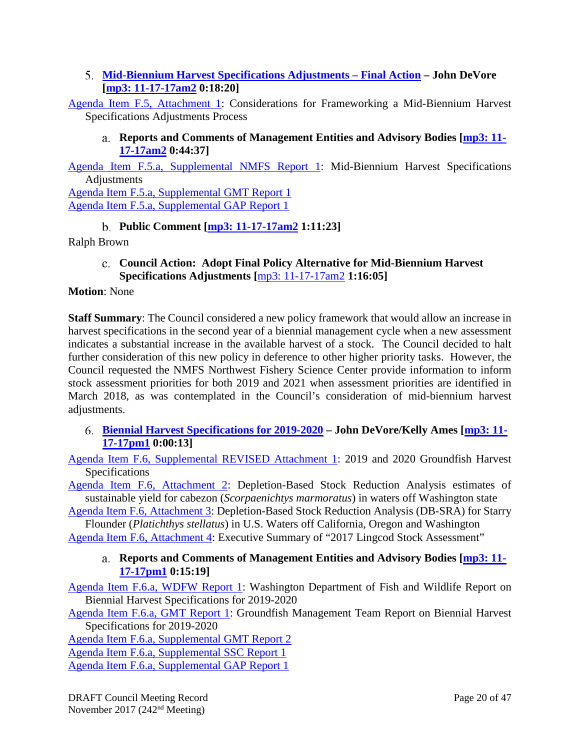## <span id="page-19-0"></span>**[Mid-Biennium Harvest Specifications Adjustments –](http://www.pcouncil.org/wp-content/uploads/2017/10/F5__SitSum_GreenLight_NOV2017BB.pdf) Final Action – John DeVore [\[mp3: 11-17-17am2](ftp://ftp.pcouncil.org/pub/R1711_November_2017_Recordings/11-17-17am2Copy.mp3) 0:18:20]**

<span id="page-19-1"></span>[Agenda Item F.5, Attachment 1:](http://www.pcouncil.org/wp-content/uploads/2017/10/F5_Att1_GreenLight_NOV2017BB.pdf) Considerations for Frameworking a Mid-Biennium Harvest Specifications Adjustments Process

## **Reports and Comments of Management Entities and Advisory Bodies [\[mp3: 11-](ftp://ftp.pcouncil.org/pub/R1711_November_2017_Recordings/11-17-17am2Copy.mp3) [17-17am2](ftp://ftp.pcouncil.org/pub/R1711_November_2017_Recordings/11-17-17am2Copy.mp3) 0:44:37]**

[Agenda Item F.5.a, Supplemental NMFS Report 1:](https://www.pcouncil.org/wp-content/uploads/2017/11/F5a_Sup_NMFS_Rpt1_NOV2017BB.pdf) Mid-Biennium Harvest Specifications Adjustments

[Agenda Item F.5.a, Supplemental GMT Report 1](https://www.pcouncil.org/wp-content/uploads/2017/11/F5a_Sup_GMT_Rpt1_NOV2017BB.pdf) [Agenda Item F.5.a, Supplemental GAP Report 1](https://www.pcouncil.org/wp-content/uploads/2017/11/F5a_Sup_GAP_Rpt1_NOV2017BB.pdf)

**Public Comment [\[mp3: 11-17-17am2](ftp://ftp.pcouncil.org/pub/R1711_November_2017_Recordings/11-17-17am2Copy.mp3) 1:11:23]**

<span id="page-19-3"></span><span id="page-19-2"></span>Ralph Brown

**Council Action: Adopt Final Policy Alternative for Mid-Biennium Harvest Specifications Adjustments [**[mp3: 11-17-17am2](ftp://ftp.pcouncil.org/pub/R1711_November_2017_Recordings/11-17-17am2Copy.mp3) **1:16:05]**

### **Motion**: None

**Staff Summary**: The Council considered a new policy framework that would allow an increase in harvest specifications in the second year of a biennial management cycle when a new assessment indicates a substantial increase in the available harvest of a stock. The Council decided to halt further consideration of this new policy in deference to other higher priority tasks. However, the Council requested the NMFS Northwest Fishery Science Center provide information to inform stock assessment priorities for both 2019 and 2021 when assessment priorities are identified in March 2018, as was contemplated in the Council's consideration of mid-biennium harvest adjustments.

<span id="page-19-4"></span>**[Biennial Harvest Specifications for 2019-2020](http://www.pcouncil.org/wp-content/uploads/2017/10/F6__SitSum_2019-20Spex_NOV2017BB.pdf) – John DeVore/Kelly Ames [\[mp3: 11-](ftp://ftp.pcouncil.org/pub/R1711_November_2017_Recordings/11-17-17pm1Copy.mp3) [17-17pm1](ftp://ftp.pcouncil.org/pub/R1711_November_2017_Recordings/11-17-17pm1Copy.mp3) 0:00:13]**

[Agenda Item F.6, Supplemental REVISED Attachment 1:](https://www.pcouncil.org/wp-content/uploads/2017/11/F6_Sup_REVISED_Att1_2019-20HarvestSpex_NOV2017BB.pdf) 2019 and 2020 Groundfish Harvest **Specifications** 

[Agenda Item F.6, Attachment 2:](http://www.pcouncil.org/wp-content/uploads/2017/10/F6_Att2_WA_Cab_DBSRA_NOV2017BB.pdf) Depletion-Based Stock Reduction Analysis estimates of sustainable yield for cabezon (*Scorpaenichtys marmoratus*) in waters off Washington state

[Agenda Item F.6, Attachment 3:](http://www.pcouncil.org/wp-content/uploads/2017/10/F6_Att3_Starry_Flounder_DB-SRA_2017_CA-OR-WA-final_NOV2017BB.pdf) Depletion-Based Stock Reduction Analysis (DB-SRA) for Starry Flounder (*Platichthys stellatus*) in U.S. Waters off California, Oregon and Washington

<span id="page-19-5"></span>[Agenda Item F.6, Attachment 4:](http://www.pcouncil.org/wp-content/uploads/2017/10/F6_Att4_ExecSummary_2017Lingcod_Assessment_NOV2017BB.pdf) Executive Summary of "2017 Lingcod Stock Assessment"

## **Reports and Comments of Management Entities and Advisory Bodies [\[mp3: 11-](ftp://ftp.pcouncil.org/pub/R1711_November_2017_Recordings/11-17-17pm1Copy.mp3) [17-17pm1](ftp://ftp.pcouncil.org/pub/R1711_November_2017_Recordings/11-17-17pm1Copy.mp3) 0:15:19]**

[Agenda Item F.6.a, WDFW Report 1:](http://www.pcouncil.org/wp-content/uploads/2017/10/F6a_WDFW_Rpt1_19-20HarvestSpecifications_NOV2017BB.pdf) Washington Department of Fish and Wildlife Report on Biennial Harvest Specifications for 2019-2020

[Agenda Item F.6.a, GMT Report 1:](http://www.pcouncil.org/wp-content/uploads/2017/10/F6a_GMT_Rpt1_NOV2017BB.pdf) Groundfish Management Team Report on Biennial Harvest Specifications for 2019-2020

[Agenda Item F.6.a, Supplemental GMT Report 2](https://www.pcouncil.org/wp-content/uploads/2017/11/F6a_Sup_GMT_Rpt2_NOV2017BB.pdf) [Agenda Item F.6.a, Supplemental SSC Report 1](https://www.pcouncil.org/wp-content/uploads/2017/11/F6a_Sup_SSC_Rpt1_NOV2017BB.pdf)

[Agenda Item F.6.a, Supplemental GAP Report 1](https://www.pcouncil.org/wp-content/uploads/2017/11/F6a_Sup_GAP_Rpt1_NOV2017BB.pdf)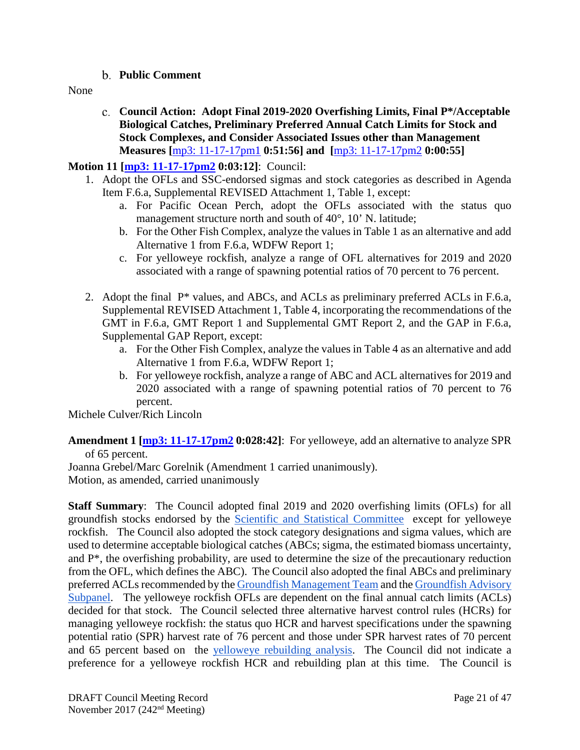- **Public Comment**
- <span id="page-20-1"></span><span id="page-20-0"></span>None
- **Council Action: Adopt Final 2019-2020 Overfishing Limits, Final P\*/Acceptable Biological Catches, Preliminary Preferred Annual Catch Limits for Stock and Stock Complexes, and Consider Associated Issues other than Management Measures [**[mp3: 11-17-17pm1](ftp://ftp.pcouncil.org/pub/R1711_November_2017_Recordings/11-17-17pm1Copy.mp3) **0:51:56] and [**[mp3: 11-17-17pm2](ftp://ftp.pcouncil.org/pub/R1711_November_2017_Recordings/11-17-17pm2Copy.mp3) **0:00:55]**

## **Motion 11 [\[mp3: 11-17-17pm2](ftp://ftp.pcouncil.org/pub/R1711_November_2017_Recordings/11-17-17pm2Copy.mp3) 0:03:12]**: Council:

- 1. Adopt the OFLs and SSC-endorsed sigmas and stock categories as described in Agenda Item F.6.a, Supplemental REVISED Attachment 1, Table 1, except:
	- a. For Pacific Ocean Perch, adopt the OFLs associated with the status quo management structure north and south of 40°, 10' N. latitude;
	- b. For the Other Fish Complex, analyze the values in Table 1 as an alternative and add Alternative 1 from F.6.a, WDFW Report 1;
	- c. For yelloweye rockfish, analyze a range of OFL alternatives for 2019 and 2020 associated with a range of spawning potential ratios of 70 percent to 76 percent.
- 2. Adopt the final P\* values, and ABCs, and ACLs as preliminary preferred ACLs in F.6.a, Supplemental REVISED Attachment 1, Table 4, incorporating the recommendations of the GMT in F.6.a, GMT Report 1 and Supplemental GMT Report 2, and the GAP in F.6.a, Supplemental GAP Report, except:
	- a. For the Other Fish Complex, analyze the values in Table 4 as an alternative and add Alternative 1 from F.6.a, WDFW Report 1;
	- b. For yelloweye rockfish, analyze a range of ABC and ACL alternatives for 2019 and 2020 associated with a range of spawning potential ratios of 70 percent to 76 percent.

Michele Culver/Rich Lincoln

**Amendment 1 [\[mp3: 11-17-17pm2](ftp://ftp.pcouncil.org/pub/R1711_November_2017_Recordings/11-17-17pm2Copy.mp3) 0:028:42]**: For yelloweye, add an alternative to analyze SPR of 65 percent.

Joanna Grebel/Marc Gorelnik (Amendment 1 carried unanimously). Motion, as amended, carried unanimously

**Staff Summary:** The Council adopted final 2019 and 2020 overfishing limits (OFLs) for all groundfish stocks endorsed by the [Scientific and Statistical Committee](https://www.pcouncil.org/wp-content/uploads/2017/11/F6a_Sup_SSC_Rpt1_NOV2017BB.pdf) except for yelloweye rockfish. The Council also adopted the stock category designations and sigma values, which are used to determine acceptable biological catches (ABCs; sigma, the estimated biomass uncertainty, and P\*, the overfishing probability, are used to determine the size of the precautionary reduction from the OFL, which defines the ABC). The Council also adopted the final ABCs and preliminary preferred ACLs recommended by th[e Groundfish Management Team](https://www.pcouncil.org/wp-content/uploads/2017/11/F6a_Sup_GMT_Rpt2_NOV2017BB.pdf) and th[e Groundfish Advisory](https://www.pcouncil.org/wp-content/uploads/2017/11/F6a_Sup_GAP_Rpt1_NOV2017BB.pdf)  [Subpanel.](https://www.pcouncil.org/wp-content/uploads/2017/11/F6a_Sup_GAP_Rpt1_NOV2017BB.pdf) The yelloweye rockfish OFLs are dependent on the final annual catch limits (ACLs) decided for that stock. The Council selected three alternative harvest control rules (HCRs) for managing yelloweye rockfish: the status quo HCR and harvest specifications under the spawning potential ratio (SPR) harvest rate of 76 percent and those under SPR harvest rates of 70 percent and 65 percent based on the [yelloweye rebuilding analysis.](http://www.pcouncil.org/wp-content/uploads/2017/10/F4_Att2_2017_yelloweye_rebuilding_final_NOV2017BB.pdf) The Council did not indicate a preference for a yelloweye rockfish HCR and rebuilding plan at this time. The Council is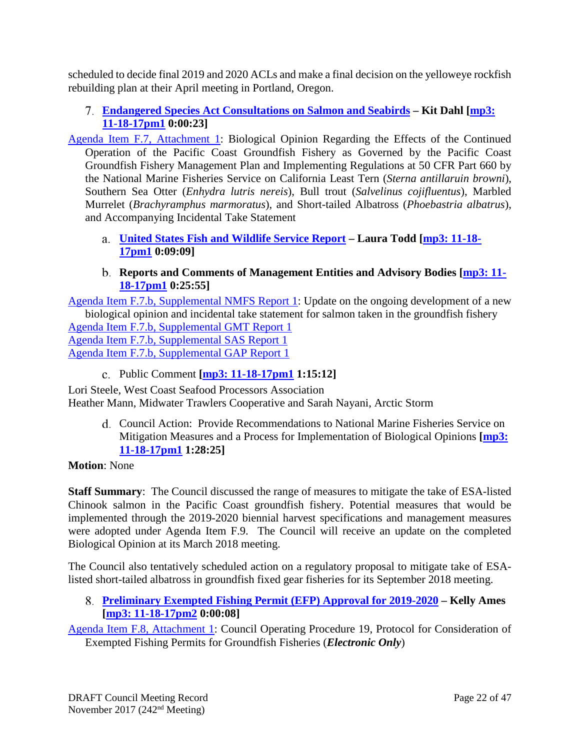scheduled to decide final 2019 and 2020 ACLs and make a final decision on the yelloweye rockfish rebuilding plan at their April meeting in Portland, Oregon.

- <span id="page-21-0"></span>**[Endangered Species Act Consultations on Salmon and Seabirds](http://www.pcouncil.org/wp-content/uploads/2017/10/F7__SitSum_ESA_Consultations_NOV2017BB.pdf) – Kit Dahl [\[mp3:](ftp://ftp.pcouncil.org/pub/R1711_November_2017_Recordings/11-18-17pm1Copy.mp3)  [11-18-17pm1](ftp://ftp.pcouncil.org/pub/R1711_November_2017_Recordings/11-18-17pm1Copy.mp3) 0:00:23]**
- [Agenda Item F.7, Attachment 1:](http://www.pcouncil.org/wp-content/uploads/2017/10/F7_Att1_USFWS_2017_STALBiOp_NOV2017BB.pdf) Biological Opinion Regarding the Effects of the Continued Operation of the Pacific Coast Groundfish Fishery as Governed by the Pacific Coast Groundfish Fishery Management Plan and Implementing Regulations at 50 CFR Part 660 by the National Marine Fisheries Service on California Least Tern (*Sterna antillaruin browni*), Southern Sea Otter (*Enhydra lutris nereis*), Bull trout (*Salvelinus cojifluentus*), Marbled Murrelet (*Brachyramphus marmoratus*), and Short-tailed Albatross (*Phoebastria albatrus*), and Accompanying Incidental Take Statement
	- **[United States Fish and Wildlife Service Report](https://www.pcouncil.org/wp-content/uploads/2017/11/F7a_Sup_USFWS_Presentation1_STAL_PCGF_Consultation_Todd_NOV2017BB.pdf) – Laura Todd [\[mp3: 11-18-](ftp://ftp.pcouncil.org/pub/R1711_November_2017_Recordings/11-18-17pm1Copy.mp3) [17pm1](ftp://ftp.pcouncil.org/pub/R1711_November_2017_Recordings/11-18-17pm1Copy.mp3) 0:09:09]**

## <span id="page-21-1"></span>**Reports and Comments of Management Entities and Advisory Bodies [\[mp3: 11-](ftp://ftp.pcouncil.org/pub/R1711_November_2017_Recordings/11-18-17pm1Copy.mp3) [18-17pm1](ftp://ftp.pcouncil.org/pub/R1711_November_2017_Recordings/11-18-17pm1Copy.mp3) 0:25:55]**

<span id="page-21-2"></span>[Agenda Item F.7.b, Supplemental NMFS Report 1:](https://www.pcouncil.org/wp-content/uploads/2017/11/F7b_Sup_NMFS_Rpt1_UpdateOn_BO_ITS_NOV2017BB.pdf) Update on the ongoing development of a new biological opinion and incidental take statement for salmon taken in the groundfish fishery [Agenda Item F.7.b, Supplemental GMT Report 1](https://www.pcouncil.org/wp-content/uploads/2017/11/F7b_Sup_GMT_Rpt1-final_NOV2017BB.pdf) Agenda Item F.7.b, [Supplemental SAS Report 1](https://www.pcouncil.org/wp-content/uploads/2017/11/F7b_Sup_SAS_Rpt1_ESA_NOV2017BB.pdf) [Agenda Item F.7.b, Supplemental GAP Report 1](https://www.pcouncil.org/wp-content/uploads/2017/11/F7b_Sup_GAP_Rpt1_BiOps_Nov2017BB.pdf)

Public Comment **[\[mp3: 11-18-17pm1](ftp://ftp.pcouncil.org/pub/R1711_November_2017_Recordings/11-18-17pm1Copy.mp3) 1:15:12]**

<span id="page-21-4"></span><span id="page-21-3"></span>Lori Steele, West Coast Seafood Processors Association Heather Mann, Midwater Trawlers Cooperative and Sarah Nayani, Arctic Storm

Council Action: Provide Recommendations to National Marine Fisheries Service on Mitigation Measures and a Process for Implementation of Biological Opinions **[\[mp3:](ftp://ftp.pcouncil.org/pub/R1711_November_2017_Recordings/11-18-17pm1Copy.mp3)  [11-18-17pm1](ftp://ftp.pcouncil.org/pub/R1711_November_2017_Recordings/11-18-17pm1Copy.mp3) 1:28:25]**

### **Motion**: None

**Staff Summary**: The Council discussed the range of measures to mitigate the take of ESA-listed Chinook salmon in the Pacific Coast groundfish fishery. Potential measures that would be implemented through the 2019-2020 biennial harvest specifications and management measures were adopted under Agenda Item F.9. The Council will receive an update on the completed Biological Opinion at its March 2018 meeting.

The Council also tentatively scheduled action on a regulatory proposal to mitigate take of ESAlisted short-tailed albatross in groundfish fixed gear fisheries for its September 2018 meeting.

<span id="page-21-5"></span>**[Preliminary Exempted Fishing Permit \(EFP\) Approval for 2019-2020](http://www.pcouncil.org/wp-content/uploads/2017/10/F8__SitSum_EFPs_2019-2020_NOV2017BB.pdf) – Kelly Ames [\[mp3: 11-18-17pm2](ftp://ftp.pcouncil.org/pub/R1711_November_2017_Recordings/11-18-17pm2Copy.mp3) 0:00:08]**

[Agenda Item F.8, Attachment 1:](http://www.pcouncil.org/wp-content/uploads/2017/10/F8_Att1_COP_E-Only_NOV2017BB.pdf) Council Operating Procedure 19, Protocol for Consideration of Exempted Fishing Permits for Groundfish Fisheries (*Electronic Only*)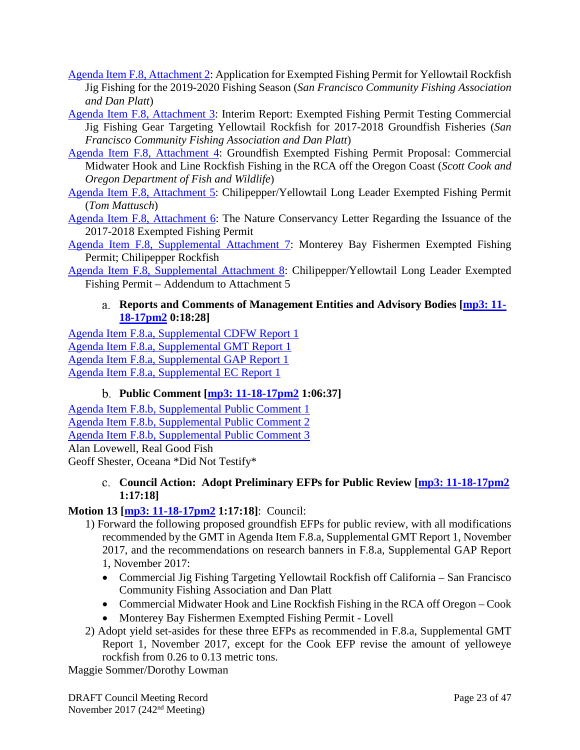- [Agenda Item F.8, Attachment 2:](http://www.pcouncil.org/wp-content/uploads/2017/10/F8_Att2_PlattEmleyApp_NOV2017BB.pdf) Application for Exempted Fishing Permit for Yellowtail Rockfish Jig Fishing for the 2019-2020 Fishing Season (*San Francisco Community Fishing Association and Dan Platt*)
- [Agenda Item F.8, Attachment 3:](http://www.pcouncil.org/wp-content/uploads/2017/10/F8_Att3_PlattEmleyProgress_NOV2017BB.pdf) Interim Report: Exempted Fishing Permit Testing Commercial Jig Fishing Gear Targeting Yellowtail Rockfish for 2017-2018 Groundfish Fisheries (*San Francisco Community Fishing Association and Dan Platt*)
- [Agenda Item F.8, Attachment 4:](http://www.pcouncil.org/wp-content/uploads/2017/10/F8_Att4_Cook_App_NOV2017BB.pdf) Groundfish Exempted Fishing Permit Proposal: Commercial Midwater Hook and Line Rockfish Fishing in the RCA off the Oregon Coast (*Scott Cook and Oregon Department of Fish and Wildlife*)
- [Agenda Item F.8, Attachment 5:](http://www.pcouncil.org/wp-content/uploads/2017/10/F8_Att5_Mattusch_App_NOV2017BB.pdf) Chilipepper/Yellowtail Long Leader Exempted Fishing Permit (*Tom Mattusch*)
- [Agenda Item F.8, Attachment 6:](http://www.pcouncil.org/wp-content/uploads/2017/10/F8_Att6_TNC_Progress_NOV2017BB.pdf) The Nature Conservancy Letter Regarding the Issuance of the 2017-2018 Exempted Fishing Permit
- [Agenda Item F.8, Supplemental Attachment 7:](https://www.pcouncil.org/wp-content/uploads/2017/11/F8_Sup_Att7_MontBayEFP_NOV2017BB.pdf) Monterey Bay Fishermen Exempted Fishing Permit; Chilipepper Rockfish
- <span id="page-22-0"></span>[Agenda Item F.8, Supplemental Attachment 8:](https://www.pcouncil.org/wp-content/uploads/2017/11/F8_Sup_Att8_AddendumToAtt5_NOV2017BB.pdf) Chilipepper/Yellowtail Long Leader Exempted Fishing Permit – Addendum to Attachment 5

## **Reports and Comments of Management Entities and Advisory Bodies [\[mp3: 11-](ftp://ftp.pcouncil.org/pub/R1711_November_2017_Recordings/11-18-17pm2Copy.mp3) [18-17pm2](ftp://ftp.pcouncil.org/pub/R1711_November_2017_Recordings/11-18-17pm2Copy.mp3) 0:18:28]**

[Agenda Item F.8.a, Supplemental CDFW Report 1](https://www.pcouncil.org/wp-content/uploads/2017/11/F8a_Sup_CDFW_Rpt1_NOV2017BB.pdf) [Agenda Item F.8.a, Supplemental GMT](https://www.pcouncil.org/wp-content/uploads/2017/11/F8a_Sup_GMT_Rpt1_NOV2017BB.pdf) Report 1 [Agenda Item F.8.a, Supplemental GAP Report 1](https://www.pcouncil.org/wp-content/uploads/2017/11/F8a_Sup_GAP_Rpt1_NOV2017BB.pdf) [Agenda Item F.8.a, Supplemental EC Report 1](https://www.pcouncil.org/wp-content/uploads/2017/11/F8a_Sup_EC_Rpt1_NOV2017BB.pdf)

# **Public Comment [\[mp3: 11-18-17pm2](ftp://ftp.pcouncil.org/pub/R1711_November_2017_Recordings/11-18-17pm2Copy.mp3) 1:06:37]**

<span id="page-22-1"></span>[Agenda Item F.8.b, Supplemental Public Comment 1](https://www.pcouncil.org/wp-content/uploads/2017/11/F8b_Sup_PubCom1_NOV2017BB.pdf) [Agenda Item F.8.b, Supplemental Public Comment 2](https://www.pcouncil.org/wp-content/uploads/2017/11/F8b_Sup_PubCom2_NOV2017BB.pdf) [Agenda Item F.8.b, Supplemental Public Comment 3](https://www.pcouncil.org/wp-content/uploads/2017/11/F8b_Sup_PubCom3_NOV2017BB.pdf) Alan Lovewell, Real Good Fish Geoff Shester, Oceana \*Did Not Testify\*

## <span id="page-22-2"></span>**Council Action: Adopt Preliminary EFPs for Public Review [\[mp3: 11-18-17pm2](ftp://ftp.pcouncil.org/pub/R1711_November_2017_Recordings/11-18-17pm2Copy.mp3) 1:17:18]**

# **Motion 13 [\[mp3: 11-18-17pm2](ftp://ftp.pcouncil.org/pub/R1711_November_2017_Recordings/11-18-17pm2Copy.mp3) 1:17:18]**: Council:

- 1) Forward the following proposed groundfish EFPs for public review, with all modifications recommended by the GMT in Agenda Item F.8.a, Supplemental GMT Report 1, November 2017, and the recommendations on research banners in F.8.a, Supplemental GAP Report 1, November 2017:
	- Commercial Jig Fishing Targeting Yellowtail Rockfish off California San Francisco Community Fishing Association and Dan Platt
	- Commercial Midwater Hook and Line Rockfish Fishing in the RCA off Oregon Cook
	- Monterey Bay Fishermen Exempted Fishing Permit Lovell
- 2) Adopt yield set-asides for these three EFPs as recommended in F.8.a, Supplemental GMT Report 1, November 2017, except for the Cook EFP revise the amount of yelloweye rockfish from 0.26 to 0.13 metric tons.

Maggie Sommer/Dorothy Lowman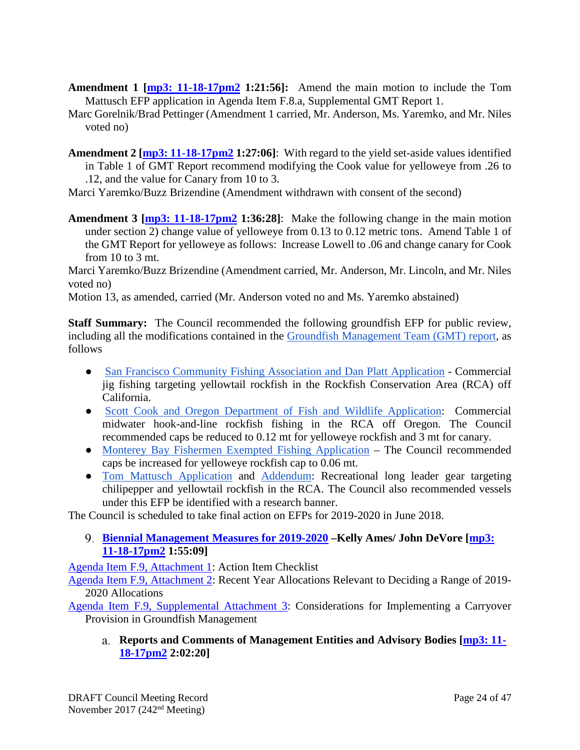- **Amendment 1 [\[mp3: 11-18-17pm2](ftp://ftp.pcouncil.org/pub/R1711_November_2017_Recordings/11-18-17pm2Copy.mp3) 1:21:56]:** Amend the main motion to include the Tom Mattusch EFP application in Agenda Item F.8.a, Supplemental GMT Report 1.
- Marc Gorelnik/Brad Pettinger (Amendment 1 carried, Mr. Anderson, Ms. Yaremko, and Mr. Niles voted no)
- **Amendment 2 [\[mp3: 11-18-17pm2](ftp://ftp.pcouncil.org/pub/R1711_November_2017_Recordings/11-18-17pm2Copy.mp3) 1:27:06]**: With regard to the yield set-aside values identified in Table 1 of GMT Report recommend modifying the Cook value for yelloweye from .26 to .12, and the value for Canary from 10 to 3.
- Marci Yaremko/Buzz Brizendine (Amendment withdrawn with consent of the second)
- **Amendment 3 [\[mp3: 11-18-17pm2](ftp://ftp.pcouncil.org/pub/R1711_November_2017_Recordings/11-18-17pm2Copy.mp3) 1:36:28]**: Make the following change in the main motion under section 2) change value of yelloweye from 0.13 to 0.12 metric tons. Amend Table 1 of the GMT Report for yelloweye as follows: Increase Lowell to .06 and change canary for Cook from  $10$  to  $3$  mt.

Marci Yaremko/Buzz Brizendine (Amendment carried, Mr. Anderson, Mr. Lincoln, and Mr. Niles voted no)

Motion 13, as amended, carried (Mr. Anderson voted no and Ms. Yaremko abstained)

**Staff Summary:** The Council recommended the following groundfish EFP for public review, including all the modifications contained in th[e](https://www.pcouncil.org/wp-content/uploads/2017/11/F8a_Sup_GMT_Rpt1_NOV2017BB.pdf) [Groundfish Management Team \(GMT\) report,](https://www.pcouncil.org/wp-content/uploads/2017/11/F8a_Sup_GMT_Rpt1_NOV2017BB.pdf) as follows

- [San Francisco Community Fishing Association and Dan Platt Application](http://www.pcouncil.org/wp-content/uploads/2017/10/F8_Att2_PlattEmleyApp_NOV2017BB.pdf) Commercial jig fishing targeting yellowtail rockfish in the Rockfish Conservation Area (RCA) off California.
- [Scott Cook and Oregon Department of Fish and Wildlife Application:](http://www.pcouncil.org/wp-content/uploads/2017/10/F8_Att4_Cook_App_NOV2017BB.pdf) Commercial midwater hook-and-line rockfish fishing in the RCA off Oregon. The Council recommended caps be reduced to 0.12 mt for yelloweye rockfish and 3 mt for canary.
- [Monterey Bay Fishermen Exempted Fishing Application](https://www.pcouncil.org/wp-content/uploads/2017/11/F8_Sup_Att7_MontBayEFP_NOV2017BB.pdf) The Council recommended caps be increased for yelloweye rockfish cap to 0.06 mt.
- [Tom Mattusch Application](http://www.pcouncil.org/wp-content/uploads/2017/10/F8_Att5_Mattusch_App_NOV2017BB.pdf) and [Addendum:](https://www.pcouncil.org/wp-content/uploads/2017/11/F8_Sup_Att8_AddendumToAtt5_NOV2017BB.pdf) Recreational long leader gear targeting chilipepper and yellowtail rockfish in the RCA. The Council also recommended vessels under this EFP be identified with a research banner.

The Council is scheduled to take final action on EFPs for 2019-2020 in June 2018.

<span id="page-23-0"></span>**[Biennial Management Measures for 2019-2020](http://www.pcouncil.org/wp-content/uploads/2017/10/F9__SitSum_MM_2019-2020_NOV2017BB.pdf) –Kelly Ames/ John DeVore [\[mp3:](ftp://ftp.pcouncil.org/pub/R1711_November_2017_Recordings/11-18-17pm2Copy.mp3)  [11-18-17pm2](ftp://ftp.pcouncil.org/pub/R1711_November_2017_Recordings/11-18-17pm2Copy.mp3) 1:55:09]**

[Agenda Item F.9, Attachment 1:](http://www.pcouncil.org/wp-content/uploads/2017/10/F9_Att1_Checklist_NOV2017BB.pdf) Action Item Checklist

[Agenda Item F.9, Attachment 2:](http://www.pcouncil.org/wp-content/uploads/2017/10/F9_Att2_Allocations_NOV2017BB.pdf) Recent Year Allocations Relevant to Deciding a Range of 2019- 2020 Allocations

<span id="page-23-1"></span>[Agenda Item F.9, Supplemental Attachment 3:](https://www.pcouncil.org/wp-content/uploads/2017/11/F9_Sup_Att3_CarryoverProvisions_NOV2017BB.pdf) Considerations for Implementing a Carryover Provision in Groundfish Management

**Reports and Comments of Management Entities and Advisory Bodies [\[mp3: 11-](ftp://ftp.pcouncil.org/pub/R1711_November_2017_Recordings/11-18-17pm2Copy.mp3) [18-17pm2](ftp://ftp.pcouncil.org/pub/R1711_November_2017_Recordings/11-18-17pm2Copy.mp3) 2:02:20]**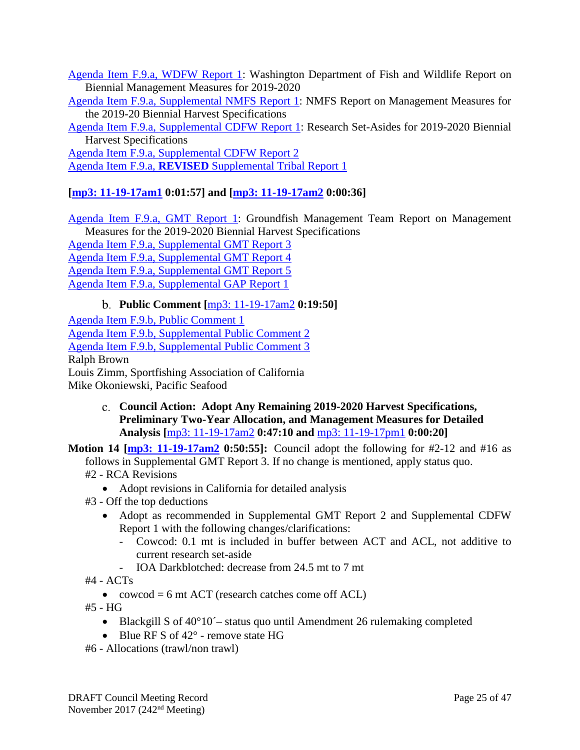[Agenda Item F.9.a, WDFW Report 1:](http://www.pcouncil.org/wp-content/uploads/2017/10/F9a_WDFW_Rpt1_NOV2017BB.pdf) Washington Department of Fish and Wildlife Report on Biennial Management Measures for 2019-2020

[Agenda Item F.9.a, Supplemental NMFS Report 1:](https://www.pcouncil.org/wp-content/uploads/2017/11/F9a_Sup_NMFS_Rpt1_NOV2017BB.pdf) NMFS Report on Management Measures for the 2019-20 Biennial Harvest Specifications

[Agenda Item F.9.a, Supplemental CDFW Report 1:](https://www.pcouncil.org/wp-content/uploads/2017/11/F9a_Sup_CDFW_Rpt1_research_set-asides_NOV2017BB.pdf) Research Set-Asides for 2019-2020 Biennial Harvest Specifications

[Agenda Item F.9.a, Supplemental CDFW Report 2](https://www.pcouncil.org/wp-content/uploads/2017/11/F9a_Sup_CDFW_Rpt2_MM_NOV2017BB.pdf) Agenda Item F.9.a, **REVISED** [Supplemental Tribal Report 1](https://www.pcouncil.org/wp-content/uploads/2017/11/F9a_REVISED_Sup_Tribal_Rpt1_NOV2017BB.pdf)

# **[\[mp3: 11-19-17am1](ftp://ftp.pcouncil.org/pub/R1711_November_2017_Recordings/11-19-17am1Copy.mp3) 0:01:57] and [\[mp3: 11-19-17am2](ftp://ftp.pcouncil.org/pub/R1711_November_2017_Recordings/11-19-17am2Copy.mp3) 0:00:36]**

[Agenda Item F.9.a, GMT Report 1:](http://www.pcouncil.org/wp-content/uploads/2017/10/F9a_GMT_Rpt1_NOV2017BB.pdf) Groundfish Management Team Report on Management Measures for the 2019-2020 Biennial Harvest Specifications [Agenda Item F.9.a, Supplemental GMT Report 3](https://www.pcouncil.org/wp-content/uploads/2017/11/F9a_Sup_GMT_Rpt3_NOV2017BB.pdf) [Agenda Item F.9.a, Supplemental GMT Report 4](https://www.pcouncil.org/wp-content/uploads/2017/11/F9a_Sup_GMT_Rpt4_NOV2017BB.pdf) [Agenda Item F.9.a, Supplemental GMT Report 5](https://www.pcouncil.org/wp-content/uploads/2017/11/F9a_Sup_GMT_Rpt5_NOV2017BB.pdf) [Agenda Item F.9.a, Supplemental GAP Report 1](https://www.pcouncil.org/wp-content/uploads/2017/11/F9a_Sup_GAP_Rpt1_NOV2017BB.pdf)

**Public Comment [**[mp3: 11-19-17am2](ftp://ftp.pcouncil.org/pub/R1711_November_2017_Recordings/11-19-17am2Copy.mp3) **0:19:50]**

<span id="page-24-0"></span>[Agenda Item F.9.b, Public Comment 1](http://www.pcouncil.org/wp-content/uploads/2017/10/F9b_PubCom1_NOV2017BB.pdf) [Agenda Item F.9.b, Supplemental Public Comment 2](https://www.pcouncil.org/wp-content/uploads/2017/11/F9b_Sup_PubCom2_NOV2017BB.pdf) [Agenda Item F.9.b, Supplemental Public Comment 3](https://www.pcouncil.org/wp-content/uploads/2017/11/F9b_Sup_PubCom3_NOV2017BB.pdf) Ralph Brown Louis Zimm, Sportfishing Association of California Mike Okoniewski, Pacific Seafood

- <span id="page-24-1"></span>**Council Action: Adopt Any Remaining 2019-2020 Harvest Specifications, Preliminary Two-Year Allocation, and Management Measures for Detailed Analysis [**[mp3: 11-19-17am2](ftp://ftp.pcouncil.org/pub/R1711_November_2017_Recordings/11-19-17am2Copy.mp3) **0:47:10 and** [mp3: 11-19-17pm1](ftp://ftp.pcouncil.org/pub/R1711_November_2017_Recordings/11-19-17pm1Copy.mp3) **0:00:20]**
- **Motion 14 [\[mp3: 11-19-17am2](ftp://ftp.pcouncil.org/pub/R1711_November_2017_Recordings/11-19-17am2Copy.mp3) 0:50:55]:** Council adopt the following for #2-12 and #16 as follows in Supplemental GMT Report 3. If no change is mentioned, apply status quo. #2 - RCA Revisions
	- Adopt revisions in California for detailed analysis
	- #3 Off the top deductions
		- Adopt as recommended in Supplemental GMT Report 2 and Supplemental CDFW Report 1 with the following changes/clarifications:
			- Cowcod: 0.1 mt is included in buffer between ACT and ACL, not additive to current research set-aside
			- IOA Darkblotched: decrease from 24.5 mt to 7 mt
	- #4 ACTs
		- cowcod  $= 6$  mt ACT (research catches come off ACL)
	- #5 HG
		- Blackgill S of 40°10<sup> $\div$ </sup> status quo until Amendment 26 rulemaking completed
		- Blue RF S of 42° remove state HG
	- #6 Allocations (trawl/non trawl)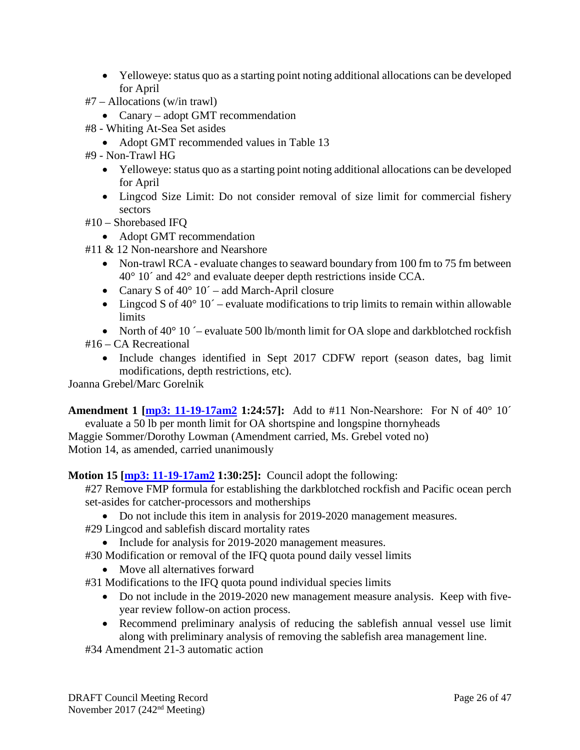- Yelloweye: status quo as a starting point noting additional allocations can be developed for April
- #7 Allocations (w/in trawl)
	- Canary adopt GMT recommendation
- #8 Whiting At-Sea Set asides
	- Adopt GMT recommended values in Table 13
- #9 Non-Trawl HG
	- Yelloweye: status quo as a starting point noting additional allocations can be developed for April
	- Lingcod Size Limit: Do not consider removal of size limit for commercial fishery sectors
- #10 Shorebased IFQ
	- Adopt GMT recommendation
- #11 & 12 Non-nearshore and Nearshore
	- Non-trawl RCA evaluate changes to seaward boundary from 100 fm to 75 fm between 40° 10´ and 42° and evaluate deeper depth restrictions inside CCA.
	- Canary S of  $40^{\circ}$  10´ add March-April closure
	- Lingcod S of  $40^{\circ}$  10<sup> $\degree$ </sup> evaluate modifications to trip limits to remain within allowable **limits**
- North of  $40^{\circ}$  10  $\div$  evaluate 500 lb/month limit for OA slope and darkblotched rockfish #16 – CA Recreational
	- Include changes identified in Sept 2017 CDFW report (season dates, bag limit modifications, depth restrictions, etc).

Joanna Grebel/Marc Gorelnik

**Amendment 1 [\[mp3: 11-19-17am2](ftp://ftp.pcouncil.org/pub/R1711_November_2017_Recordings/11-19-17am2Copy.mp3) 1:24:57]:** Add to #11 Non-Nearshore: For N of 40° 10´ evaluate a 50 lb per month limit for OA shortspine and longspine thornyheads

Maggie Sommer/Dorothy Lowman (Amendment carried, Ms. Grebel voted no) Motion 14, as amended, carried unanimously

## **Motion 15 [\[mp3: 11-19-17am2](ftp://ftp.pcouncil.org/pub/R1711_November_2017_Recordings/11-19-17am2Copy.mp3) 1:30:25]:** Council adopt the following:

#27 Remove FMP formula for establishing the darkblotched rockfish and Pacific ocean perch set-asides for catcher-processors and motherships

- Do not include this item in analysis for 2019-2020 management measures.
- #29 Lingcod and sablefish discard mortality rates
	- Include for analysis for 2019-2020 management measures.
- #30 Modification or removal of the IFQ quota pound daily vessel limits
	- Move all alternatives forward
- #31 Modifications to the IFQ quota pound individual species limits
	- Do not include in the 2019-2020 new management measure analysis. Keep with fiveyear review follow-on action process.
	- Recommend preliminary analysis of reducing the sablefish annual vessel use limit along with preliminary analysis of removing the sablefish area management line.

#34 Amendment 21-3 automatic action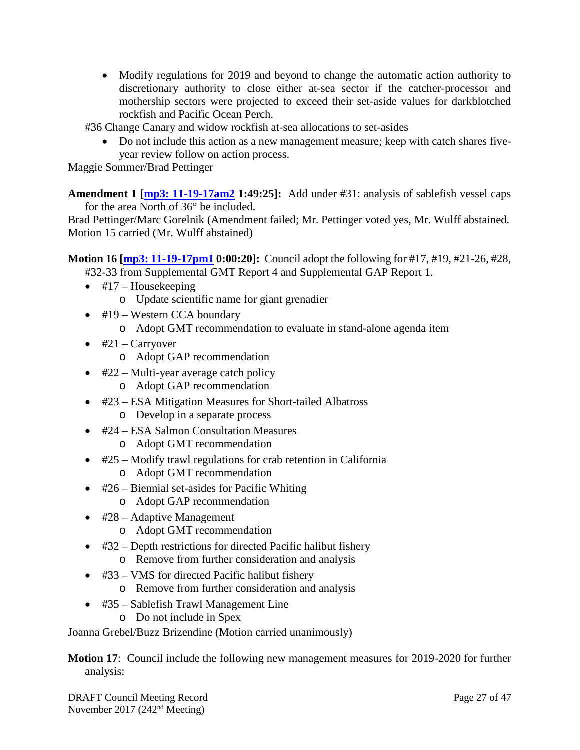• Modify regulations for 2019 and beyond to change the automatic action authority to discretionary authority to close either at-sea sector if the catcher-processor and mothership sectors were projected to exceed their set-aside values for darkblotched rockfish and Pacific Ocean Perch.

#36 Change Canary and widow rockfish at-sea allocations to set-asides

• Do not include this action as a new management measure; keep with catch shares fiveyear review follow on action process.

Maggie Sommer/Brad Pettinger

**Amendment 1 [\[mp3: 11-19-17am2](ftp://ftp.pcouncil.org/pub/R1711_November_2017_Recordings/11-19-17am2Copy.mp3) 1:49:25]:** Add under #31: analysis of sablefish vessel caps for the area North of 36° be included.

Brad Pettinger/Marc Gorelnik (Amendment failed; Mr. Pettinger voted yes, Mr. Wulff abstained. Motion 15 carried (Mr. Wulff abstained)

**Motion 16 [\[mp3: 11-19-17pm1](ftp://ftp.pcouncil.org/pub/R1711_November_2017_Recordings/11-19-17pm1Copy.mp3) 0:00:20]:** Council adopt the following for #17, #19, #21-26, #28,

#32-33 from Supplemental GMT Report 4 and Supplemental GAP Report 1.

- $\bullet$  #17 Housekeeping
	- o Update scientific name for giant grenadier
- #19 Western CCA boundary
	- o Adopt GMT recommendation to evaluate in stand-alone agenda item
- $\bullet$  #21 Carryover
	- o Adopt GAP recommendation
- $#22$  Multi-year average catch policy
	- o Adopt GAP recommendation
- #23 ESA Mitigation Measures for Short-tailed Albatross
	- o Develop in a separate process
- #24 ESA Salmon Consultation Measures
	- o Adopt GMT recommendation
- #25 Modify trawl regulations for crab retention in California
	- o Adopt GMT recommendation
- $\bullet$  #26 Biennial set-asides for Pacific Whiting
	- o Adopt GAP recommendation
- #28 Adaptive Management
	- o Adopt GMT recommendation
- #32 Depth restrictions for directed Pacific halibut fishery o Remove from further consideration and analysis
- #33 VMS for directed Pacific halibut fishery
	- o Remove from further consideration and analysis
- #35 Sablefish Trawl Management Line
	- o Do not include in Spex

Joanna Grebel/Buzz Brizendine (Motion carried unanimously)

**Motion 17**: Council include the following new management measures for 2019-2020 for further analysis: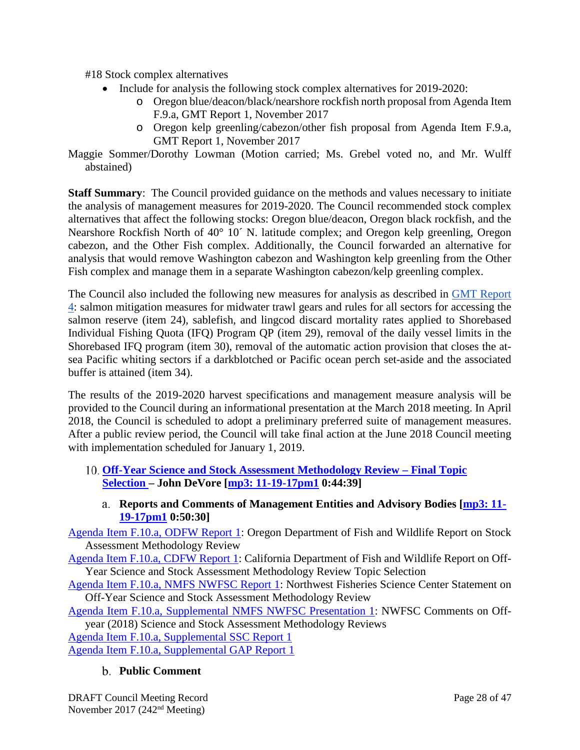#18 Stock complex alternatives

- Include for analysis the following stock complex alternatives for 2019-2020:
	- o Oregon blue/deacon/black/nearshore rockfish north proposal from Agenda Item F.9.a, GMT Report 1, November 2017
	- o Oregon kelp greenling/cabezon/other fish proposal from Agenda Item F.9.a, GMT Report 1, November 2017
- Maggie Sommer/Dorothy Lowman (Motion carried; Ms. Grebel voted no, and Mr. Wulff abstained)

**Staff Summary**: The Council provided guidance on the methods and values necessary to initiate the analysis of management measures for 2019-2020. The Council recommended stock complex alternatives that affect the following stocks: Oregon blue/deacon, Oregon black rockfish, and the Nearshore Rockfish North of 40° 10´ N. latitude complex; and Oregon kelp greenling, Oregon cabezon, and the Other Fish complex. Additionally, the Council forwarded an alternative for analysis that would remove Washington cabezon and Washington kelp greenling from the Other Fish complex and manage them in a separate Washington cabezon/kelp greenling complex.

The Council also included the following new measures for analysis as described in [GMT Report](https://www.pcouncil.org/wp-content/uploads/2017/11/F9a_Sup_GMT_Rpt4_NOV2017BB.pdf)  [4:](https://www.pcouncil.org/wp-content/uploads/2017/11/F9a_Sup_GMT_Rpt4_NOV2017BB.pdf) salmon mitigation measures for midwater trawl gears and rules for all sectors for accessing the salmon reserve (item 24), sablefish, and lingcod discard mortality rates applied to Shorebased Individual Fishing Quota (IFQ) Program QP (item 29), removal of the daily vessel limits in the Shorebased IFQ program (item 30), removal of the automatic action provision that closes the atsea Pacific whiting sectors if a darkblotched or Pacific ocean perch set-aside and the associated buffer is attained (item 34).

The results of the 2019-2020 harvest specifications and management measure analysis will be provided to the Council during an informational presentation at the March 2018 meeting. In April 2018, the Council is scheduled to adopt a preliminary preferred suite of management measures. After a public review period, the Council will take final action at the June 2018 Council meeting with implementation scheduled for January 1, 2019.

- <span id="page-27-0"></span>**[Off-Year Science and Stock Assessment Methodology Review –](http://www.pcouncil.org/wp-content/uploads/2017/10/F10__SitSum_OffYrScienceMethodsReviews_NOV2017BB.pdf) Final Topic [Selection](http://www.pcouncil.org/wp-content/uploads/2017/10/F10__SitSum_OffYrScienceMethodsReviews_NOV2017BB.pdf) – John DeVore [\[mp3: 11-19-17pm1](ftp://ftp.pcouncil.org/pub/R1711_November_2017_Recordings/11-19-17pm1Copy.mp3) 0:44:39]**
	- **Reports and Comments of Management Entities and Advisory Bodies [\[mp3: 11-](ftp://ftp.pcouncil.org/pub/R1711_November_2017_Recordings/11-19-17pm1Copy.mp3) [19-17pm1](ftp://ftp.pcouncil.org/pub/R1711_November_2017_Recordings/11-19-17pm1Copy.mp3) 0:50:30]**

<span id="page-27-1"></span>[Agenda Item F.10.a, ODFW Report 1:](http://www.pcouncil.org/wp-content/uploads/2017/10/F10a_ODFW_Rpt1_stock_assmt_method_review_NOV2017BB.pdf) Oregon Department of Fish and Wildlife Report on Stock Assessment Methodology Review

[Agenda Item F.10.a, CDFW Report 1:](http://www.pcouncil.org/wp-content/uploads/2017/10/F10a_CDFW_Rpt1_ROV_Research_Proposal_Final_NOV2017BB.pdf) California Department of Fish and Wildlife Report on Off-Year Science and Stock Assessment Methodology Review Topic Selection

[Agenda Item F.10.a, NMFS NWFSC Report 1:](http://www.pcouncil.org/wp-content/uploads/2017/10/F10a_NMFS_NWFSC_Rpt1_Off-year_for_Council-final_NOV2017BB.pdf) Northwest Fisheries Science Center Statement on Off-Year Science and Stock Assessment Methodology Review

[Agenda Item F.10.a, Supplemental NMFS NWFSC Presentation 1:](https://www.pcouncil.org/wp-content/uploads/2017/11/F10a_Sup_NWFSC_Presentation1_Hastie_McClure_Offyear_Science_NOV2017BB.pdf) NWFSC Comments on Offyear (2018) Science and Stock Assessment Methodology Reviews

[Agenda Item F.10.a, Supplemental SSC Report 1](https://www.pcouncil.org/wp-content/uploads/2017/11/F10a_Sup_SSC_Rpt1_OffYrMeth_NOV2017BB.pdf)

<span id="page-27-2"></span>[Agenda Item F.10.a, Supplemental GAP Report 1](https://www.pcouncil.org/wp-content/uploads/2017/11/F10a_Sup_GAP_Rpt1_NOV2017BB.pdf)

## **Public Comment**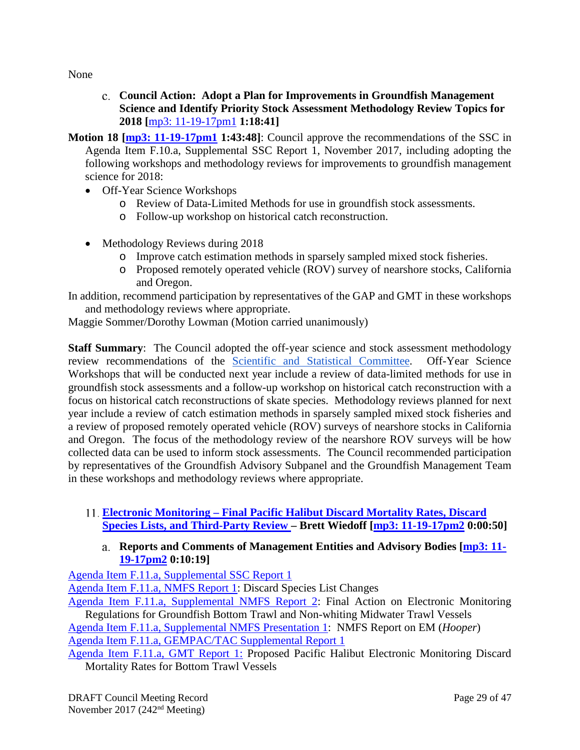<span id="page-28-0"></span>None

- **Council Action: Adopt a Plan for Improvements in Groundfish Management Science and Identify Priority Stock Assessment Methodology Review Topics for 2018 [**[mp3: 11-19-17pm1](ftp://ftp.pcouncil.org/pub/R1711_November_2017_Recordings/11-19-17pm1Copy.mp3) **1:18:41]**
- **Motion 18 [\[mp3: 11-19-17pm1](ftp://ftp.pcouncil.org/pub/R1711_November_2017_Recordings/11-19-17pm1Copy.mp3) 1:43:48]**: Council approve the recommendations of the SSC in Agenda Item F.10.a, Supplemental SSC Report 1, November 2017, including adopting the following workshops and methodology reviews for improvements to groundfish management science for 2018:
	- Off-Year Science Workshops
		- o Review of Data-Limited Methods for use in groundfish stock assessments.
		- o Follow-up workshop on historical catch reconstruction.
	- Methodology Reviews during 2018
		- o Improve catch estimation methods in sparsely sampled mixed stock fisheries.
		- o Proposed remotely operated vehicle (ROV) survey of nearshore stocks, California and Oregon.

In addition, recommend participation by representatives of the GAP and GMT in these workshops and methodology reviews where appropriate.

Maggie Sommer/Dorothy Lowman (Motion carried unanimously)

**Staff Summary:** The Council adopted the off-year science and stock assessment methodology review recommendations of the [Scientific and Statistical Committee.](https://www.pcouncil.org/wp-content/uploads/2017/11/F10a_Sup_SSC_Rpt1_OffYrMeth_NOV2017BB.pdf) Off-Year Science Workshops that will be conducted next year include a review of data-limited methods for use in groundfish stock assessments and a follow-up workshop on historical catch reconstruction with a focus on historical catch reconstructions of skate species. Methodology reviews planned for next year include a review of catch estimation methods in sparsely sampled mixed stock fisheries and a review of proposed remotely operated vehicle (ROV) surveys of nearshore stocks in California and Oregon. The focus of the methodology review of the nearshore ROV surveys will be how collected data can be used to inform stock assessments. The Council recommended participation by representatives of the Groundfish Advisory Subpanel and the Groundfish Management Team in these workshops and methodology reviews where appropriate.

# <span id="page-28-1"></span>**Electronic Monitoring – [Final Pacific Halibut Discard Mortality Rates, Discard](http://www.pcouncil.org/wp-content/uploads/2017/10/F11__SitSum_EM_NOV2017BB.pdf)  [Species Lists, and Third-Party Review –](http://www.pcouncil.org/wp-content/uploads/2017/10/F11__SitSum_EM_NOV2017BB.pdf) Brett Wiedoff [\[mp3: 11-19-17pm2](ftp://ftp.pcouncil.org/pub/R1711_November_2017_Recordings/11-19-17pm2Copy.mp3) 0:00:50]**

## **Reports and Comments of Management Entities and Advisory Bodies [\[mp3: 11-](ftp://ftp.pcouncil.org/pub/R1711_November_2017_Recordings/11-19-17pm2Copy.mp3) [19-17pm2](ftp://ftp.pcouncil.org/pub/R1711_November_2017_Recordings/11-19-17pm2Copy.mp3) 0:10:19]**

<span id="page-28-2"></span>[Agenda Item F.11.a, Supplemental SSC Report 1](https://www.pcouncil.org/wp-content/uploads/2017/11/F11a_Sup_SSC_Rpt1_NOV2017BB.pdf)

[Agenda Item F.11.a, NMFS Report 1:](http://www.pcouncil.org/wp-content/uploads/2017/10/F11a_NMFS_Rpt1_discard_species_list_NOV2017BB.pdf) Discard Species List Changes

[Agenda Item F.11.a, Supplemental NMFS Report 2:](https://www.pcouncil.org/wp-content/uploads/2017/11/F11a_Sup_NMFS_Rpt2_NOV2017BB.pdf) Final Action on Electronic Monitoring Regulations for Groundfish Bottom Trawl and Non-whiting Midwater Trawl Vessels

[Agenda Item F.11.a, Supplemental NMFS Presentation 1:](https://www.pcouncil.org/wp-content/uploads/2017/11/F11a_Sup_NMFS_Presentation1_EM_Hooper_NOV2017BB.pdf) NMFS Report on EM (*Hooper*) [Agenda Item F.11.a, GEMPAC/TAC Supplemental Report 1](https://www.pcouncil.org/wp-content/uploads/2017/11/F11a_Sup_GEMPAC_GEMTAC_Rpt1_NOV2017BB.pdf)

[Agenda Item F.11.a, GMT Report 1:](http://www.pcouncil.org/wp-content/uploads/2017/10/F11a_GMT_Rpt1_NOV2017BB.pdf) Proposed Pacific Halibut Electronic Monitoring Discard Mortality Rates for Bottom Trawl Vessels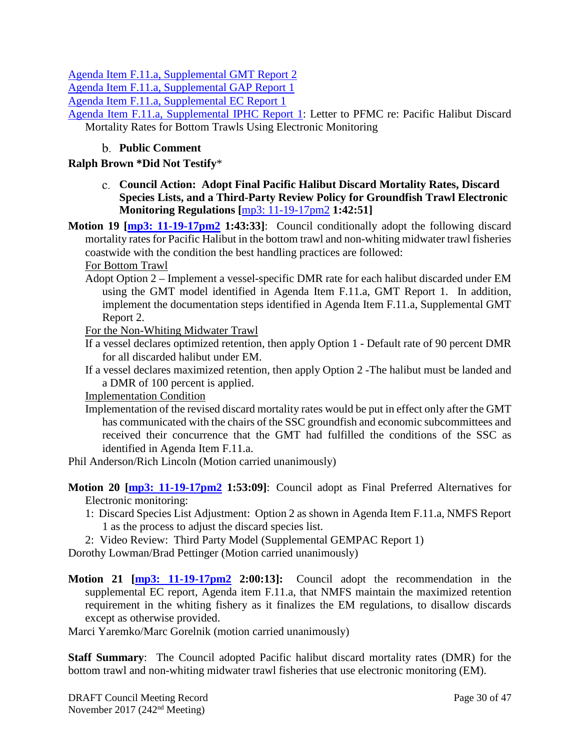[Agenda Item F.11.a, Supplemental GMT Report 2](https://www.pcouncil.org/wp-content/uploads/2017/11/F11a_Sup_GMT_Rpt2_NOV2017BB.pdf)

[Agenda Item F.11.a, Supplemental GAP Report 1](https://www.pcouncil.org/wp-content/uploads/2017/11/F11a_Sup_GAP_Rpt1_EMDMR_Nov2017finalNOV2017BB.pdf)

[Agenda Item F.11.a, Supplemental EC Report 1](https://www.pcouncil.org/wp-content/uploads/2017/11/F11a_Sup_EC_Rpt1_NOV2017BB.pdf)

[Agenda Item F.11.a, Supplemental IPHC Report 1:](https://www.pcouncil.org/wp-content/uploads/2017/11/F11a_Sup_IPHC_Rpt1_NOV2017BB.pdf) Letter to PFMC re: Pacific Halibut Discard Mortality Rates for Bottom Trawls Using Electronic Monitoring

### **Public Comment**

### <span id="page-29-1"></span><span id="page-29-0"></span>**Ralph Brown \*Did Not Testify**\*

**Council Action: Adopt Final Pacific Halibut Discard Mortality Rates, Discard Species Lists, and a Third-Party Review Policy for Groundfish Trawl Electronic Monitoring Regulations [**[mp3: 11-19-17pm2](ftp://ftp.pcouncil.org/pub/R1711_November_2017_Recordings/11-19-17pm2Copy.mp3) **1:42:51]**

**Motion 19 [\[mp3: 11-19-17pm2](ftp://ftp.pcouncil.org/pub/R1711_November_2017_Recordings/11-19-17pm2Copy.mp3) 1:43:33]**: Council conditionally adopt the following discard mortality rates for Pacific Halibut in the bottom trawl and non-whiting midwater trawl fisheries coastwide with the condition the best handling practices are followed:

For Bottom Trawl

Adopt Option 2 – Implement a vessel-specific DMR rate for each halibut discarded under EM using the GMT model identified in Agenda Item F.11.a, GMT Report 1. In addition, implement the documentation steps identified in Agenda Item F.11.a, Supplemental GMT Report 2.

For the Non-Whiting Midwater Trawl

- If a vessel declares optimized retention, then apply Option 1 Default rate of 90 percent DMR for all discarded halibut under EM.
- If a vessel declares maximized retention, then apply Option 2 -The halibut must be landed and a DMR of 100 percent is applied.

Implementation Condition

Implementation of the revised discard mortality rates would be put in effect only after the GMT has communicated with the chairs of the SSC groundfish and economic subcommittees and received their concurrence that the GMT had fulfilled the conditions of the SSC as identified in Agenda Item F.11.a.

Phil Anderson/Rich Lincoln (Motion carried unanimously)

**Motion 20 [\[mp3: 11-19-17pm2](ftp://ftp.pcouncil.org/pub/R1711_November_2017_Recordings/11-19-17pm2Copy.mp3) 1:53:09]**: Council adopt as Final Preferred Alternatives for Electronic monitoring:

- 1: Discard Species List Adjustment: Option 2 as shown in Agenda Item F.11.a, NMFS Report 1 as the process to adjust the discard species list.
- 2: Video Review: Third Party Model (Supplemental GEMPAC Report 1)

Dorothy Lowman/Brad Pettinger (Motion carried unanimously)

**Motion 21 [\[mp3: 11-19-17pm2](ftp://ftp.pcouncil.org/pub/R1711_November_2017_Recordings/11-19-17pm2Copy.mp3) 2:00:13]:** Council adopt the recommendation in the supplemental EC report, Agenda item F.11.a, that NMFS maintain the maximized retention requirement in the whiting fishery as it finalizes the EM regulations, to disallow discards except as otherwise provided.

Marci Yaremko/Marc Gorelnik (motion carried unanimously)

**Staff Summary**: The Council adopted Pacific halibut discard mortality rates (DMR) for the bottom trawl and non-whiting midwater trawl fisheries that use electronic monitoring (EM).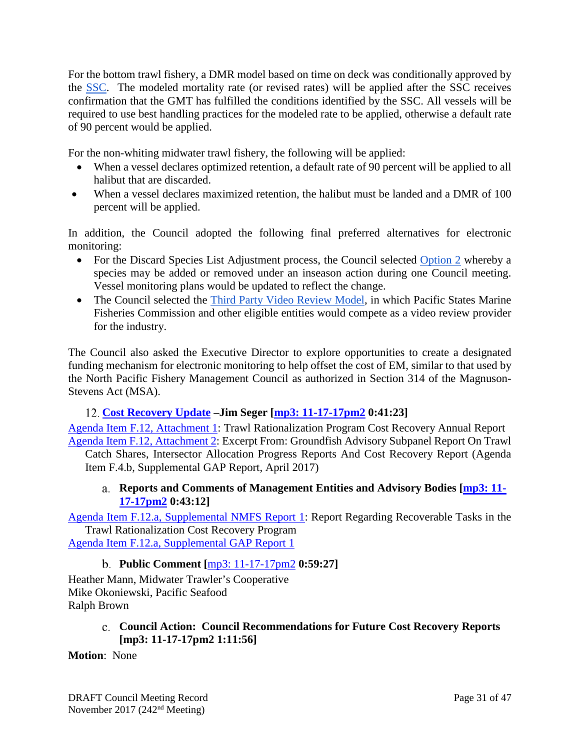For the bottom trawl fishery, a DMR model based on time on deck was conditionally approved by the [SSC.](https://www.pcouncil.org/wp-content/uploads/2017/11/F11a_Sup_SSC_Rpt1_NOV2017BB.pdf) The modeled mortality rate (or revised rates) will be applied after the SSC receives confirmation that the GMT has fulfilled the conditions identified by the SSC. All vessels will be required to use best handling practices for the modeled rate to be applied, otherwise a default rate of 90 percent would be applied.

For the non-whiting midwater trawl fishery, the following will be applied:

- When a vessel declares optimized retention, a default rate of 90 percent will be applied to all halibut that are discarded.
- When a vessel declares maximized retention, the halibut must be landed and a DMR of 100 percent will be applied.

In addition, the Council adopted the following final preferred alternatives for electronic monitoring:

- For the Discard Species List Adjustment process, the Council selected Option 2 whereby a species may be added or removed under an inseason action during one Council meeting. Vessel monitoring plans would be updated to reflect the change.
- The Council selected the [Third Party Video Review Model,](https://www.pcouncil.org/wp-content/uploads/2017/11/F11a_Sup_GEMPAC_GEMTAC_Rpt1_NOV2017BB.pdf) in which Pacific States Marine Fisheries Commission and other eligible entities would compete as a video review provider for the industry.

The Council also asked the Executive Director to explore opportunities to create a designated funding mechanism for electronic monitoring to help offset the cost of EM, similar to that used by the North Pacific Fishery Management Council as authorized in Section 314 of the Magnuson-Stevens Act (MSA).

# <span id="page-30-0"></span>**[Cost Recovery Update](http://www.pcouncil.org/wp-content/uploads/2017/10/F12__SitSum_CostRecovery_NOV2017BB.pdf) –Jim Seger [\[mp3: 11-17-17pm2](ftp://ftp.pcouncil.org/pub/R1711_November_2017_Recordings/11-17-17pm2Copy.mp3) 0:41:23]**

[Agenda Item F.12, Attachment 1:](http://www.pcouncil.org/wp-content/uploads/2017/10/F12_Att1_CostRec_Rep_Apr2017_NOV2017BB.pdf) Trawl Rationalization Program Cost Recovery Annual Report [Agenda Item F.12, Attachment 2:](http://www.pcouncil.org/wp-content/uploads/2017/10/F12_Att2_GAP_Rpt_From_Apr2017_NOV2017BB.pdf) Excerpt From: Groundfish Advisory Subpanel Report On Trawl

<span id="page-30-1"></span>Catch Shares, Intersector Allocation Progress Reports And Cost Recovery Report (Agenda Item F.4.b, Supplemental GAP Report, April 2017)

## **Reports and Comments of Management Entities and Advisory Bodies [\[mp3: 11-](ftp://ftp.pcouncil.org/pub/R1711_November_2017_Recordings/11-17-17pm2Copy.mp3) [17-17pm2](ftp://ftp.pcouncil.org/pub/R1711_November_2017_Recordings/11-17-17pm2Copy.mp3) 0:43:12]**

[Agenda Item F.12.a, Supplemental NMFS Report 1:](https://www.pcouncil.org/wp-content/uploads/2017/11/F12a_Sup_NMFS_Rpt1_NOV2017BB.pdf) Report Regarding Recoverable Tasks in the Trawl Rationalization Cost Recovery Program [Agenda Item F.12.a, Supplemental GAP Report 1](https://www.pcouncil.org/wp-content/uploads/2017/11/F12a_Sup_GAP_Rpt1_cost_recovery_FINAL_NOV2017BB.pdf)

**Public Comment [**[mp3: 11-17-17pm2](ftp://ftp.pcouncil.org/pub/R1711_November_2017_Recordings/11-17-17pm2Copy.mp3) **0:59:27]**

<span id="page-30-2"></span>Heather Mann, Midwater Trawler's Cooperative Mike Okoniewski, Pacific Seafood Ralph Brown

> **Council Action: Council Recommendations for Future Cost Recovery Reports [\[mp3: 11-17-17pm2](ftp://ftp.pcouncil.org/pub/R1711_November_2017_Recordings/11-17-17pm2Copy.mp3) 1:11:56]**

## <span id="page-30-3"></span>**Motion**: None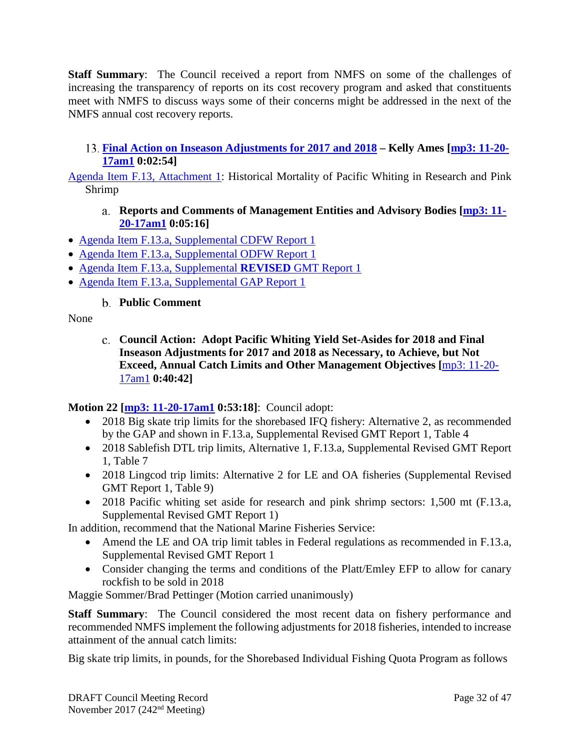**Staff Summary**: The Council received a report from NMFS on some of the challenges of increasing the transparency of reports on its cost recovery program and asked that constituents meet with NMFS to discuss ways some of their concerns might be addressed in the next of the NMFS annual cost recovery reports.

## <span id="page-31-0"></span>**[Final Action on Inseason Adjustments for 2017 and 2018](http://www.pcouncil.org/wp-content/uploads/2017/10/F13__SitSum_Inseason_NOV2017BB.pdf) – Kelly Ames [\[mp3: 11-20-](ftp://ftp.pcouncil.org/pub/R1711_November_2017_Recordings/11-20-17am1Copy.mp3) [17am1](ftp://ftp.pcouncil.org/pub/R1711_November_2017_Recordings/11-20-17am1Copy.mp3) 0:02:54]**

<span id="page-31-1"></span>[Agenda Item F.13, Attachment 1:](http://www.pcouncil.org/wp-content/uploads/2017/10/F13_Att1_Whiting_NOV2017BB.pdf) Historical Mortality of Pacific Whiting in Research and Pink Shrimp

## **Reports and Comments of Management Entities and Advisory Bodies [\[mp3: 11-](ftp://ftp.pcouncil.org/pub/R1711_November_2017_Recordings/11-20-17am1Copy.mp3) [20-17am1](ftp://ftp.pcouncil.org/pub/R1711_November_2017_Recordings/11-20-17am1Copy.mp3) 0:05:16]**

- [Agenda Item F.13.a, Supplemental CDFW Report 1](https://www.pcouncil.org/wp-content/uploads/2017/10/F13a_Sup_CDFW_Rpt1_NOV2017BB.pdf)
- [Agenda Item F.13.a, Supplemental ODFW Report 1](https://www.pcouncil.org/wp-content/uploads/2017/11/F13a_Sup_ODFW_Rpt1_Inseason-final_NOV2017BB.pdf)
- [Agenda Item F.13.a, Supplemental](https://www.pcouncil.org/wp-content/uploads/2017/11/F13a_Sup_REVISED_GMT_Rpt1_NOV2017BB.pdf) **REVISED** GMT Report 1
- <span id="page-31-2"></span>• [Agenda Item F.13.a, Supplemental GAP Report 1](https://www.pcouncil.org/wp-content/uploads/2017/11/F13a_Sup_GAP_Rpt1_Inseason_NOV2017BB.pdf)

**Public Comment**

### <span id="page-31-3"></span>None

**Council Action: Adopt Pacific Whiting Yield Set-Asides for 2018 and Final Inseason Adjustments for 2017 and 2018 as Necessary, to Achieve, but Not Exceed, Annual Catch Limits and Other Management Objectives [**[mp3: 11-20-](ftp://ftp.pcouncil.org/pub/R1711_November_2017_Recordings/11-20-17am1Copy.mp3) [17am1](ftp://ftp.pcouncil.org/pub/R1711_November_2017_Recordings/11-20-17am1Copy.mp3) **0:40:42]**

## **Motion 22 [\[mp3: 11-20-17am1](ftp://ftp.pcouncil.org/pub/R1711_November_2017_Recordings/11-20-17am1Copy.mp3) 0:53:18]**: Council adopt:

- 2018 Big skate trip limits for the shorebased IFQ fishery: Alternative 2, as recommended by the GAP and shown in F.13.a, Supplemental Revised GMT Report 1, Table 4
- 2018 Sablefish DTL trip limits, Alternative 1, F.13.a, Supplemental Revised GMT Report 1, Table 7
- 2018 Lingcod trip limits: Alternative 2 for LE and OA fisheries (Supplemental Revised GMT Report 1, Table 9)
- 2018 Pacific whiting set aside for research and pink shrimp sectors: 1,500 mt (F.13.a, Supplemental Revised GMT Report 1)

In addition, recommend that the National Marine Fisheries Service:

- Amend the LE and OA trip limit tables in Federal regulations as recommended in F.13.a, Supplemental Revised GMT Report 1
- Consider changing the terms and conditions of the Platt/Emley EFP to allow for canary rockfish to be sold in 2018

Maggie Sommer/Brad Pettinger (Motion carried unanimously)

**Staff Summary**: The Council considered the most recent data on fishery performance and recommended NMFS implement the following adjustments for 2018 fisheries, intended to increase attainment of the annual catch limits:

Big skate trip limits, in pounds, for the Shorebased Individual Fishing Quota Program as follows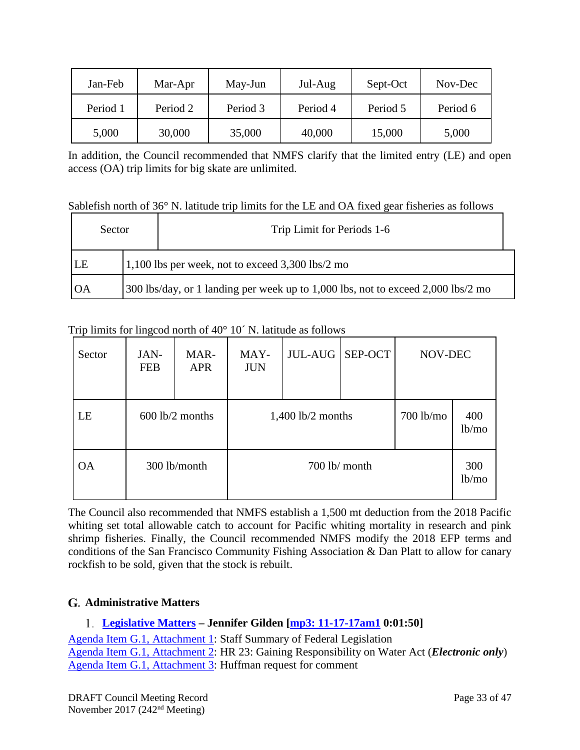| Jan-Feb  | Mar-Apr  | May-Jun  | Jul-Aug  | Sept-Oct | Nov-Dec  |
|----------|----------|----------|----------|----------|----------|
| Period 1 | Period 2 | Period 3 | Period 4 | Period 5 | Period 6 |
| 5,000    | 30,000   | 35,000   | 40,000   | 15,000   | 5,000    |

In addition, the Council recommended that NMFS clarify that the limited entry (LE) and open access (OA) trip limits for big skate are unlimited.

Sablefish north of 36° N. latitude trip limits for the LE and OA fixed gear fisheries as follows

| Sector                                                                                  |  | Trip Limit for Periods 1-6 |  |  |
|-----------------------------------------------------------------------------------------|--|----------------------------|--|--|
| $1,100$ lbs per week, not to exceed $3,300$ lbs/2 mo<br> LE                             |  |                            |  |  |
| 300 lbs/day, or 1 landing per week up to 1,000 lbs, not to exceed 2,000 lbs/2 mo<br>IOA |  |                            |  |  |

Trip limits for lingcod north of 40° 10´ N. latitude as follows

| Sector    | JAN-<br><b>FEB</b> | MAR-<br><b>APR</b> | MAY-<br><b>JUN</b>  | JUL-AUG | SEP-OCT                      | NOV-DEC       |  |  |
|-----------|--------------------|--------------------|---------------------|---------|------------------------------|---------------|--|--|
| LE        |                    | $600$ lb/2 months  | $1,400$ lb/2 months |         | $700$ lb/mo<br>400<br>lb/mol |               |  |  |
| <b>OA</b> |                    | 300 lb/month       | 700 lb/ month       |         |                              | 300<br>lb/mol |  |  |

The Council also recommended that NMFS establish a 1,500 mt deduction from the 2018 Pacific whiting set total allowable catch to account for Pacific whiting mortality in research and pink shrimp fisheries. Finally, the Council recommended NMFS modify the 2018 EFP terms and conditions of the San Francisco Community Fishing Association & Dan Platt to allow for canary rockfish to be sold, given that the stock is rebuilt.

# <span id="page-32-0"></span>**Administrative Matters**

# <span id="page-32-1"></span>**[Legislative Matters](http://www.pcouncil.org/wp-content/uploads/2017/10/G1__SitSum_Legislative_Matters_NOV2017BB.pdf) – Jennifer Gilden [\[mp3: 11-17-17am1](ftp://ftp.pcouncil.org/pub/R1711_November_2017_Recordings/11-17-17am1Copy.mp3) 0:01:50]**

[Agenda Item G.1, Attachment 1:](http://www.pcouncil.org/wp-content/uploads/2017/10/G1_Att1_Staff_Summary_Fed_Legislation_NOV_2017BB.pdf) Staff Summary of Federal Legislation [Agenda Item G.1, Attachment 2:](https://www.pcouncil.org/wp-content/uploads/2017/10/G1_Att2_HR23_E-Only_NOV2017BB.pdf) HR 23: Gaining Responsibility on Water Act (*Electronic only*) [Agenda Item G.1, Attachment 3:](http://www.pcouncil.org/wp-content/uploads/2017/10/G1_Att3_Huffman_request_NOV2017BB.pdf) Huffman request for comment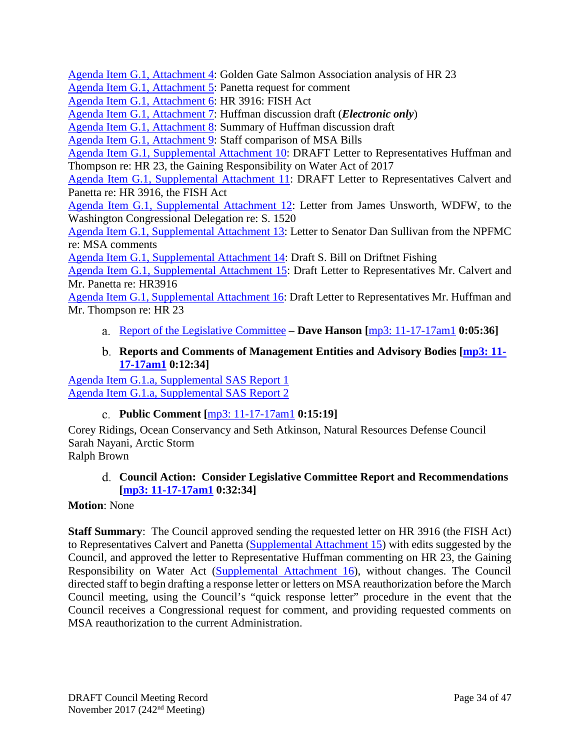[Agenda Item G.1, Attachment 4:](http://www.pcouncil.org/wp-content/uploads/2017/10/G1_Att4_GGSA_Analysis_of_HR23_NOV2017BB.pdf) Golden Gate Salmon Association analysis of HR 23

[Agenda Item G.1, Attachment 5:](http://www.pcouncil.org/wp-content/uploads/2017/10/G1_Att5_Request_letter_on_HR3916_NOV2017BB.pdf) Panetta request for comment

[Agenda Item G.1, Attachment 6:](http://www.pcouncil.org/wp-content/uploads/2017/10/G1_Att6_HR3916_text_NOV2017BB.pdf) HR 3916: FISH Act

[Agenda Item G.1, Attachment 7:](http://www.pcouncil.org/wp-content/uploads/2017/10/G1_Att7_Huffman_Disc_Draft_E-Only_NOV2017BB.pdf) Huffman discussion draft (*Electronic only*)

[Agenda Item G.1, Attachment 8:](http://www.pcouncil.org/wp-content/uploads/2017/10/G1_Att8_Section-by-section_for_Huffman_MSA_Discussion_Draft_NOV2017BB.pdf) Summary of Huffman discussion draft

[Agenda Item G.1, Attachment 9:](http://www.pcouncil.org/wp-content/uploads/2017/10/G1_Att9_Summary_MSA_Bills_new_format_NOV2017BB.pdf) Staff comparison of MSA Bills

[Agenda Item G.1, Supplemental Attachment 10:](https://www.pcouncil.org/wp-content/uploads/2017/11/G1_Sup_Att10_Draft_HR23_Ltr_NOV2017BB.pdf) DRAFT Letter to Representatives Huffman and Thompson re: HR 23, the Gaining Responsibility on Water Act of 2017

[Agenda Item G.1, Supplemental Attachment 11:](https://www.pcouncil.org/wp-content/uploads/2017/11/G1_Sup_Att11_Draft_HR3916_Ltr_NOV2017BB.pdf) DRAFT Letter to Representatives Calvert and Panetta re: HR 3916, the FISH Act

[Agenda Item G.1, Supplemental Attachment 12:](https://www.pcouncil.org/wp-content/uploads/2017/11/G1_Sup_Att12_WDFW_Ltr_S1520_NOV2017BB.pdf) Letter from James Unsworth, WDFW, to the Washington Congressional Delegation re: S. 1520

[Agenda Item G.1, Supplemental Attachment 13:](https://www.pcouncil.org/wp-content/uploads/2017/11/G1_Sup_Att13_Sullivan_NPFMC_Ltr_MSAcomments_NOV2017BB.pdf) Letter to Senator Dan Sullivan from the NPFMC re: MSA comments

[Agenda Item G.1, Supplemental Attachment 14:](https://www.pcouncil.org/wp-content/uploads/2017/11/G1_Sup_Att14_Draft_S.Bill_Driftnet_Fishing_NOV2017BB.pdf) Draft S. Bill on Driftnet Fishing

[Agenda Item G.1, Supplemental](https://www.pcouncil.org/wp-content/uploads/2017/11/G1_Sup_Att15_Draft_HR3916_Ltr_NEW_NOV2017BB.pdf) Attachment 15: Draft Letter to Representatives Mr. Calvert and Mr. Panetta re: HR3916

[Agenda Item G.1, Supplemental Attachment 16:](https://www.pcouncil.org/wp-content/uploads/2017/11/G1_Sup_Att16_Draft_HR23_Ltr_NOV2017BB.pdf) Draft Letter to Representatives Mr. Huffman and Mr. Thompson re: HR 23

<span id="page-33-0"></span>[Report of the Legislative Committee](https://www.pcouncil.org/wp-content/uploads/2017/11/G1a_Sup_LC_Rpt1_NOV2017BB.pdf) **– Dave Hanson [**[mp3: 11-17-17am1](ftp://ftp.pcouncil.org/pub/R1711_November_2017_Recordings/11-17-17am1Copy.mp3) **0:05:36]**

### **Reports and Comments of Management Entities and Advisory Bodies [\[mp3: 11-](ftp://ftp.pcouncil.org/pub/R1711_November_2017_Recordings/11-17-17am1Copy.mp3) [17-17am1](ftp://ftp.pcouncil.org/pub/R1711_November_2017_Recordings/11-17-17am1Copy.mp3) 0:12:34]**

<span id="page-33-1"></span>[Agenda Item G.1.a, Supplemental SAS Report 1](https://www.pcouncil.org/wp-content/uploads/2017/11/G1a_Sup_SAS_Rpt1_NOV2017BB.pdf) [Agenda Item G.1.a, Supplemental SAS Report 2](https://www.pcouncil.org/wp-content/uploads/2017/11/G1a_Sup_SAS_Rpt2_NOV2017BB.pdf)

## **Public Comment [**[mp3: 11-17-17am1](ftp://ftp.pcouncil.org/pub/R1711_November_2017_Recordings/11-17-17am1Copy.mp3) **0:15:19]**

<span id="page-33-2"></span>Corey Ridings, Ocean Conservancy and Seth Atkinson, Natural Resources Defense Council Sarah Nayani, Arctic Storm Ralph Brown

<span id="page-33-3"></span>

### **Council Action: Consider Legislative Committee Report and Recommendations [\[mp3: 11-17-17am1](ftp://ftp.pcouncil.org/pub/R1711_November_2017_Recordings/11-17-17am1Copy.mp3) 0:32:34]**

### **Motion**: None

**Staff Summary**: The Council approved sending the requested letter on HR 3916 (the FISH Act) to Representatives Calvert and Panetta [\(Supplemental Attachment 15\)](https://www.pcouncil.org/wp-content/uploads/2017/11/G1_Sup_Att15_Draft_HR3916_Ltr_NEW_NOV2017BB.pdf) with edits suggested by the Council, and approved the letter to Representative Huffman commenting on HR 23, the Gaining Responsibility on Water Act [\(Supplemental Attachment 16\)](https://www.pcouncil.org/wp-content/uploads/2017/11/G1_Sup_Att16_Draft_HR23_Ltr_NOV2017BB.pdf), without changes. The Council directed staff to begin drafting a response letter or letters on MSA reauthorization before the March Council meeting, using the Council's "quick response letter" procedure in the event that the Council receives a Congressional request for comment, and providing requested comments on MSA reauthorization to the current Administration.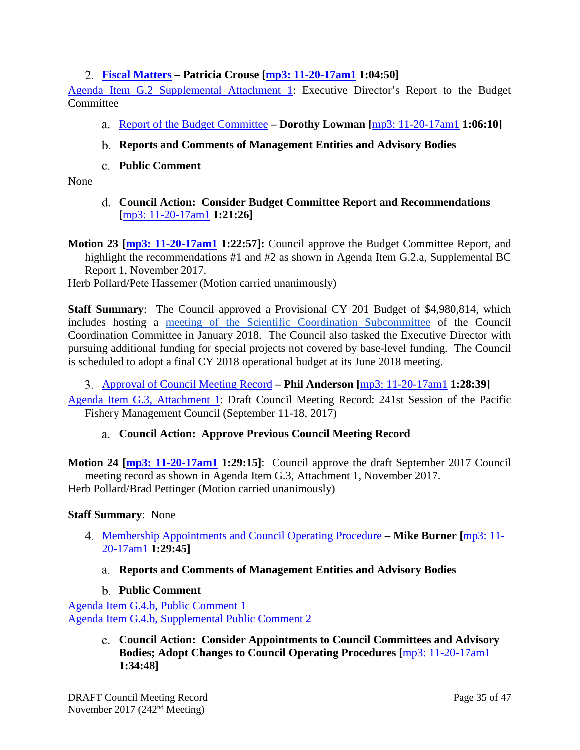## <span id="page-34-0"></span>**[Fiscal Matters](http://www.pcouncil.org/wp-content/uploads/2017/10/G2__SitSum_Fiscal_NOV2017BB.pdf) – Patricia Crouse [\[mp3: 11-20-17am1](ftp://ftp.pcouncil.org/pub/R1711_November_2017_Recordings/11-20-17am1Copy.mp3) 1:04:50]**

[Agenda Item G.2 Supplemental Attachment 1:](https://www.pcouncil.org/wp-content/uploads/2017/11/G2_Sup_Att1_ED_BCrpt_NOV2017BB.pdf) Executive Director's Report to the Budget **Committee** 

- <span id="page-34-1"></span>[Report of the Budget Committee](https://www.pcouncil.org/wp-content/uploads/2017/11/G2a_Sup_BudCom_Rpt_NOV2017BB.pdf) **– Dorothy Lowman [**[mp3: 11-20-17am1](ftp://ftp.pcouncil.org/pub/R1711_November_2017_Recordings/11-20-17am1Copy.mp3) **1:06:10]**
- <span id="page-34-2"></span>**Reports and Comments of Management Entities and Advisory Bodies**
- **Public Comment**

<span id="page-34-4"></span><span id="page-34-3"></span>None

**Council Action: Consider Budget Committee Report and Recommendations [**[mp3: 11-20-17am1](ftp://ftp.pcouncil.org/pub/R1711_November_2017_Recordings/11-20-17am1Copy.mp3) **1:21:26]**

**Motion 23 [\[mp3: 11-20-17am1](ftp://ftp.pcouncil.org/pub/R1711_November_2017_Recordings/11-20-17am1Copy.mp3) 1:22:57]:** Council approve the Budget Committee Report, and highlight the recommendations #1 and #2 as shown in Agenda Item G.2.a, Supplemental BC Report 1, November 2017.

Herb Pollard/Pete Hassemer (Motion carried unanimously)

**Staff Summary**: The Council approved a Provisional CY 201 Budget of \$4,980,814, which includes hosting a [meeting of the Scientific Coordination Subcommittee](http://www.fisherycouncils.org/ssc-workshops/sixth-national-ssc-workshop-2018) of the Council Coordination Committee in January 2018. The Council also tasked the Executive Director with pursuing additional funding for special projects not covered by base-level funding. The Council is scheduled to adopt a final CY 2018 operational budget at its June 2018 meeting.

<span id="page-34-5"></span>[Approval of Council Meeting Record](http://www.pcouncil.org/wp-content/uploads/2017/10/G3__SitSum_MtgRec_Sept17_NOV2017BB.pdf) **– Phil Anderson [**[mp3: 11-20-17am1](ftp://ftp.pcouncil.org/pub/R1711_November_2017_Recordings/11-20-17am1Copy.mp3) **1:28:39]**

<span id="page-34-6"></span>[Agenda Item G.3, Attachment 1:](http://www.pcouncil.org/wp-content/uploads/2017/10/G3_Att1_Sept_2017_Draft_Council_Mtg_Record_NOV2017BB.pdf) Draft Council Meeting Record: 241st Session of the Pacific Fishery Management Council (September 11-18, 2017)

### **Council Action: Approve Previous Council Meeting Record**

**Motion 24 [\[mp3: 11-20-17am1](ftp://ftp.pcouncil.org/pub/R1711_November_2017_Recordings/11-20-17am1Copy.mp3) 1:29:15]**: Council approve the draft September 2017 Council meeting record as shown in Agenda Item G.3, Attachment 1, November 2017. Herb Pollard/Brad Pettinger (Motion carried unanimously)

### **Staff Summary**: None

- <span id="page-34-8"></span><span id="page-34-7"></span>[Membership Appointments and Council Operating Procedure](http://www.pcouncil.org/wp-content/uploads/2017/10/G4__SitSum_ApptsCOPs_NOV2017BB.pdf) **– Mike Burner [**[mp3: 11-](ftp://ftp.pcouncil.org/pub/R1711_November_2017_Recordings/11-20-17am1Copy.mp3) [20-17am1](ftp://ftp.pcouncil.org/pub/R1711_November_2017_Recordings/11-20-17am1Copy.mp3) **1:29:45]**
	- **Reports and Comments of Management Entities and Advisory Bodies**
	- **Public Comment**

<span id="page-34-10"></span><span id="page-34-9"></span>[Agenda Item G.4.b, Public Comment 1](http://www.pcouncil.org/wp-content/uploads/2017/10/G4b_PubCom1_NOV2017BB.pdf) [Agenda Item G.4.b, Supplemental Public Comment 2](https://www.pcouncil.org/wp-content/uploads/2017/11/G4b_Sup_PubCom2_NOV2017BB.pdf)

> **Council Action: Consider Appointments to Council Committees and Advisory Bodies; Adopt Changes to Council Operating Procedures [**[mp3: 11-20-17am1](ftp://ftp.pcouncil.org/pub/R1711_November_2017_Recordings/11-20-17am1Copy.mp3) **1:34:48]**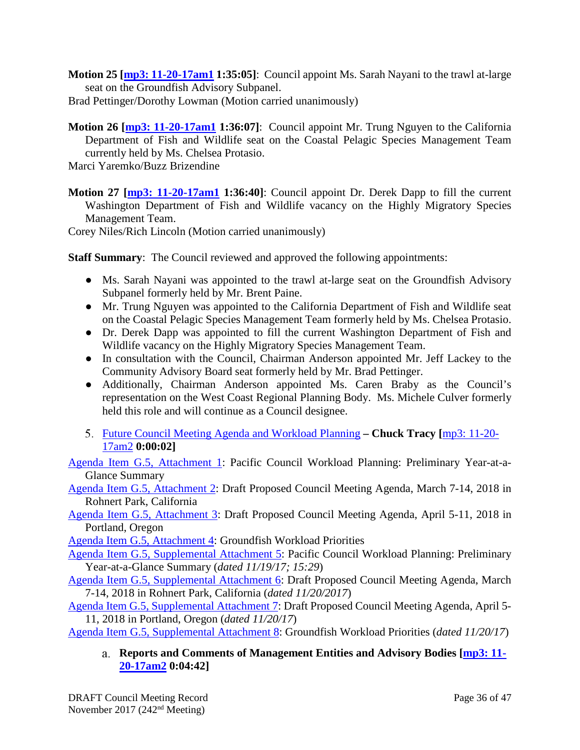**Motion 25 [\[mp3: 11-20-17am1](ftp://ftp.pcouncil.org/pub/R1711_November_2017_Recordings/11-20-17am1Copy.mp3) 1:35:05]**: Council appoint Ms. Sarah Nayani to the trawl at-large seat on the Groundfish Advisory Subpanel.

Brad Pettinger/Dorothy Lowman (Motion carried unanimously)

**Motion 26 [\[mp3: 11-20-17am1](ftp://ftp.pcouncil.org/pub/R1711_November_2017_Recordings/11-20-17am1Copy.mp3) 1:36:07]**: Council appoint Mr. Trung Nguyen to the California Department of Fish and Wildlife seat on the Coastal Pelagic Species Management Team currently held by Ms. Chelsea Protasio.

Marci Yaremko/Buzz Brizendine

**Motion 27 [\[mp3: 11-20-17am1](ftp://ftp.pcouncil.org/pub/R1711_November_2017_Recordings/11-20-17am1Copy.mp3) 1:36:40]**: Council appoint Dr. Derek Dapp to fill the current Washington Department of Fish and Wildlife vacancy on the Highly Migratory Species Management Team.

Corey Niles/Rich Lincoln (Motion carried unanimously)

**Staff Summary:** The Council reviewed and approved the following appointments:

- Ms. Sarah Nayani was appointed to the trawl at-large seat on the Groundfish Advisory Subpanel formerly held by Mr. Brent Paine.
- Mr. Trung Nguyen was appointed to the California Department of Fish and Wildlife seat on the Coastal Pelagic Species Management Team formerly held by Ms. Chelsea Protasio.
- Dr. Derek Dapp was appointed to fill the current Washington Department of Fish and Wildlife vacancy on the Highly Migratory Species Management Team.
- In consultation with the Council, Chairman Anderson appointed Mr. Jeff Lackey to the Community Advisory Board seat formerly held by Mr. Brad Pettinger.
- Additionally, Chairman Anderson appointed Ms. Caren Braby as the Council's representation on the West Coast Regional Planning Body. Ms. Michele Culver formerly held this role and will continue as a Council designee.
- <span id="page-35-0"></span>[Future Council Meeting Agenda and Workload Planning](http://www.pcouncil.org/wp-content/uploads/2017/10/G5__SitSum_CMAgendaPlanning_NOV2017BB.pdf) **– Chuck Tracy [**[mp3: 11-20-](ftp://ftp.pcouncil.org/pub/R1711_November_2017_Recordings/11-20-17am2Copy.mp3) [17am2](ftp://ftp.pcouncil.org/pub/R1711_November_2017_Recordings/11-20-17am2Copy.mp3) **0:00:02]**

[Agenda Item G.5, Attachment 1:](http://www.pcouncil.org/wp-content/uploads/2017/10/G5_Att1_YAG_NOV2017BB.pdf) Pacific Council Workload Planning: Preliminary Year-at-a-Glance Summary

[Agenda Item G.5, Attachment 2:](http://www.pcouncil.org/wp-content/uploads/2017/10/G5_Att2_Mar2018_QR_NOV2017BB.pdf) Draft Proposed Council Meeting Agenda, March 7-14, 2018 in Rohnert Park, California

[Agenda Item G.5, Attachment 3:](http://www.pcouncil.org/wp-content/uploads/2017/10/G5_Att3_APRIL2018_QR_NOV2017BB.pdf) Draft Proposed Council Meeting Agenda, April 5-11, 2018 in Portland, Oregon

[Agenda Item G.5, Attachment 4:](http://www.pcouncil.org/wp-content/uploads/2017/10/G5_Att4_GFworkload_NOV2017BB.pdf) Groundfish Workload Priorities

[Agenda Item G.5, Supplemental Attachment 5:](https://www.pcouncil.org/wp-content/uploads/2017/11/G5_Sup_Att5_YAG_NOV2017BB.pdf) Pacific Council Workload Planning: Preliminary Year-at-a-Glance Summary (*dated 11/19/17; 15:29*)

[Agenda Item G.5, Supplemental Attachment 6:](https://www.pcouncil.org/wp-content/uploads/2017/11/G5_Sup_Att6_Mar2018_QR_NOV2017BB.pdf) Draft Proposed Council Meeting Agenda, March 7-14, 2018 in Rohnert Park, California (*dated 11/20/2017*)

[Agenda Item G.5, Supplemental Attachment 7:](https://www.pcouncil.org/wp-content/uploads/2017/11/G5_Sup_Att7_APRIL2018_QR_NOV2017BB.pdf) Draft Proposed Council Meeting Agenda, April 5- 11, 2018 in Portland, Oregon (*dated 11/20/17*)

<span id="page-35-1"></span>[Agenda Item G.5, Supplemental Attachment 8:](https://www.pcouncil.org/wp-content/uploads/2017/11/G5_Sup_Att8_GFworkload_NOV2017BB.pdf) Groundfish Workload Priorities (*dated 11/20/17*)

**Reports and Comments of Management Entities and Advisory Bodies [\[mp3: 11-](ftp://ftp.pcouncil.org/pub/R1711_November_2017_Recordings/11-20-17am2Copy.mp3) [20-17am2](ftp://ftp.pcouncil.org/pub/R1711_November_2017_Recordings/11-20-17am2Copy.mp3) 0:04:42]**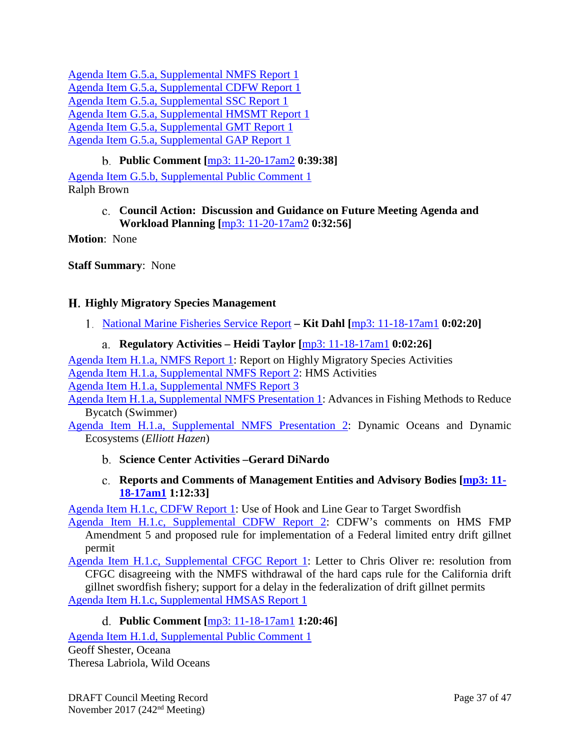[Agenda Item G.5.a, Supplemental NMFS Report 1](https://www.pcouncil.org/wp-content/uploads/2017/11/G5a_Sup_NMFS_Rpt1_NOV2017BB.pdf) [Agenda Item G.5.a, Supplemental CDFW Report 1](https://www.pcouncil.org/wp-content/uploads/2017/11/G5a_Sup_CDFW_Rpt1_workloadplanning_NOV2017BB.pdf) [Agenda Item G.5.a, Supplemental SSC Report 1](https://www.pcouncil.org/wp-content/uploads/2017/11/G5a_Sup_SSC_Rpt1_NOV2017BB.pdf) [Agenda Item G.5.a, Supplemental HMSMT Report 1](https://www.pcouncil.org/wp-content/uploads/2017/11/G5a_Sup_HMSMT_Rpt1_NOV2017BB.pdf) [Agenda Item G.5.a, Supplemental GMT Report 1](https://www.pcouncil.org/wp-content/uploads/2017/11/G5a_Sup_GMT_Rpt1_NOV2017BB.pdf) [Agenda Item G.5.a, Supplemental GAP Report 1](https://www.pcouncil.org/wp-content/uploads/2017/11/G5a_Sup_GAP_Rpt1_NOV2017BB.pdf)

# **Public Comment [**[mp3: 11-20-17am2](ftp://ftp.pcouncil.org/pub/R1711_November_2017_Recordings/11-20-17am2Copy.mp3) **0:39:38]**

<span id="page-36-1"></span><span id="page-36-0"></span>[Agenda Item G.5.b, Supplemental Public Comment 1](https://www.pcouncil.org/wp-content/uploads/2017/11/G5b_Sup_PubCom1_NOV2017BB.pdf) Ralph Brown

### **Council Action: Discussion and Guidance on Future Meeting Agenda and Workload Planning [**[mp3: 11-20-17am2](ftp://ftp.pcouncil.org/pub/R1711_November_2017_Recordings/11-20-17am2Copy.mp3) **0:32:56]**

**Motion**: None

**Staff Summary**: None

## <span id="page-36-2"></span>**Highly Migratory Species Management**

<span id="page-36-3"></span>[National Marine Fisheries Service Report](http://www.pcouncil.org/wp-content/uploads/2017/10/H1__SitSum_NMFS_Report_HMS_NOV2017BB.pdf) **– Kit Dahl [**[mp3: 11-18-17am1](ftp://ftp.pcouncil.org/pub/R1711_November_2017_Recordings/11-18-17am1Copy.mp3) **0:02:20]**

### **Regulatory Activities – Heidi Taylor [**[mp3: 11-18-17am1](ftp://ftp.pcouncil.org/pub/R1711_November_2017_Recordings/11-18-17am1Copy.mp3) **0:02:26]**

<span id="page-36-4"></span>[Agenda Item H.1.a, NMFS Report 1:](http://www.pcouncil.org/wp-content/uploads/2017/10/H1a_NMFS_Rpt1_NOV2017BB.pdf) Report on Highly Migratory Species Activities [Agenda Item H.1.a, Supplemental NMFS Report 2:](https://www.pcouncil.org/wp-content/uploads/2017/11/H1a_Sup_NMFS_Rpt2_NOV2017BB.pdf) HMS Activities [Agenda Item H.1.a, Supplemental NMFS Report 3](https://www.pcouncil.org/wp-content/uploads/2017/11/H1a_Sup_NMFS_Rpt3_NOV2017BB.pdf)

[Agenda Item H.1.a, Supplemental NMFS Presentation 1:](https://www.pcouncil.org/wp-content/uploads/2017/11/H1a_Sup_NMFS_Presentation1_Swimmer_NOV2017BB.pdf) Advances in Fishing Methods to Reduce Bycatch (Swimmer)

<span id="page-36-5"></span>[Agenda Item H.1.a, Supplemental NMFS Presentation 2:](https://www.pcouncil.org/wp-content/uploads/2017/11/H1a_Sup_NMFS_Presentation2_E.HAZEN_NOV2017BB.pdf) Dynamic Oceans and Dynamic Ecosystems (*Elliott Hazen*)

### **Science Center Activities –Gerard DiNardo**

## **Reports and Comments of Management Entities and Advisory Bodies [\[mp3: 11-](ftp://ftp.pcouncil.org/pub/R1711_November_2017_Recordings/11-18-17am1Copy.mp3) [18-17am1](ftp://ftp.pcouncil.org/pub/R1711_November_2017_Recordings/11-18-17am1Copy.mp3) 1:12:33]**

<span id="page-36-6"></span>[Agenda Item H.1.c, CDFW Report 1:](http://www.pcouncil.org/wp-content/uploads/2017/10/H1c_CDFW_Rpt1_DSBG_Gear_as_HL_171016_NOV2017BB.pdf) Use of Hook and Line Gear to Target Swordfish

[Agenda Item H.1.c, Supplemental CDFW Report 2:](https://www.pcouncil.org/wp-content/uploads/2017/11/H1c_Sup_CDFW_Rpt2_HMS_Amdnt5_NOV2017BB.pdf) CDFW's comments on HMS FMP Amendment 5 and proposed rule for implementation of a Federal limited entry drift gillnet permit

[Agenda Item H.1.c, Supplemental CFGC Report 1:](https://www.pcouncil.org/wp-content/uploads/2017/11/H1c_Sup_CFGC_Rpt1_DGN_CoverLtr_111417_Signed_wResolution_NOV2017BB.pdf) Letter to Chris Oliver re: resolution from CFGC disagreeing with the NMFS withdrawal of the hard caps rule for the California drift gillnet swordfish fishery; support for a delay in the federalization of drift gillnet permits [Agenda Item H.1.c, Supplemental HMSAS Report 1](https://www.pcouncil.org/wp-content/uploads/2017/10/H1c_Sup_HMSAS_Rpt1_DGN_Federalization_NOV2017BB.pdf)

## **Public Comment [**[mp3: 11-18-17am1](ftp://ftp.pcouncil.org/pub/R1711_November_2017_Recordings/11-18-17am1Copy.mp3) **1:20:46]**

<span id="page-36-7"></span>[Agenda Item H.1.d, Supplemental Public Comment 1](https://www.pcouncil.org/wp-content/uploads/2017/11/H1d_Sup_PubCom1_Nov2017BB.pdf) Geoff Shester, Oceana Theresa Labriola, Wild Oceans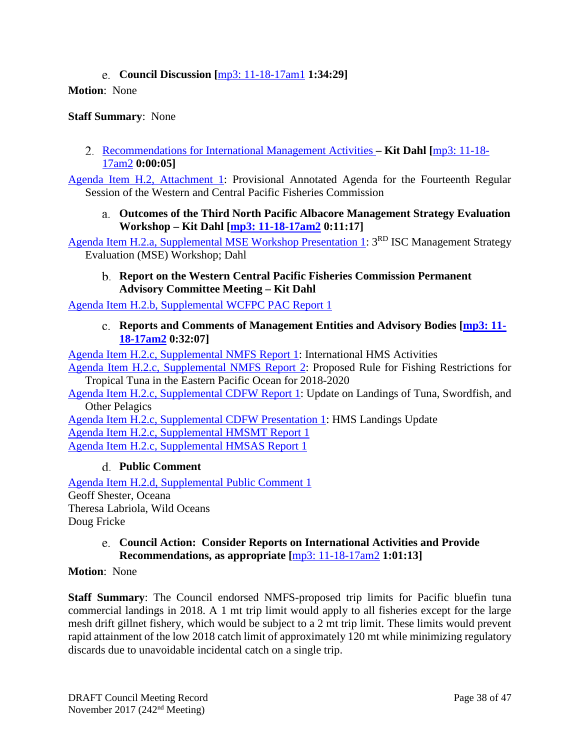## **Council Discussion [**[mp3: 11-18-17am1](ftp://ftp.pcouncil.org/pub/R1711_November_2017_Recordings/11-18-17am1Copy.mp3) **1:34:29]**

### <span id="page-37-0"></span>**Motion**: None

### **Staff Summary**: None

<span id="page-37-1"></span>[Recommendations for International Management Activities](http://www.pcouncil.org/wp-content/uploads/2017/10/H2__SitSum_Intl_HMS_Mgmt_NOV2017BB.pdf) **– Kit Dahl [**[mp3: 11-18-](ftp://ftp.pcouncil.org/pub/R1711_November_2017_Recordings/11-18-17am2Copy.mp3) [17am2](ftp://ftp.pcouncil.org/pub/R1711_November_2017_Recordings/11-18-17am2Copy.mp3) **0:00:05]**

<span id="page-37-2"></span>[Agenda Item H.2, Attachment 1:](http://www.pcouncil.org/wp-content/uploads/2017/10/H2_Att1_WCPFC14-2017-01A_WCPFC14_Provisional_Annotated_Agenda_NOV2017BB.pdf) Provisional Annotated Agenda for the Fourteenth Regular Session of the Western and Central Pacific Fisheries Commission

**Outcomes of the Third North Pacific Albacore Management Strategy Evaluation Workshop – Kit Dahl [\[mp3: 11-18-17am2](ftp://ftp.pcouncil.org/pub/R1711_November_2017_Recordings/11-18-17am2Copy.mp3) 0:11:17]**

<span id="page-37-3"></span>[Agenda Item H.2.a, Supplemental MSE Workshop Presentation 1:](https://www.pcouncil.org/wp-content/uploads/2017/11/H2a_Sup_MSE_Workshop_Presentation1_DAHL_NOV2017BB.pdf) 3<sup>RD</sup> ISC Management Strategy Evaluation (MSE) Workshop; Dahl

**Report on the Western Central Pacific Fisheries Commission Permanent Advisory Committee Meeting – Kit Dahl**

<span id="page-37-4"></span>[Agenda Item H.2.b, Supplemental WCFPC PAC Report 1](https://www.pcouncil.org/wp-content/uploads/2017/11/H2b_Sup_WCPFC-PAC_Rpt1_NOV2017BB.pdf)

**Reports and Comments of Management Entities and Advisory Bodies [\[mp3: 11-](ftp://ftp.pcouncil.org/pub/R1711_November_2017_Recordings/11-18-17am2Copy.mp3) [18-17am2](ftp://ftp.pcouncil.org/pub/R1711_November_2017_Recordings/11-18-17am2Copy.mp3) 0:32:07]**

[Agenda Item H.2.c, Supplemental NMFS Report 1:](https://www.pcouncil.org/wp-content/uploads/2017/11/H2c_Sup_NMFS_Rpt1_International_Activities_PBF_NOV2017BB.pdf) International HMS Activities

[Agenda Item H.2.c, Supplemental NMFS Report 2:](https://www.pcouncil.org/wp-content/uploads/2017/11/H2c_Sup_NMFS_Rpt2_TropicalTuna_NOV2017BB.pdf) Proposed Rule for Fishing Restrictions for Tropical Tuna in the Eastern Pacific Ocean for 2018-2020

[Agenda Item H.2.c, Supplemental CDFW Report 1:](https://www.pcouncil.org/wp-content/uploads/2017/11/H2c_Sup_CDFW_Rep_International20171107_NOV2017BB.pdf) Update on Landings of Tuna, Swordfish, and Other Pelagics

[Agenda Item H.2.c, Supplemental CDFW Presentation 1:](https://www.pcouncil.org/wp-content/uploads/2017/11/H2c_Sup_CDFW_Presentation1_LandingsUpdate_NOVBB2017.pdf) HMS Landings Update [Agenda Item H.2.c, Supplemental HMSMT Report 1](https://www.pcouncil.org/wp-content/uploads/2017/11/H2c_Sup_HMSMT_Rpt1_NOV2017BB.pdf) [Agenda Item H.2.c, Supplemental HMSAS Report 1](https://www.pcouncil.org/wp-content/uploads/2017/11/H2c_Sup_HMSAS_Rpt1_Intl_MGMT_NOV2017BB.pdf)

### **Public Comment**

<span id="page-37-5"></span>[Agenda Item H.2.d, Supplemental Public Comment 1](https://www.pcouncil.org/wp-content/uploads/2017/11/H2d_Sup_PubCom1_NOV2017BB.pdf) Geoff Shester, Oceana Theresa Labriola, Wild Oceans Doug Fricke

### <span id="page-37-6"></span>**Council Action: Consider Reports on International Activities and Provide Recommendations, as appropriate [**[mp3: 11-18-17am2](ftp://ftp.pcouncil.org/pub/R1711_November_2017_Recordings/11-18-17am2Copy.mp3) **1:01:13]**

### **Motion**: None

**Staff Summary**: The Council endorsed NMFS-proposed trip limits for Pacific bluefin tuna commercial landings in 2018. A 1 mt trip limit would apply to all fisheries except for the large mesh drift gillnet fishery, which would be subject to a 2 mt trip limit. These limits would prevent rapid attainment of the low 2018 catch limit of approximately 120 mt while minimizing regulatory discards due to unavoidable incidental catch on a single trip.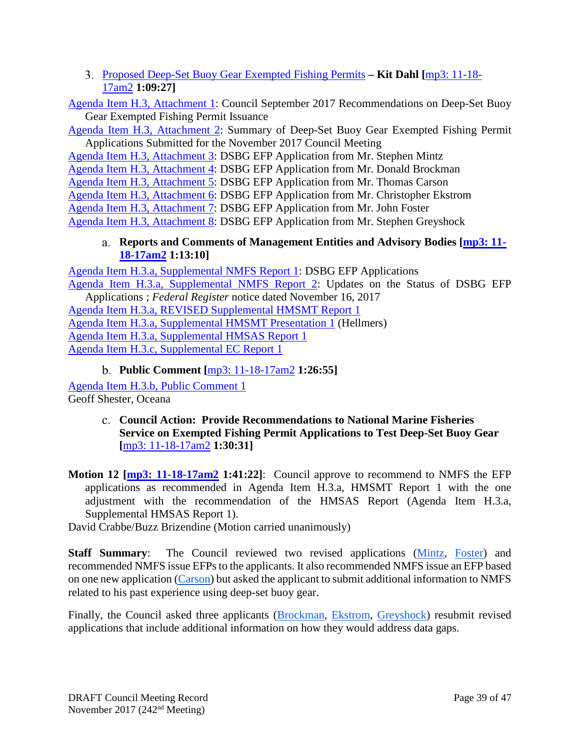<span id="page-38-0"></span>[Proposed Deep-Set Buoy Gear Exempted Fishing Permits](http://www.pcouncil.org/wp-content/uploads/2017/10/H3__SitSum_DSBG_EFPs_NOV2017BB.pdf) **– Kit Dahl [**[mp3: 11-18-](ftp://ftp.pcouncil.org/pub/R1711_November_2017_Recordings/11-18-17am2Copy.mp3) [17am2](ftp://ftp.pcouncil.org/pub/R1711_November_2017_Recordings/11-18-17am2Copy.mp3) **1:09:27]**

[Agenda Item H.3, Attachment 1:](http://www.pcouncil.org/wp-content/uploads/2017/10/H3_Att1_Council_Sept17_DSBG_EFP_RecommendationsNOV2017BB.pdf) Council September 2017 Recommendations on Deep-Set Buoy Gear Exempted Fishing Permit Issuance

[Agenda Item H.3, Attachment 2:](http://www.pcouncil.org/wp-content/uploads/2017/10/H3_Att2_Summary_of_DSBG_Applications_NOV2017BB.pdf) Summary of Deep-Set Buoy Gear Exempted Fishing Permit Applications Submitted for the November 2017 Council Meeting

Agenda [Item H.3, Attachment 3:](http://www.pcouncil.org/wp-content/uploads/2017/10/H3_Att3_DSBG_EFP_application_Mintz_Nov2017BB.pdf) DSBG EFP Application from Mr. Stephen Mintz

[Agenda Item H.3, Attachment 4:](http://www.pcouncil.org/wp-content/uploads/2017/10/H3_Att4_DSBG_EFP_application_Brockman_Nov2017BB.pdf) DSBG EFP Application from Mr. Donald Brockman

[Agenda Item H.3, Attachment 5:](http://www.pcouncil.org/wp-content/uploads/2017/10/H3_Att5_DSBG_EFP_application_Carson_Nov2017BB.pdf) DSBG EFP Application from Mr. Thomas Carson

[Agenda Item H.3, Attachment 6:](http://www.pcouncil.org/wp-content/uploads/2017/10/H3_Att6_DSBG_EFP_application_Ekstrom_Nov2017BB.pdf) DSBG EFP Application from Mr. Christopher Ekstrom

[Agenda Item H.3, Attachment 7:](http://www.pcouncil.org/wp-content/uploads/2017/10/H3_Att7_Application_Foster_Nov2017BB.pdf) DSBG EFP Application from Mr. John Foster

<span id="page-38-1"></span>[Agenda Item H.3, Attachment 8:](http://www.pcouncil.org/wp-content/uploads/2017/10/H3_Att8_DSBG_EFP_Application_Greyshock_Nov2017BB.pdf) DSBG EFP Application from Mr. Stephen Greyshock

## **Reports and Comments of Management Entities and Advisory Bodies [\[mp3: 11-](ftp://ftp.pcouncil.org/pub/R1711_November_2017_Recordings/11-18-17am2Copy.mp3) [18-17am2](ftp://ftp.pcouncil.org/pub/R1711_November_2017_Recordings/11-18-17am2Copy.mp3) 1:13:10]**

[Agenda Item H.3.a, Supplemental NMFS Report 1:](https://www.pcouncil.org/wp-content/uploads/2017/11/H3a_Sup_NMFS_Rpt1_EFP_Applications_NOV2017BB.pdf) DSBG EFP Applications [Agenda Item H.3.a, Supplemental NMFS Report 2:](https://www.pcouncil.org/wp-content/uploads/2017/11/H3a_Sup_NMFS_Rpt2_FRnoticeEFPs_NOV2017BB.pdf) Updates on the Status of DSBG EFP Applications ; *Federal Register* notice dated November 16, 2017 [Agenda Item H.3.a, REVISED Supplemental HMSMT Report 1](https://www.pcouncil.org/wp-content/uploads/2017/11/H3a_REVISED_Sup_HMSMT_Rpt1_Nov2017BB.pdf) [Agenda Item H.3.a, Supplemental HMSMT Presentation 1](https://www.pcouncil.org/wp-content/uploads/2017/11/H3a_Sup_HMSMT_Presentation1_Hellmers_NOVBB2017.pdf) (Hellmers) [Agenda Item H.3.a, Supplemental HMSAS Report 1](https://www.pcouncil.org/wp-content/uploads/2017/11/H3a_Sup_HMSAS_Rpt1_FINAL_NOV2017BB.pdf) [Agenda Item H.3.c, Supplemental EC Report](https://www.pcouncil.org/wp-content/uploads/2017/11/H3a_Sup_EC_Rpt1_NOV2017BB.pdf) 1

**Public Comment [**[mp3: 11-18-17am2](ftp://ftp.pcouncil.org/pub/R1711_November_2017_Recordings/11-18-17am2Copy.mp3) **1:26:55]**

<span id="page-38-2"></span>[Agenda Item H.3.b, Public Comment 1](http://www.pcouncil.org/wp-content/uploads/2017/10/H3b_PubCom1_Nov2017BB.pdf)

<span id="page-38-3"></span>Geoff Shester, Oceana

**Council Action: Provide Recommendations to National Marine Fisheries Service on Exempted Fishing Permit Applications to Test Deep-Set Buoy Gear [**[mp3: 11-18-17am2](ftp://ftp.pcouncil.org/pub/R1711_November_2017_Recordings/11-18-17am2Copy.mp3) **1:30:31]**

**Motion 12 [\[mp3: 11-18-17am2](ftp://ftp.pcouncil.org/pub/R1711_November_2017_Recordings/11-18-17am2Copy.mp3) 1:41:22]**: Council approve to recommend to NMFS the EFP applications as recommended in Agenda Item H.3.a, HMSMT Report 1 with the one adjustment with the recommendation of the HMSAS Report (Agenda Item H.3.a, Supplemental HMSAS Report 1).

David Crabbe/Buzz Brizendine (Motion carried unanimously)

**Staff Summary**: The Council reviewed two revised applications [\(Mintz,](http://www.pcouncil.org/wp-content/uploads/2017/10/H3_Att3_DSBG_EFP_application_Mintz_Nov2017BB.pdf) [Foster\)](http://www.pcouncil.org/wp-content/uploads/2017/10/H3_Att7_Application_Foster_Nov2017BB.pdf) and recommended NMFS issue EFPs to the applicants. It also recommended NMFS issue an EFP based on one new application [\(Carson\)](http://www.pcouncil.org/wp-content/uploads/2017/10/H3_Att5_DSBG_EFP_application_Carson_Nov2017BB.pdf) but asked the applicant to submit additional information to NMFS related to his past experience using deep-set buoy gear.

Finally, the Council asked three applicants [\(Brockman,](http://www.pcouncil.org/wp-content/uploads/2017/10/H3_Att4_DSBG_EFP_application_Brockman_Nov2017BB.pdf) [Ekstrom,](http://www.pcouncil.org/wp-content/uploads/2017/10/H3_Att6_DSBG_EFP_application_Ekstrom_Nov2017BB.pdf) [Greyshock\)](http://www.pcouncil.org/wp-content/uploads/2017/10/H3_Att8_DSBG_EFP_Application_Greyshock_Nov2017BB.pdf) resubmit revised applications that include additional information on how they would address data gaps.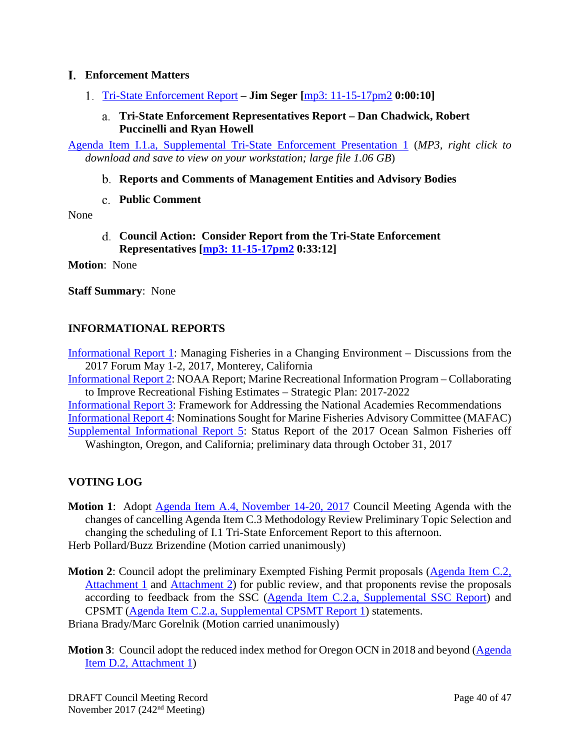### <span id="page-39-0"></span>**Enforcement Matters**

- <span id="page-39-2"></span><span id="page-39-1"></span>[Tri-State Enforcement Report](http://www.pcouncil.org/wp-content/uploads/2017/10/I1__SitSum_EnforcementIssues_NOV2017BB.pdf) **– Jim Seger [**[mp3: 11-15-17pm2](ftp://ftp.pcouncil.org/pub/R1711_November_2017_Recordings/11-15-17pm2Copy.mp3) **0:00:10]**
	- **Tri-State Enforcement Representatives Report – Dan Chadwick, Robert Puccinelli and Ryan Howell**

<span id="page-39-3"></span>[Agenda Item I.1.a, Supplemental Tri-State Enforcement Presentation 1](ftp://ftp.pcouncil.org/pub/Briefing%20Books/Briefing_Books/BB_112017/PFMC%20Video%20Draft%202018version11.06am-1.mp4) (*MP3, right click to download and save to view on your workstation; large file 1.06 GB*)

- **Reports and Comments of Management Entities and Advisory Bodies**
- **Public Comment**

<span id="page-39-5"></span><span id="page-39-4"></span>None

**Council Action: Consider Report from the Tri-State Enforcement Representatives [\[mp3: 11-15-17pm2](ftp://ftp.pcouncil.org/pub/R1711_November_2017_Recordings/11-15-17pm2Copy.mp3) 0:33:12]**

**Motion**: None

**Staff Summary**: None

## <span id="page-39-6"></span>**INFORMATIONAL REPORTS**

[Informational Report 1:](http://www.pcouncil.org/wp-content/uploads/2017/10/IR1_2017-Forum-Final-Summary_Nov2017BB.pdf) Managing Fisheries in a Changing Environment – Discussions from the 2017 Forum May 1-2, 2017, Monterey, California

[Informational Report 2:](http://www.pcouncil.org/wp-content/uploads/2017/10/IR2_2017-2022-MRIP-Strategic-Plan-final_Nov2017BB.pdf) NOAA Report; Marine Recreational Information Program – Collaborating to Improve Recreational Fishing Estimates – Strategic Plan: 2017-2022

[Informational Report 3:](http://www.pcouncil.org/wp-content/uploads/2017/10/IR3_Framework-to-Address-National-Academies-Recommendations_Nov2017BB.pdf) Framework for Addressing the National Academies Recommendations [Informational Report 4:](http://www.pcouncil.org/wp-content/uploads/2017/10/IR4_MAFAC_Nominations_Nov2017BB.pdf) Nominations Sought for Marine Fisheries Advisory Committee (MAFAC) [Supplemental Informational Report 5:](https://www.pcouncil.org/wp-content/uploads/2017/11/IR5_Sup_2017Salmon_Catch_Update_NovFinal_NOV2017BB.pdf) Status Report of the 2017 Ocean Salmon Fisheries off Washington, Oregon, and California; preliminary data through October 31, 2017

## <span id="page-39-7"></span>**VOTING LOG**

**Motion 1**: Adopt [Agenda Item A.4, November 14-20, 2017](http://www.pcouncil.org/wp-content/uploads/2017/10/A4__Agenda_Nov2017BB_v2.pdf) Council Meeting Agenda with the changes of cancelling Agenda Item C.3 Methodology Review Preliminary Topic Selection and changing the scheduling of I.1 Tri-State Enforcement Report to this afternoon. Herb Pollard/Buzz Brizendine (Motion carried unanimously)

**Motion 2:** Council adopt the preliminary Exempted Fishing Permit proposals [\(Agenda Item C.2,](http://www.pcouncil.org/wp-content/uploads/2017/10/C2_Att_1_CWPA_Proposal_Nov2017BB.pdf) [Attachment](http://www.pcouncil.org/wp-content/uploads/2017/10/C2_Att_1_CWPA_Proposal_Nov2017BB.pdf) 1 and [Attachment 2\)](http://www.pcouncil.org/wp-content/uploads/2017/10/C2_Att_2_WCP_EFP_Proposal_FullDoc_E-Only_Nov2017BB.pdf) for public review, and that proponents revise the proposals according to feedback from the SSC (Agenda Item C.2.a, [Supplemental SSC Report\)](https://www.pcouncil.org/wp-content/uploads/2017/11/C2a_Sup_SSC_Rpt1_NOV2017BB.pdf) and CPSMT (Agenda Item C.2.a, [Supplemental CPSMT Report 1\)](https://www.pcouncil.org/wp-content/uploads/2017/11/C2a_Sup_CPSMT_Rpt1_NOV2017BB.pdf) statements.

Briana Brady/Marc Gorelnik (Motion carried unanimously)

**Motion 3:** Council adopt the reduced index method for Oregon OCN in 2018 and beyond (Agenda) [Item D.2, Attachment 1\)](http://www.pcouncil.org/wp-content/uploads/2017/10/D2_Att1_OCN_NOV2017BB.pdf)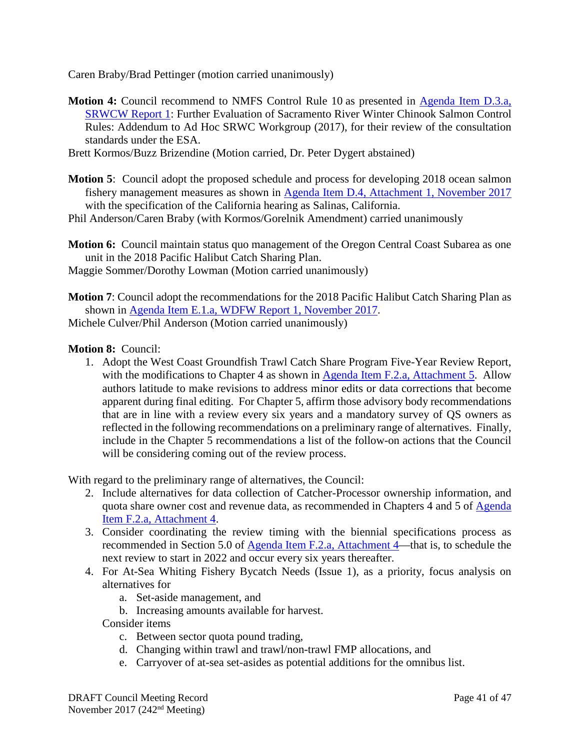Caren Braby/Brad Pettinger (motion carried unanimously)

- **Motion 4:** Council recommend to NMFS Control Rule 10 as presented in Agenda Item D.3.a, [SRWCW Report 1:](http://www.pcouncil.org/wp-content/uploads/2017/10/D3a_SRWCW_Rpt1_NOV2017BB.pdf) Further Evaluation of Sacramento River Winter Chinook Salmon Control Rules: Addendum to Ad Hoc SRWC Workgroup (2017), for their review of the consultation standards under the ESA.
- Brett Kormos/Buzz Brizendine (Motion carried, Dr. Peter Dygert abstained)
- **Motion 5**: Council adopt the proposed schedule and process for developing 2018 ocean salmon fishery management measures as shown in Agenda Item D.4, Attachment 1, November 2017 with the specification of the California hearing as Salinas, California.

Phil Anderson/Caren Braby (with Kormos/Gorelnik Amendment) carried unanimously

**Motion 6:** Council maintain status quo management of the Oregon Central Coast Subarea as one unit in the 2018 Pacific Halibut Catch Sharing Plan.

Maggie Sommer/Dorothy Lowman (Motion carried unanimously)

**Motion 7**: Council adopt the recommendations for the 2018 Pacific Halibut Catch Sharing Plan as shown in [Agenda Item E.1.a, WDFW Report 1, November 2017.](http://www.pcouncil.org/wp-content/uploads/2017/10/E1a_WDFW_Rpt1_NOV2017BB.pdf) Michele Culver/Phil Anderson (Motion carried unanimously)

#### **Motion 8:** Council:

1. Adopt the West Coast Groundfish Trawl Catch Share Program Five-Year Review Report, with the modifications to Chapter 4 as shown in [Agenda Item F.2.a, Attachment 5.](http://www.pcouncil.org/wp-content/uploads/2017/10/F2_Att5_Sect4_NOV2017BB.pdf) Allow authors latitude to make revisions to address minor edits or data corrections that become apparent during final editing. For Chapter 5, affirm those advisory body recommendations that are in line with a review every six years and a mandatory survey of QS owners as reflected in the following recommendations on a preliminary range of alternatives. Finally, include in the Chapter 5 recommendations a list of the follow-on actions that the Council will be considering coming out of the review process.

With regard to the preliminary range of alternatives, the Council:

- 2. Include alternatives for data collection of Catcher-Processor ownership information, and quota share owner cost and revenue data, as recommended in Chapters 4 and 5 of [Agenda](http://www.pcouncil.org/wp-content/uploads/2017/10/F2_Att4_Sections4and5_NOV2017BB.pdf)  [Item F.2.a, Attachment 4.](http://www.pcouncil.org/wp-content/uploads/2017/10/F2_Att4_Sections4and5_NOV2017BB.pdf)
- 3. Consider coordinating the review timing with the biennial specifications process as recommended in Section 5.0 of [Agenda Item F.2.a, Attachment 4—](http://www.pcouncil.org/wp-content/uploads/2017/10/F2_Att4_Sections4and5_NOV2017BB.pdf)that is, to schedule the next review to start in 2022 and occur every six years thereafter.
- 4. For At-Sea Whiting Fishery Bycatch Needs (Issue 1), as a priority, focus analysis on alternatives for
	- a. Set-aside management, and
	- b. Increasing amounts available for harvest.

Consider items

- c. Between sector quota pound trading,
- d. Changing within trawl and trawl/non-trawl FMP allocations, and
- e. Carryover of at-sea set-asides as potential additions for the omnibus list.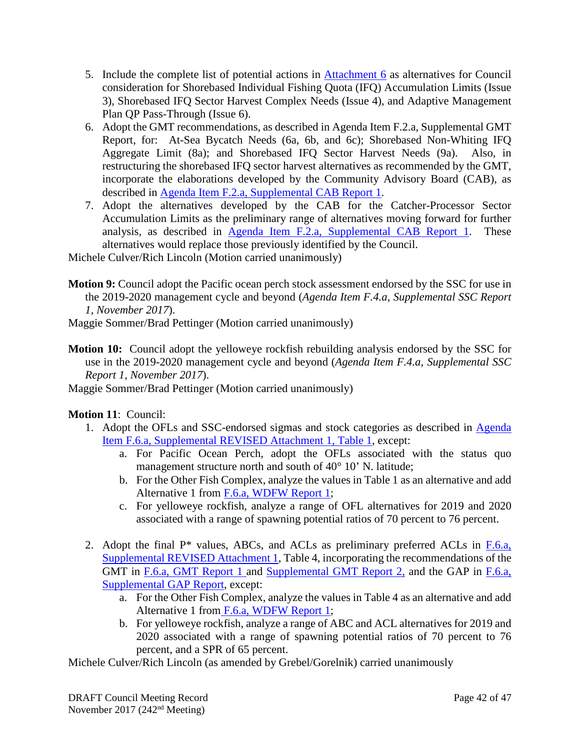- 5. Include the complete list of potential actions in [Attachment 6](http://www.pcouncil.org/wp-content/uploads/2017/10/F2_Att6_FollowOnActions_NOV2017BB.pdf) as alternatives for Council consideration for Shorebased Individual Fishing Quota (IFQ) Accumulation Limits (Issue 3), Shorebased IFQ Sector Harvest Complex Needs (Issue 4), and Adaptive Management Plan QP Pass-Through (Issue 6).
- 6. Adopt the GMT recommendations, as described in Agenda Item F.2.a, Supplemental GMT Report, for: At-Sea Bycatch Needs (6a, 6b, and 6c); Shorebased Non-Whiting IFQ Aggregate Limit (8a); and Shorebased IFQ Sector Harvest Needs (9a). Also, in restructuring the shorebased IFQ sector harvest alternatives as recommended by the GMT, incorporate the elaborations developed by the Community Advisory Board (CAB), as described in [Agenda Item F.2.a, Supplemental CAB Report 1.](https://www.pcouncil.org/wp-content/uploads/2017/11/F2a_Sup_CAB_Rpt1_NOV2017BB.pdf)
- 7. Adopt the alternatives developed by the CAB for the Catcher-Processor Sector Accumulation Limits as the preliminary range of alternatives moving forward for further analysis, as described in [Agenda Item F.2.a, Supplemental CAB Report 1.](https://www.pcouncil.org/wp-content/uploads/2017/11/F2a_Sup_CAB_Rpt1_NOV2017BB.pdf) These alternatives would replace those previously identified by the Council.

Michele Culver/Rich Lincoln (Motion carried unanimously)

**Motion 9:** Council adopt the Pacific ocean perch stock assessment endorsed by the SSC for use in the 2019-2020 management cycle and beyond (*Agenda Item F.4.a, Supplemental SSC Report 1, November 2017*).

Maggie Sommer/Brad Pettinger (Motion carried unanimously)

- **Motion 10:** Council adopt the yelloweye rockfish rebuilding analysis endorsed by the SSC for use in the 2019-2020 management cycle and beyond (*Agenda Item F.4.a, Supplemental SSC Report 1, November 2017*).
- Maggie Sommer/Brad Pettinger (Motion carried unanimously)

## **Motion 11**: Council:

- 1. Adopt the OFLs and SSC-endorsed sigmas and stock categories as described in [Agenda](https://www.pcouncil.org/wp-content/uploads/2017/11/F6_Sup_REVISED_Att1_2019-20HarvestSpex_NOV2017BB.pdf)  [Item F.6.a, Supplemental REVISED Attachment 1, Table](https://www.pcouncil.org/wp-content/uploads/2017/11/F6_Sup_REVISED_Att1_2019-20HarvestSpex_NOV2017BB.pdf) 1, except:
	- a. For Pacific Ocean Perch, adopt the OFLs associated with the status quo management structure north and south of 40° 10' N. latitude;
	- b. For the Other Fish Complex, analyze the values in Table 1 as an alternative and add Alternative 1 from [F.6.a, WDFW Report 1;](http://www.pcouncil.org/wp-content/uploads/2017/10/F6a_WDFW_Rpt1_19-20HarvestSpecifications_NOV2017BB.pdf)
	- c. For yelloweye rockfish, analyze a range of OFL alternatives for 2019 and 2020 associated with a range of spawning potential ratios of 70 percent to 76 percent.
- 2. Adopt the final  $P^*$  values, ABCs, and ACLs as preliminary preferred ACLs in  $F_{.6a}$ , [Supplemental REVISED Attachment 1,](https://www.pcouncil.org/wp-content/uploads/2017/11/F6_Sup_REVISED_Att1_2019-20HarvestSpex_NOV2017BB.pdf) Table 4, incorporating the recommendations of the GMT in [F.6.a, GMT Report 1 a](http://www.pcouncil.org/wp-content/uploads/2017/10/F6a_GMT_Rpt1_NOV2017BB.pdf)nd [Supplemental GMT Report 2,](https://www.pcouncil.org/wp-content/uploads/2017/11/F6a_Sup_GMT_Rpt2_NOV2017BB.pdf) and the GAP in F.6.a, [Supplemental GAP Report,](https://www.pcouncil.org/wp-content/uploads/2017/11/F6a_Sup_GAP_Rpt1_NOV2017BB.pdf) except:
	- a. For the Other Fish Complex, analyze the values in Table 4 as an alternative and add Alternative 1 from [F.6.a, WDFW Report 1;](http://www.pcouncil.org/wp-content/uploads/2017/10/F6a_WDFW_Rpt1_19-20HarvestSpecifications_NOV2017BB.pdf)
	- b. For yelloweye rockfish, analyze a range of ABC and ACL alternatives for 2019 and 2020 associated with a range of spawning potential ratios of 70 percent to 76 percent, and a SPR of 65 percent.

Michele Culver/Rich Lincoln (as amended by Grebel/Gorelnik) carried unanimously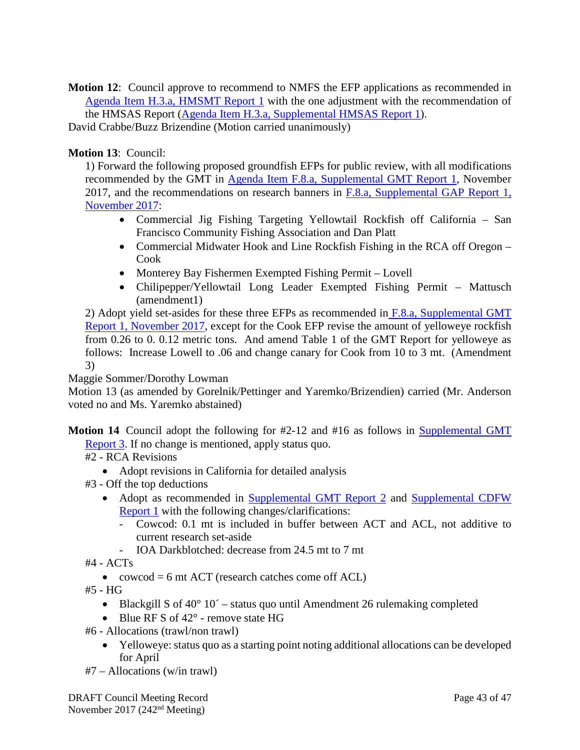**Motion 12**: Council approve to recommend to NMFS the EFP applications as recommended in [Agenda Item H.3.a, HMSMT Report 1](https://www.pcouncil.org/wp-content/uploads/2017/11/H3a_REVISED_Sup_HMSMT_Rpt1_Nov2017BB.pdf) with the one adjustment with the recommendation of the HMSAS Report [\(Agenda Item H.3.a, Supplemental HMSAS Report 1\)](https://www.pcouncil.org/wp-content/uploads/2017/11/H3a_Sup_HMSAS_Rpt1_FINAL_NOV2017BB.pdf).

David Crabbe/Buzz Brizendine (Motion carried unanimously)

### **Motion 13**: Council:

1) Forward the following proposed groundfish EFPs for public review, with all modifications recommended by the GMT in [Agenda Item F.8.a, Supplemental GMT Report 1,](https://www.pcouncil.org/wp-content/uploads/2017/11/F8a_Sup_GMT_Rpt1_NOV2017BB.pdf) November 2017, and the recommendations on research banners in  $F.8.a$ , Supplemental GAP Report 1, [November 2017:](https://www.pcouncil.org/wp-content/uploads/2017/11/F8a_Sup_GAP_Rpt1_NOV2017BB.pdf)

- Commercial Jig Fishing Targeting Yellowtail Rockfish off California San Francisco Community Fishing Association and Dan Platt
- Commercial Midwater Hook and Line Rockfish Fishing in the RCA off Oregon Cook
- Monterey Bay Fishermen Exempted Fishing Permit Lovell
- Chilipepper/Yellowtail Long Leader Exempted Fishing Permit Mattusch (amendment1)

2) Adopt yield set-asides for these three EFPs as recommended in [F.8.a, Supplemental GMT](https://www.pcouncil.org/wp-content/uploads/2017/11/F8a_Sup_GMT_Rpt1_NOV2017BB.pdf)  [Report 1, November 2017,](https://www.pcouncil.org/wp-content/uploads/2017/11/F8a_Sup_GMT_Rpt1_NOV2017BB.pdf) except for the Cook EFP revise the amount of yelloweye rockfish from 0.26 to 0. 0.12 metric tons. And amend Table 1 of the GMT Report for yelloweye as follows: Increase Lowell to .06 and change canary for Cook from 10 to 3 mt. (Amendment 3)

Maggie Sommer/Dorothy Lowman

Motion 13 (as amended by Gorelnik/Pettinger and Yaremko/Brizendien) carried (Mr. Anderson voted no and Ms. Yaremko abstained)

**Motion 14** Council adopt the following for #2-12 and #16 as follows in **Supplemental GMT** [Report 3.](https://www.pcouncil.org/wp-content/uploads/2017/11/F9a_Sup_GMT_Rpt3_NOV2017BB.pdf) If no change is mentioned, apply status quo.

- #2 RCA Revisions
	- Adopt revisions in California for detailed analysis
- #3 Off the top deductions
	- Adopt as recommended in [Supplemental GMT Report 2](https://www.pcouncil.org/wp-content/uploads/2017/11/F9a_Sup_GMT_Rpt2_NOV2017BB.pdf) and Supplemental CDFW [Report 1](https://www.pcouncil.org/wp-content/uploads/2017/11/F9a_Sup_CDFW_Rpt1_research_set-asides_NOV2017BB.pdf) with the following changes/clarifications:
		- Cowcod: 0.1 mt is included in buffer between ACT and ACL, not additive to current research set-aside
		- IOA Darkblotched: decrease from 24.5 mt to 7 mt
- $#4 ACTs$ 
	- cowcod  $= 6$  mt ACT (research catches come off ACL)
- #5 HG
	- Blackgill S of  $40^{\circ}$  10´ status quo until Amendment 26 rulemaking completed
	- Blue RF S of 42° remove state HG
- #6 Allocations (trawl/non trawl)
	- Yelloweye: status quo as a starting point noting additional allocations can be developed for April
- #7 Allocations (w/in trawl)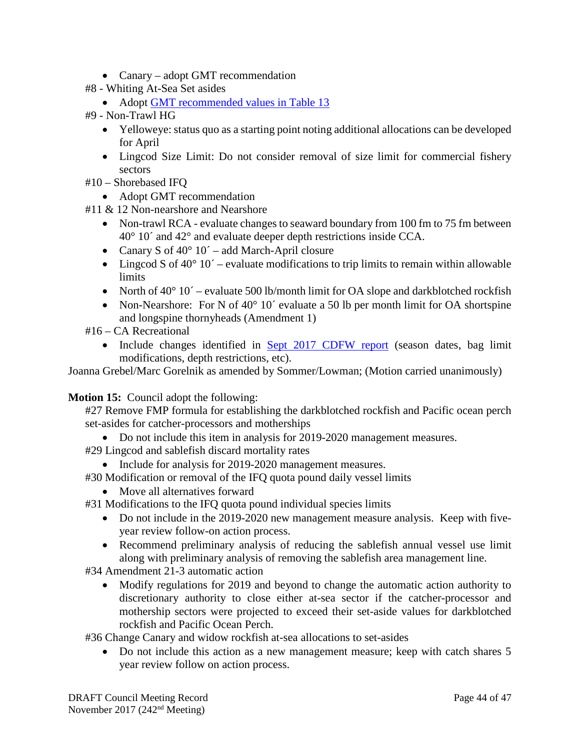- Canary adopt GMT recommendation
- #8 Whiting At-Sea Set asides
	- Adopt [GMT recommended values in Table 13](https://www.pcouncil.org/wp-content/uploads/2017/11/F9a_Sup_GMT_Rpt3_NOV2017BB.pdf)
- #9 Non-Trawl HG
	- Yelloweye: status quo as a starting point noting additional allocations can be developed for April
	- Lingcod Size Limit: Do not consider removal of size limit for commercial fishery sectors
- #10 Shorebased IFQ
	- Adopt GMT recommendation
- #11 & 12 Non-nearshore and Nearshore
	- Non-trawl RCA evaluate changes to seaward boundary from 100 fm to 75 fm between 40° 10´ and 42° and evaluate deeper depth restrictions inside CCA.
	- Canary S of  $40^{\circ}$  10´ add March-April closure
	- Lingcod S of  $40^{\circ}$  10<sup> $\degree$ </sup> evaluate modifications to trip limits to remain within allowable limits
	- North of  $40^{\circ}$  10<sup> $\degree$ </sup> evaluate 500 lb/month limit for OA slope and darkblotched rockfish
	- Non-Nearshore: For N of 40° 10′ evaluate a 50 lb per month limit for OA shortspine and longspine thornyheads (Amendment 1)
- #16 CA Recreational
	- Include changes identified in [Sept 2017 CDFW report](http://www.pcouncil.org/wp-content/uploads/2017/09/E9a_Sup_CDFW_Rpt1_Spex_SEPT2017BB.pdf) (season dates, bag limit modifications, depth restrictions, etc).

Joanna Grebel/Marc Gorelnik as amended by Sommer/Lowman; (Motion carried unanimously)

**Motion 15:** Council adopt the following:

#27 Remove FMP formula for establishing the darkblotched rockfish and Pacific ocean perch set-asides for catcher-processors and motherships

- Do not include this item in analysis for 2019-2020 management measures.
- #29 Lingcod and sablefish discard mortality rates
	- Include for analysis for 2019-2020 management measures.
- #30 Modification or removal of the IFQ quota pound daily vessel limits
	- Move all alternatives forward

#31 Modifications to the IFQ quota pound individual species limits

- Do not include in the 2019-2020 new management measure analysis. Keep with fiveyear review follow-on action process.
- Recommend preliminary analysis of reducing the sablefish annual vessel use limit along with preliminary analysis of removing the sablefish area management line.
- #34 Amendment 21-3 automatic action
	- Modify regulations for 2019 and beyond to change the automatic action authority to discretionary authority to close either at-sea sector if the catcher-processor and mothership sectors were projected to exceed their set-aside values for darkblotched rockfish and Pacific Ocean Perch.

#36 Change Canary and widow rockfish at-sea allocations to set-asides

• Do not include this action as a new management measure; keep with catch shares 5 year review follow on action process.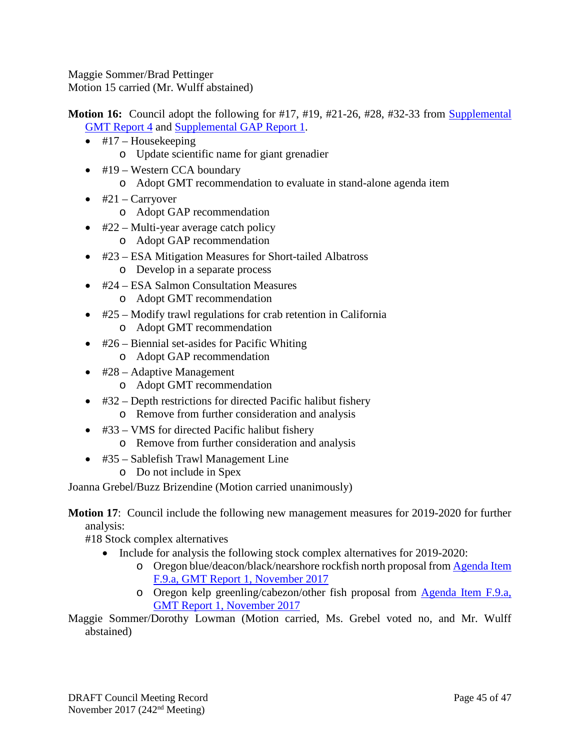Maggie Sommer/Brad Pettinger Motion 15 carried (Mr. Wulff abstained)

**Motion 16:** Council adopt the following for #17, #19, #21-26, #28, #32-33 from Supplemental [GMT Report 4](https://www.pcouncil.org/wp-content/uploads/2017/11/F9a_Sup_GMT_Rpt4_NOV2017BB.pdf) and [Supplemental GAP Report 1.](https://www.pcouncil.org/wp-content/uploads/2017/11/F9a_Sup_GAP_Rpt1_NOV2017BB.pdf)

- $\bullet$  #17 Housekeeping o Update scientific name for giant grenadier
- #19 Western CCA boundary o Adopt GMT recommendation to evaluate in stand-alone agenda item
- $\bullet$  #21 Carryover
	- o Adopt GAP recommendation
- $\bullet$  #22 Multi-year average catch policy
	- o Adopt GAP recommendation
- #23 ESA Mitigation Measures for Short-tailed Albatross
	- o Develop in a separate process
- #24 ESA Salmon Consultation Measures
	- o Adopt GMT recommendation
- #25 Modify trawl regulations for crab retention in California
	- o Adopt GMT recommendation
- #26 Biennial set-asides for Pacific Whiting o Adopt GAP recommendation
- #28 Adaptive Management
	- o Adopt GMT recommendation
- #32 Depth restrictions for directed Pacific halibut fishery
	- o Remove from further consideration and analysis
- #33 VMS for directed Pacific halibut fishery
	- o Remove from further consideration and analysis
- #35 Sablefish Trawl Management Line
	- o Do not include in Spex

Joanna Grebel/Buzz Brizendine (Motion carried unanimously)

**Motion 17**: Council include the following new management measures for 2019-2020 for further analysis:

#18 Stock complex alternatives

- Include for analysis the following stock complex alternatives for 2019-2020:
	- o Oregon blue/deacon/black/nearshore rockfish north proposal fro[m Agenda Item](http://www.pcouncil.org/wp-content/uploads/2017/10/F9a_GMT_Rpt1_NOV2017BB.pdf)  [F.9.a, GMT Report 1, November 2017](http://www.pcouncil.org/wp-content/uploads/2017/10/F9a_GMT_Rpt1_NOV2017BB.pdf)
	- o Oregon kelp greenling/cabezon/other fish proposal from [Agenda Item F.9.a,](http://www.pcouncil.org/wp-content/uploads/2017/10/F9a_GMT_Rpt1_NOV2017BB.pdf)  [GMT Report 1, November 2017](http://www.pcouncil.org/wp-content/uploads/2017/10/F9a_GMT_Rpt1_NOV2017BB.pdf)

Maggie Sommer/Dorothy Lowman (Motion carried, Ms. Grebel voted no, and Mr. Wulff abstained)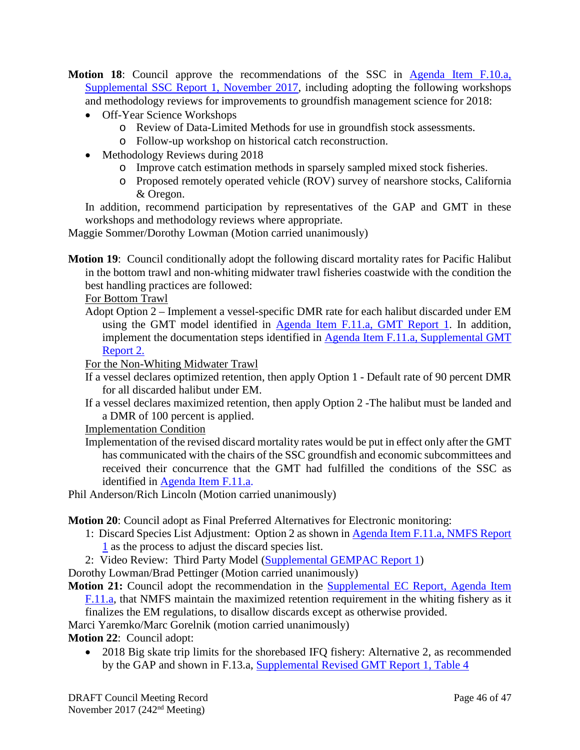- **Motion 18**: Council approve the recommendations of the SSC in [Agenda Item F.10.a,](https://www.pcouncil.org/wp-content/uploads/2017/11/F10a_Sup_SSC_Rpt1_OffYrMeth_NOV2017BB.pdf)  [Supplemental SSC Report 1, November 2017,](https://www.pcouncil.org/wp-content/uploads/2017/11/F10a_Sup_SSC_Rpt1_OffYrMeth_NOV2017BB.pdf) including adopting the following workshops and methodology reviews for improvements to groundfish management science for 2018:
	- Off-Year Science Workshops
		- o Review of Data-Limited Methods for use in groundfish stock assessments.
		- o Follow-up workshop on historical catch reconstruction.
	- Methodology Reviews during 2018
		- o Improve catch estimation methods in sparsely sampled mixed stock fisheries.
		- o Proposed remotely operated vehicle (ROV) survey of nearshore stocks, California & Oregon.

In addition, recommend participation by representatives of the GAP and GMT in these workshops and methodology reviews where appropriate.

Maggie Sommer/Dorothy Lowman (Motion carried unanimously)

**Motion 19**: Council conditionally adopt the following discard mortality rates for Pacific Halibut in the bottom trawl and non-whiting midwater trawl fisheries coastwide with the condition the best handling practices are followed:

For Bottom Trawl

Adopt Option 2 – Implement a vessel-specific DMR rate for each halibut discarded under EM using the GMT model identified in [Agenda Item F.11.a, GMT Report 1.](http://www.pcouncil.org/wp-content/uploads/2017/10/F11a_GMT_Rpt1_NOV2017BB.pdf) In addition, implement the documentation steps identified in [Agenda Item F.11.a,](https://www.pcouncil.org/wp-content/uploads/2017/11/F11a_Sup_GMT_Rpt2_NOV2017BB.pdf) Supplemental GMT [Report 2.](https://www.pcouncil.org/wp-content/uploads/2017/11/F11a_Sup_GMT_Rpt2_NOV2017BB.pdf)

For the Non-Whiting Midwater Trawl

- If a vessel declares optimized retention, then apply Option 1 Default rate of 90 percent DMR for all discarded halibut under EM.
- If a vessel declares maximized retention, then apply Option 2 -The halibut must be landed and a DMR of 100 percent is applied.

Implementation Condition

Implementation of the revised discard mortality rates would be put in effect only after the GMT has communicated with the chairs of the SSC groundfish and economic subcommittees and received their concurrence that the GMT had fulfilled the conditions of the SSC as identified in [Agenda Item F.11.a.](https://www.pcouncil.org/wp-content/uploads/2017/11/F11a_Sup_SSC_Rpt1_NOV2017BB.pdf)

Phil Anderson/Rich Lincoln (Motion carried unanimously)

**Motion 20**: Council adopt as Final Preferred Alternatives for Electronic monitoring:

- 1: Discard Species List Adjustment: Option 2 as shown in [Agenda Item F.11.a, NMFS Report](http://www.pcouncil.org/wp-content/uploads/2017/10/F11a_NMFS_Rpt1_discard_species_list_NOV2017BB.pdf)  [1](http://www.pcouncil.org/wp-content/uploads/2017/10/F11a_NMFS_Rpt1_discard_species_list_NOV2017BB.pdf) as the process to adjust the discard species list.
- 2: Video Review: Third Party Model [\(Supplemental GEMPAC Report 1\)](https://www.pcouncil.org/wp-content/uploads/2017/11/F11a_Sup_GEMPAC_GEMTAC_Rpt1_NOV2017BB.pdf)

Dorothy Lowman/Brad Pettinger (Motion carried unanimously)

**Motion 21:** Council adopt the recommendation in the Supplemental EC Report, Agenda Item [F.11.a,](https://www.pcouncil.org/wp-content/uploads/2017/11/F11a_Sup_EC_Rpt1_NOV2017BB-1.pdf) that NMFS maintain the maximized retention requirement in the whiting fishery as it finalizes the EM regulations, to disallow discards except as otherwise provided.

Marci Yaremko/Marc Gorelnik (motion carried unanimously)

**Motion 22**: Council adopt:

• 2018 Big skate trip limits for the shorebased IFQ fishery: Alternative 2, as recommended by the GAP and shown in F.13.a, [Supplemental Revised GMT Report 1, Table 4](https://www.pcouncil.org/wp-content/uploads/2017/11/F13a_Sup_REVISED11.20.17_GMT_Rpt1_NOV2017BB.pdf)